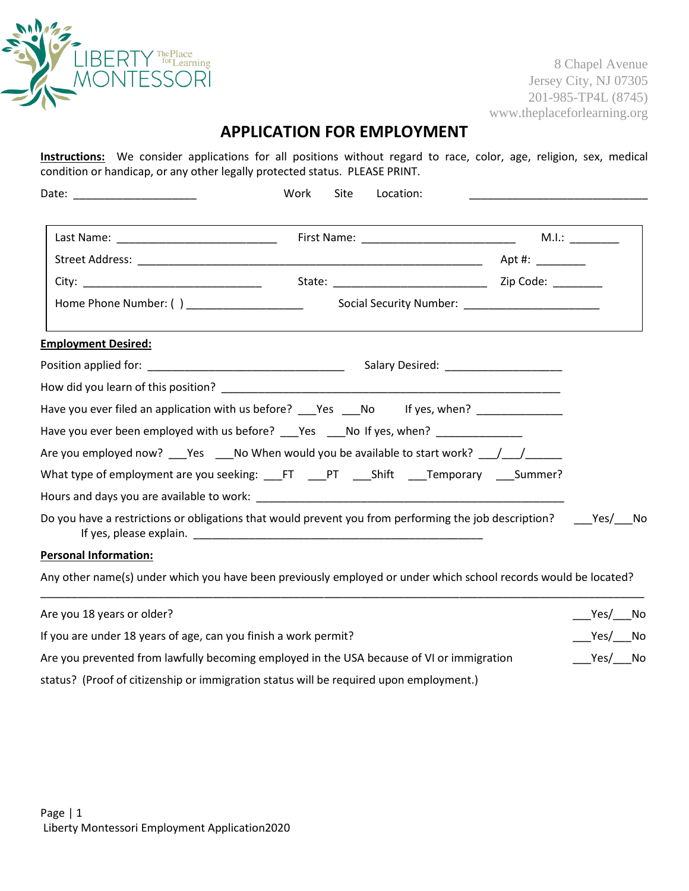

 8 Chapel Avenue Jersey City, NJ 07305 201-985-TP4L (8745) www.theplaceforlearning.org

### **APPLICATION FOR EMPLOYMENT**

**Instructions:** We consider applications for all positions without regard to race, color, age, religion, sex, medical condition or handicap, or any other legally protected status. PLEASE PRINT.

| Date: _________________________                                                                     | Work<br>Site<br>Location:                        |                                                                                                                       |  |  |  |  |
|-----------------------------------------------------------------------------------------------------|--------------------------------------------------|-----------------------------------------------------------------------------------------------------------------------|--|--|--|--|
|                                                                                                     |                                                  |                                                                                                                       |  |  |  |  |
|                                                                                                     |                                                  |                                                                                                                       |  |  |  |  |
|                                                                                                     |                                                  |                                                                                                                       |  |  |  |  |
| Home Phone Number: () ____________________                                                          | Social Security Number: ________________________ |                                                                                                                       |  |  |  |  |
| <b>Employment Desired:</b>                                                                          |                                                  |                                                                                                                       |  |  |  |  |
|                                                                                                     |                                                  |                                                                                                                       |  |  |  |  |
|                                                                                                     |                                                  |                                                                                                                       |  |  |  |  |
| Have you ever filed an application with us before? ___Yes ___No lf yes, when? _____________         |                                                  |                                                                                                                       |  |  |  |  |
| Have you ever been employed with us before? ___Yes ____No If yes, when? _________                   |                                                  |                                                                                                                       |  |  |  |  |
| Are you employed now? _____Yes ______No When would you be available to start work? _____/__________ |                                                  |                                                                                                                       |  |  |  |  |
|                                                                                                     |                                                  |                                                                                                                       |  |  |  |  |
|                                                                                                     |                                                  |                                                                                                                       |  |  |  |  |
|                                                                                                     |                                                  | Do you have a restrictions or obligations that would prevent you from performing the job description? _____Yes/____No |  |  |  |  |
| <b>Personal Information:</b>                                                                        |                                                  |                                                                                                                       |  |  |  |  |
|                                                                                                     |                                                  | Any other name(s) under which you have been previously employed or under which school records would be located?       |  |  |  |  |
| Are you 18 years or older?                                                                          |                                                  | $Yes/$ No                                                                                                             |  |  |  |  |

| If you are under 18 years of age, can you finish a work permit?                           | Yes/ No    |
|-------------------------------------------------------------------------------------------|------------|
| Are you prevented from lawfully becoming employed in the USA because of VI or immigration | No<br>Yes/ |
| status? (Proof of citizenship or immigration status will be required upon employment.)    |            |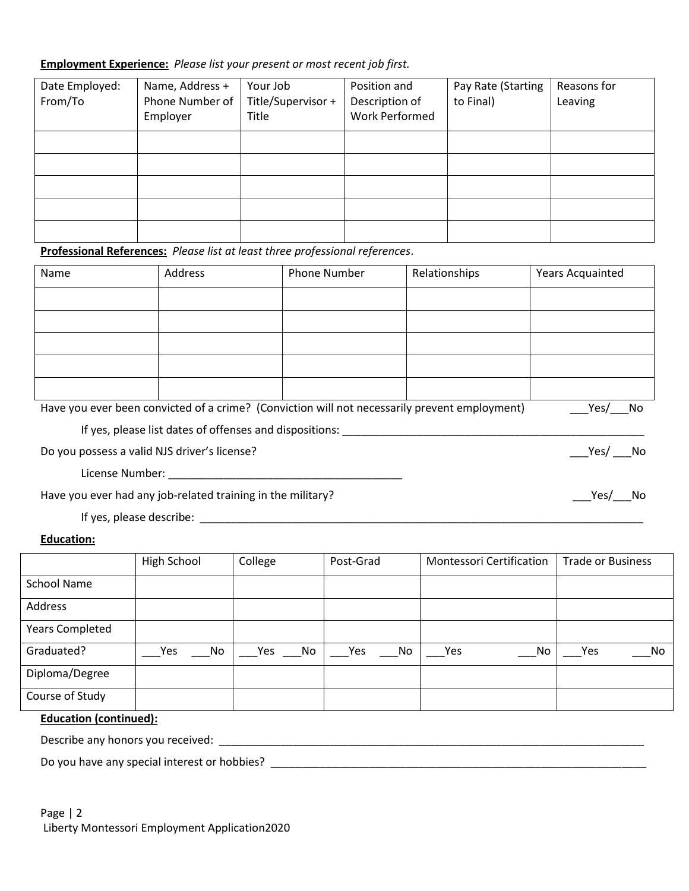#### **Employment Experience:** *Please list your present or most recent job first.*

| Date Employed:<br>From/To | Name, Address +<br>Phone Number of<br>Employer | Your Job<br>Title/Supervisor +<br>Title | Position and<br>Description of<br><b>Work Performed</b> | Pay Rate (Starting<br>to Final) | Reasons for<br>Leaving |
|---------------------------|------------------------------------------------|-----------------------------------------|---------------------------------------------------------|---------------------------------|------------------------|
|                           |                                                |                                         |                                                         |                                 |                        |
|                           |                                                |                                         |                                                         |                                 |                        |
|                           |                                                |                                         |                                                         |                                 |                        |
|                           |                                                |                                         |                                                         |                                 |                        |
|                           |                                                |                                         |                                                         |                                 |                        |

**Professional References:** *Please list at least three professional references*.

| Name | Address | Phone Number | Relationships | <b>Years Acquainted</b> |
|------|---------|--------------|---------------|-------------------------|
|      |         |              |               |                         |
|      |         |              |               |                         |
|      |         |              |               |                         |
|      |         |              |               |                         |
|      |         |              |               |                         |

Have you ever been convicted of a crime? (Conviction will not necessarily prevent employment) \_\_\_\_Yes/\_\_\_No

If yes, please list dates of offenses and dispositions: \_\_\_\_\_\_\_\_\_\_\_\_\_\_\_\_\_\_\_\_\_\_\_\_\_\_\_\_\_\_\_\_\_\_\_\_\_\_\_\_\_\_\_\_\_\_\_\_\_

Do you possess a valid NJS driver's license? <br>
No

License Number: \_\_\_\_\_\_\_\_\_\_\_\_\_\_\_\_\_\_\_\_\_\_\_\_\_\_\_\_\_\_\_\_\_\_\_\_\_\_

Have you ever had any job-related training in the military? The mass of the matrix of the state of the Mo

If yes, please describe: \_\_\_\_\_\_\_\_\_\_\_\_\_\_\_\_\_\_\_\_\_\_\_\_\_\_\_\_\_\_\_\_\_\_\_\_\_\_\_\_\_\_\_\_\_\_\_\_\_\_\_\_\_\_\_\_\_\_\_\_\_\_\_\_\_\_\_\_\_\_\_\_

#### **Education:**

|                        | High School |    | College |    | Post-Grad |    |     | <b>Montessori Certification</b> | <b>Trade or Business</b> |    |
|------------------------|-------------|----|---------|----|-----------|----|-----|---------------------------------|--------------------------|----|
| <b>School Name</b>     |             |    |         |    |           |    |     |                                 |                          |    |
| Address                |             |    |         |    |           |    |     |                                 |                          |    |
| <b>Years Completed</b> |             |    |         |    |           |    |     |                                 |                          |    |
| Graduated?             | Yes         | No | Yes     | No | Yes       | No | Yes | No.                             | Yes                      | No |
| Diploma/Degree         |             |    |         |    |           |    |     |                                 |                          |    |
| Course of Study        |             |    |         |    |           |    |     |                                 |                          |    |
| Fdivation (continu)    |             |    |         |    |           |    |     |                                 |                          |    |

#### **Education (continued):**

Describe any honors you received: \_\_\_\_\_\_\_\_\_\_\_\_\_\_\_\_\_\_\_\_\_\_\_\_\_\_\_\_\_\_\_\_\_\_\_\_\_\_\_\_\_\_\_\_\_\_\_\_\_\_\_\_\_\_\_\_\_\_\_\_\_\_\_\_\_\_\_\_\_

Do you have any special interest or hobbies? \_\_\_\_\_\_\_\_\_\_\_\_\_\_\_\_\_\_\_\_\_\_\_\_\_\_\_\_\_\_\_\_\_\_\_\_\_\_\_\_\_\_\_\_\_\_\_\_\_\_\_\_\_\_\_\_\_\_\_\_\_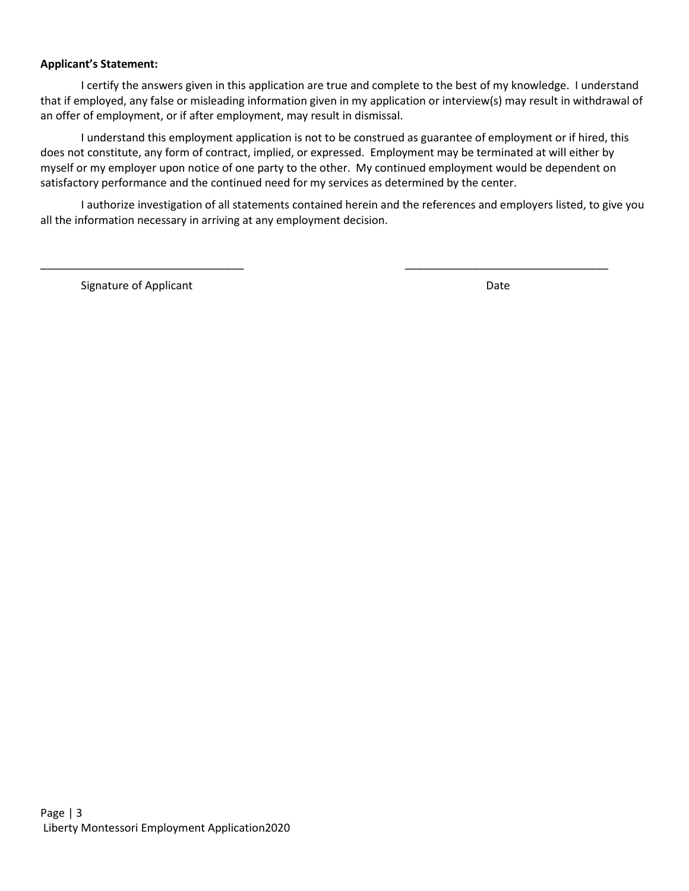#### **Applicant's Statement:**

I certify the answers given in this application are true and complete to the best of my knowledge. I understand that if employed, any false or misleading information given in my application or interview(s) may result in withdrawal of an offer of employment, or if after employment, may result in dismissal.

I understand this employment application is not to be construed as guarantee of employment or if hired, this does not constitute, any form of contract, implied, or expressed. Employment may be terminated at will either by myself or my employer upon notice of one party to the other. My continued employment would be dependent on satisfactory performance and the continued need for my services as determined by the center.

I authorize investigation of all statements contained herein and the references and employers listed, to give you all the information necessary in arriving at any employment decision.

\_\_\_\_\_\_\_\_\_\_\_\_\_\_\_\_\_\_\_\_\_\_\_\_\_\_\_\_\_\_\_\_\_ \_\_\_\_\_\_\_\_\_\_\_\_\_\_\_\_\_\_\_\_\_\_\_\_\_\_\_\_\_\_\_\_\_

Signature of Applicant Date of Applicant Date of Applicant Date of Applicant Date of Applicant Date of Applicant Date of Applicant Date of Applicant Date of Applicant Date of Applicant Date of Applicant Date of Applicant D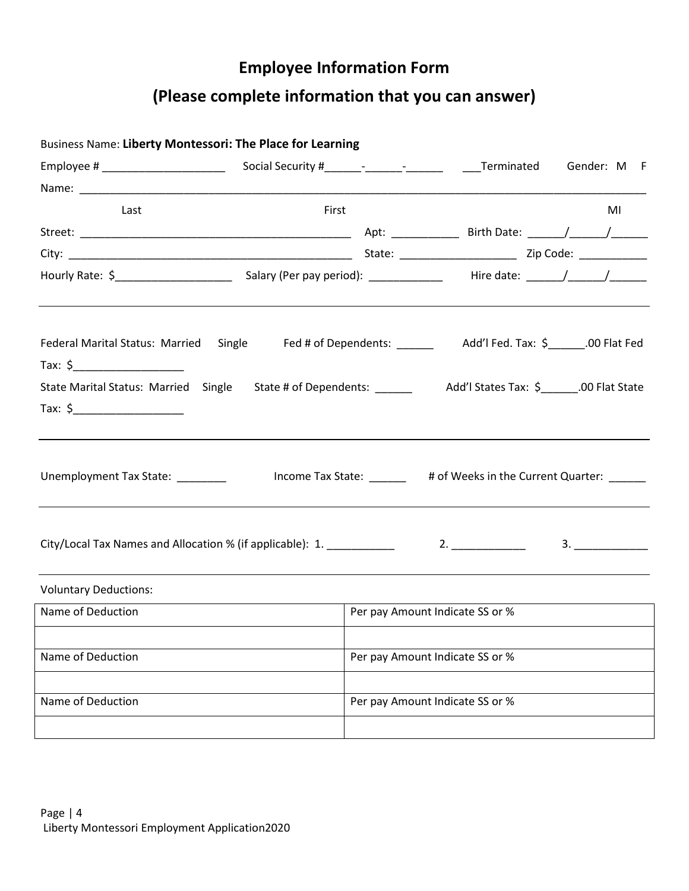### **Employee Information Form**

### **(Please complete information that you can answer)**

| Business Name: Liberty Montessori: The Place for Learning                                                   |       |                                                                     |    |    |
|-------------------------------------------------------------------------------------------------------------|-------|---------------------------------------------------------------------|----|----|
|                                                                                                             |       |                                                                     |    |    |
|                                                                                                             |       |                                                                     |    |    |
| Last                                                                                                        | First |                                                                     |    | MI |
|                                                                                                             |       |                                                                     |    |    |
|                                                                                                             |       |                                                                     |    |    |
|                                                                                                             |       |                                                                     |    |    |
| Federal Marital Status: Married Single Fed # of Dependents: ______ Add'l Fed. Tax: \$______.00 Flat Fed     |       |                                                                     |    |    |
| State Marital Status: Married Single State # of Dependents: ______ Add'l States Tax: \$______.00 Flat State |       |                                                                     |    |    |
| Tax: $\oint$ ____________________                                                                           |       |                                                                     |    |    |
| Unemployment Tax State: ________                                                                            |       | Income Tax State: _______ # of Weeks in the Current Quarter: ______ |    |    |
| City/Local Tax Names and Allocation % (if applicable): 1. ____________                                      |       |                                                                     | 2. | 3. |
| <b>Voluntary Deductions:</b>                                                                                |       |                                                                     |    |    |
| Name of Deduction                                                                                           |       | Per pay Amount Indicate SS or %                                     |    |    |
| Name of Deduction                                                                                           |       | Per pay Amount Indicate SS or %                                     |    |    |
| Name of Deduction                                                                                           |       | Per pay Amount Indicate SS or %                                     |    |    |
|                                                                                                             |       |                                                                     |    |    |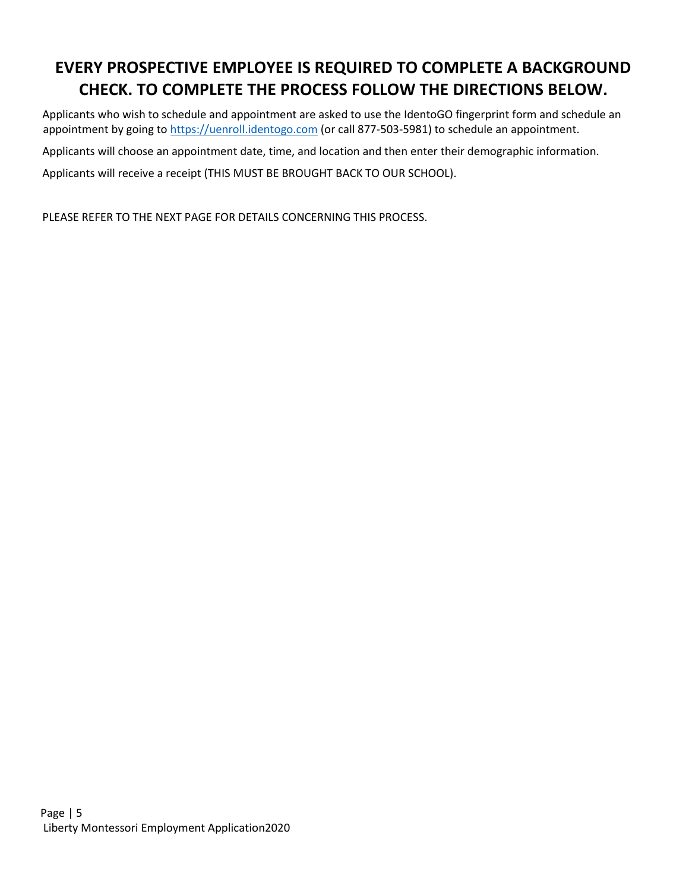### **EVERY PROSPECTIVE EMPLOYEE IS REQUIRED TO COMPLETE A BACKGROUND CHECK. TO COMPLETE THE PROCESS FOLLOW THE DIRECTIONS BELOW.**

Applicants who wish to schedule and appointment are asked to use the IdentoGO fingerprint form and schedule an appointment by going to [https://uenroll.identogo.com](https://uenroll.identogo.com/) (or call 877-503-5981) to schedule an appointment.

Applicants will choose an appointment date, time, and location and then enter their demographic information.

Applicants will receive a receipt (THIS MUST BE BROUGHT BACK TO OUR SCHOOL).

PLEASE REFER TO THE NEXT PAGE FOR DETAILS CONCERNING THIS PROCESS.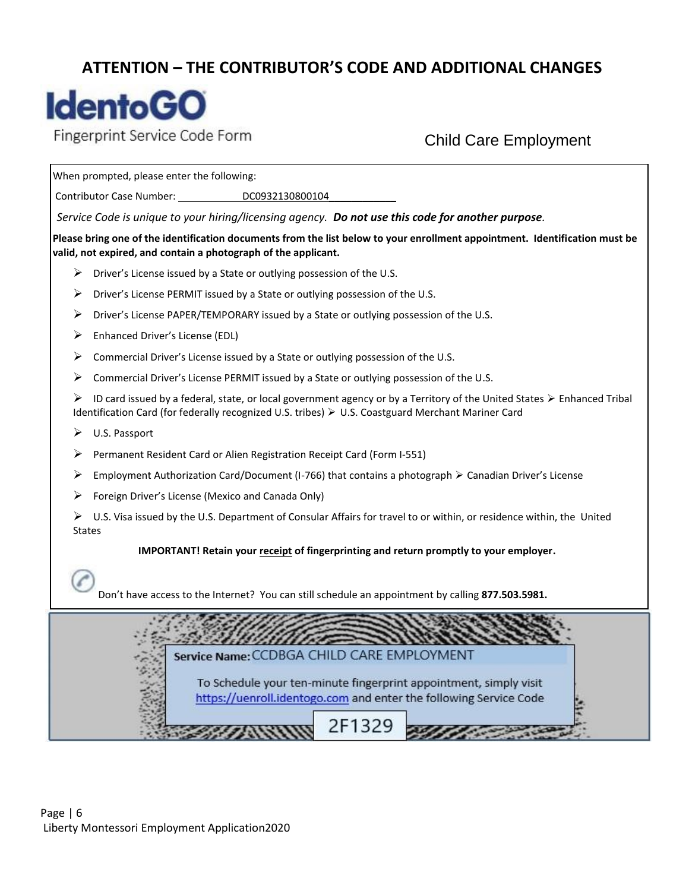### **ATTENTION – THE CONTRIBUTOR'S CODE AND ADDITIONAL CHANGES**

# **IdentoGO**

Fingerprint Service Code Form

Child Care Employment

When prompted, please enter the following:

Contributor Case Number: DC0932130800104

*Service Code is unique to your hiring/licensing agency. Do not use this code for another purpose.*

**Please bring one of the identification documents from the list below to your enrollment appointment. Identification must be valid, not expired, and contain a photograph of the applicant.** 

- $\triangleright$  Driver's License issued by a State or outlying possession of the U.S.
- $\triangleright$  Driver's License PERMIT issued by a State or outlying possession of the U.S.
- ➢ Driver's License PAPER/TEMPORARY issued by a State or outlying possession of the U.S.
- ➢ Enhanced Driver's License (EDL)
- $\triangleright$  Commercial Driver's License issued by a State or outlying possession of the U.S.
- ➢ Commercial Driver's License PERMIT issued by a State or outlying possession of the U.S.

 $\triangleright$  ID card issued by a federal, state, or local government agency or by a Territory of the United States  $\triangleright$  Enhanced Tribal Identification Card (for federally recognized U.S. tribes) ➢ U.S. Coastguard Merchant Mariner Card

- ➢ U.S. Passport
- ➢ Permanent Resident Card or Alien Registration Receipt Card (Form I-551)
- ➢ Employment Authorization Card/Document (I-766) that contains a photograph ➢ Canadian Driver's License
- $\triangleright$  Foreign Driver's License (Mexico and Canada Only)

 $\triangleright$  U.S. Visa issued by the U.S. Department of Consular Affairs for travel to or within, or residence within, the United States

**IMPORTANT! Retain your receipt of fingerprinting and return promptly to your employer.**

Don't have access to the Internet? You can still schedule an appointment by calling **877.503.5981.** 

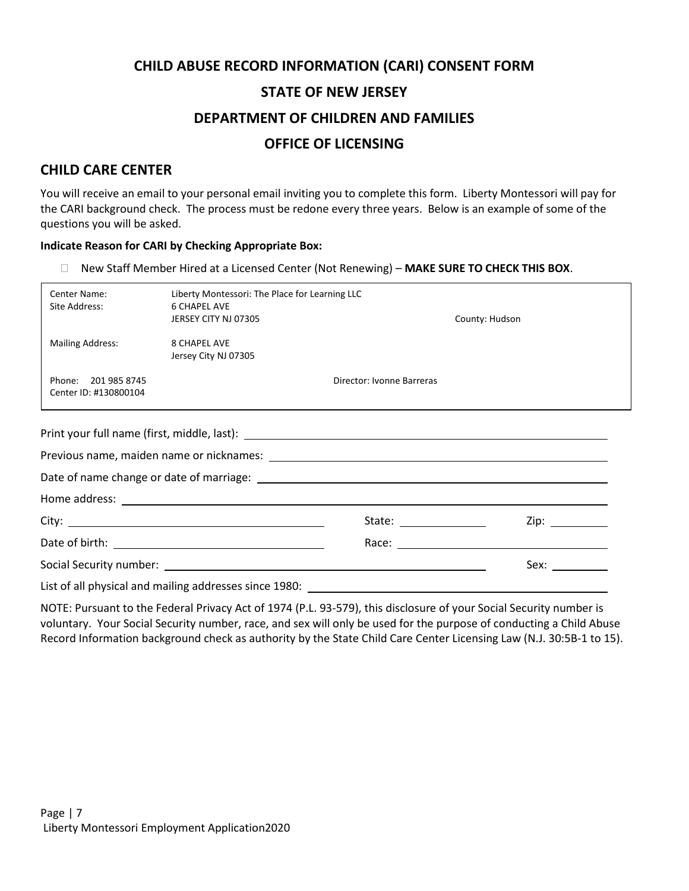## **CHILD ABUSE RECORD INFORMATION (CARI) CONSENT FORM STATE OF NEW JERSEY DEPARTMENT OF CHILDREN AND FAMILIES OFFICE OF LICENSING**

### **CHILD CARE CENTER**

You will receive an email to your personal email inviting you to complete this form. Liberty Montessori will pay for the CARI background check. The process must be redone every three years. Below is an example of some of the questions you will be asked.

#### **Indicate Reason for CARI by Checking Appropriate Box:**

New Staff Member Hired at a Licensed Center (Not Renewing) – **MAKE SURE TO CHECK THIS BOX**.

| Center Name:                                 | Liberty Montessori: The Place for Learning LLC<br><b>6 CHAPEL AVE</b> |                                                                                                                          |                |                                                                                                                                                                                                                                |
|----------------------------------------------|-----------------------------------------------------------------------|--------------------------------------------------------------------------------------------------------------------------|----------------|--------------------------------------------------------------------------------------------------------------------------------------------------------------------------------------------------------------------------------|
| Site Address:                                | JERSEY CITY NJ 07305                                                  |                                                                                                                          | County: Hudson |                                                                                                                                                                                                                                |
| <b>Mailing Address:</b>                      | 8 CHAPEL AVE<br>Jersey City NJ 07305                                  |                                                                                                                          |                |                                                                                                                                                                                                                                |
| Phone: 201 985 8745<br>Center ID: #130800104 |                                                                       | Director: Ivonne Barreras                                                                                                |                |                                                                                                                                                                                                                                |
|                                              |                                                                       |                                                                                                                          |                |                                                                                                                                                                                                                                |
|                                              |                                                                       |                                                                                                                          |                |                                                                                                                                                                                                                                |
|                                              |                                                                       |                                                                                                                          |                |                                                                                                                                                                                                                                |
|                                              |                                                                       |                                                                                                                          |                |                                                                                                                                                                                                                                |
|                                              |                                                                       | State: $\frac{1}{\sqrt{1-\frac{1}{2}}\sqrt{1-\frac{1}{2}}\sqrt{1-\frac{1}{2}}\sqrt{1-\frac{1}{2}}\sqrt{1-\frac{1}{2}}}}$ |                | Zip: the contract of the contract of the contract of the contract of the contract of the contract of the contract of the contract of the contract of the contract of the contract of the contract of the contract of the contr |
|                                              |                                                                       |                                                                                                                          |                |                                                                                                                                                                                                                                |
|                                              |                                                                       |                                                                                                                          |                | Sex: $\_\_$                                                                                                                                                                                                                    |
|                                              |                                                                       |                                                                                                                          |                |                                                                                                                                                                                                                                |

NOTE: Pursuant to the Federal Privacy Act of 1974 (P.L. 93-579), this disclosure of your Social Security number is voluntary. Your Social Security number, race, and sex will only be used for the purpose of conducting a Child Abuse Record Information background check as authority by the State Child Care Center Licensing Law (N.J. 30:5B-1 to 15).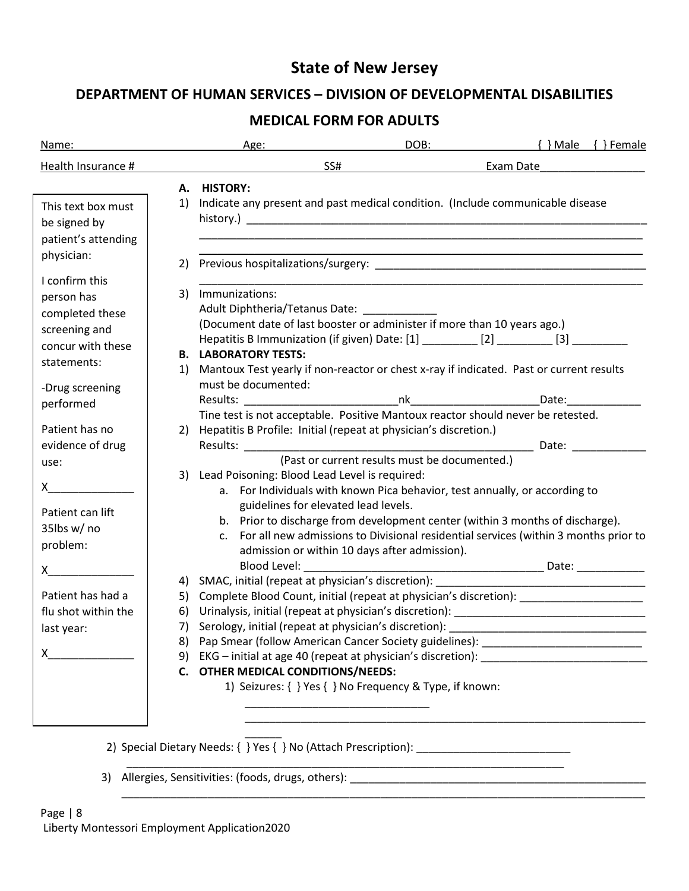### **State of New Jersey**

### **DEPARTMENT OF HUMAN SERVICES – DIVISION OF DEVELOPMENTAL DISABILITIES**

#### **MEDICAL FORM FOR ADULTS**

| Name:                                                                                                                                                                                                                                                         | Age:                                                                                                                                                                                                                                                                                                                                                                           | DOB:                                                                                                                                                                                                                                             | $\{ \}$ Male $\{ \}$ Female                                                                                                                                                                                                                                                                                                                                                                                                        |
|---------------------------------------------------------------------------------------------------------------------------------------------------------------------------------------------------------------------------------------------------------------|--------------------------------------------------------------------------------------------------------------------------------------------------------------------------------------------------------------------------------------------------------------------------------------------------------------------------------------------------------------------------------|--------------------------------------------------------------------------------------------------------------------------------------------------------------------------------------------------------------------------------------------------|------------------------------------------------------------------------------------------------------------------------------------------------------------------------------------------------------------------------------------------------------------------------------------------------------------------------------------------------------------------------------------------------------------------------------------|
| Health Insurance #                                                                                                                                                                                                                                            |                                                                                                                                                                                                                                                                                                                                                                                | SS#                                                                                                                                                                                                                                              | Exam Date                                                                                                                                                                                                                                                                                                                                                                                                                          |
| This text box must<br>be signed by<br>patient's attending<br>physician:<br>I confirm this<br>person has<br>completed these<br>screening and<br>concur with these<br>statements:<br>-Drug screening<br>performed<br>Patient has no<br>evidence of drug<br>use: | <b>HISTORY:</b><br>А.<br>Indicate any present and past medical condition. (Include communicable disease<br>1)<br>3)<br>Immunizations:<br>Adult Diphtheria/Tetanus Date: ____________<br><b>B. LABORATORY TESTS:</b><br>1)<br>must be documented:<br>Hepatitis B Profile: Initial (repeat at physician's discretion.)<br>2)<br>3) Lead Poisoning: Blood Lead Level is required: | (Document date of last booster or administer if more than 10 years ago.)<br>Tine test is not acceptable. Positive Mantoux reactor should never be retested.<br>(Past or current results must be documented.)                                     | Mantoux Test yearly if non-reactor or chest x-ray if indicated. Past or current results                                                                                                                                                                                                                                                                                                                                            |
| Patient can lift<br>35lbs w/ no<br>problem:<br>Patient has had a<br>flu shot within the<br>last year:<br>X.                                                                                                                                                   | guidelines for elevated lead levels.<br>$\mathsf{C}$ .<br>SMAC, initial (repeat at physician's discretion): ___________<br>4)<br>5)<br>6)<br>7)<br>8)<br>EKG - initial at age 40 (repeat at physician's discretion): _____________<br>9)<br>C. OTHER MEDICAL CONDITIONS/NEEDS:                                                                                                 | a. For Individuals with known Pica behavior, test annually, or according to<br>admission or within 10 days after admission).<br>Serology, initial (repeat at physician's discretion):<br>1) Seizures: { } Yes { } No Frequency & Type, if known: | b. Prior to discharge from development center (within 3 months of discharge).<br>For all new admissions to Divisional residential services (within 3 months prior to<br>Complete Blood Count, initial (repeat at physician's discretion): _______________<br>Urinalysis, initial (repeat at physician's discretion): _________________________<br>Pap Smear (follow American Cancer Society guidelines): _________________________ |
|                                                                                                                                                                                                                                                               |                                                                                                                                                                                                                                                                                                                                                                                |                                                                                                                                                                                                                                                  |                                                                                                                                                                                                                                                                                                                                                                                                                                    |

\_\_\_\_\_\_\_\_\_\_\_\_\_\_\_\_\_\_\_\_\_\_\_\_\_\_\_\_\_\_\_\_\_\_\_\_\_\_\_\_\_\_\_\_\_\_\_\_\_\_\_\_\_\_\_\_\_\_\_\_\_\_\_\_\_\_\_\_\_\_\_\_\_\_\_\_\_\_\_\_\_\_\_\_\_

2) Special Dietary Needs: { } Yes { } No (Attach Prescription): \_\_\_\_\_\_\_\_\_\_\_\_\_\_\_\_\_\_\_\_\_\_\_\_\_

3) Allergies, Sensitivities: (foods, drugs, others): \_\_\_\_\_\_\_\_\_\_\_\_\_\_\_\_\_\_\_\_\_\_\_\_\_\_\_\_\_\_\_\_\_\_\_\_\_\_\_\_\_\_\_\_\_\_\_\_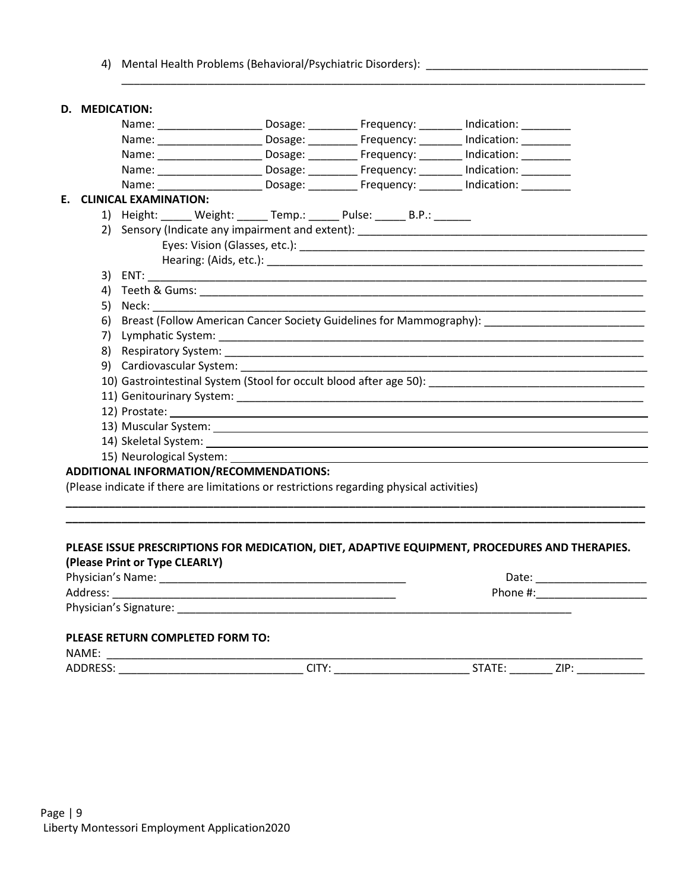4) Mental Health Problems (Behavioral/Psychiatric Disorders): \_\_\_\_\_\_\_\_\_\_\_\_\_\_\_\_\_\_\_\_\_\_\_\_\_\_\_\_\_\_\_\_\_\_\_\_

#### **D. MEDICATION:**

|          |                                |                                                                                                                        |       |  | Name: ________________________Dosage: ______________Frequency: ___________ Indication: ___________            |                                                                                                      |
|----------|--------------------------------|------------------------------------------------------------------------------------------------------------------------|-------|--|---------------------------------------------------------------------------------------------------------------|------------------------------------------------------------------------------------------------------|
|          |                                |                                                                                                                        |       |  | Name: _________________________Dosage: _____________________Frequency: _______________Indication: ___________ |                                                                                                      |
|          |                                |                                                                                                                        |       |  | Name: _________________________Dosage: _____________________Frequency: ______________Indication: ____________ |                                                                                                      |
|          |                                |                                                                                                                        |       |  | Name: _________________________Dosage: _____________________Frequency: ______________Indication: ____________ |                                                                                                      |
|          |                                |                                                                                                                        |       |  | Name: _________________________Dosage: _____________________Frequency: ______________Indication: ____________ |                                                                                                      |
| E.       | <b>CLINICAL EXAMINATION:</b>   |                                                                                                                        |       |  |                                                                                                               |                                                                                                      |
|          |                                | 1) Height: _____ Weight: _____ Temp.: _____ Pulse: _____ B.P.: ______                                                  |       |  |                                                                                                               |                                                                                                      |
|          |                                |                                                                                                                        |       |  |                                                                                                               |                                                                                                      |
|          |                                |                                                                                                                        |       |  |                                                                                                               |                                                                                                      |
|          |                                |                                                                                                                        |       |  |                                                                                                               |                                                                                                      |
|          |                                |                                                                                                                        |       |  |                                                                                                               |                                                                                                      |
|          |                                |                                                                                                                        |       |  |                                                                                                               |                                                                                                      |
|          |                                |                                                                                                                        |       |  |                                                                                                               |                                                                                                      |
|          |                                |                                                                                                                        |       |  |                                                                                                               | 6) Breast (Follow American Cancer Society Guidelines for Mammography): _____________________________ |
|          |                                |                                                                                                                        |       |  |                                                                                                               |                                                                                                      |
|          |                                |                                                                                                                        |       |  |                                                                                                               |                                                                                                      |
|          |                                |                                                                                                                        |       |  |                                                                                                               |                                                                                                      |
|          |                                |                                                                                                                        |       |  |                                                                                                               |                                                                                                      |
|          |                                |                                                                                                                        |       |  |                                                                                                               |                                                                                                      |
|          |                                |                                                                                                                        |       |  |                                                                                                               |                                                                                                      |
|          |                                |                                                                                                                        |       |  | 13) Muscular System: 13) Muscular System:                                                                     |                                                                                                      |
|          |                                |                                                                                                                        |       |  |                                                                                                               |                                                                                                      |
|          |                                |                                                                                                                        |       |  | 15) Neurological System: 15 and 2012 12:00 and 2012 12:00 and 2012 12:00 and 2012 12:00 and 2012 12:00 and 20 |                                                                                                      |
|          |                                | ADDITIONAL INFORMATION/RECOMMENDATIONS:                                                                                |       |  |                                                                                                               |                                                                                                      |
|          |                                | (Please indicate if there are limitations or restrictions regarding physical activities)                               |       |  |                                                                                                               |                                                                                                      |
|          |                                |                                                                                                                        |       |  |                                                                                                               |                                                                                                      |
|          |                                |                                                                                                                        |       |  |                                                                                                               |                                                                                                      |
|          |                                |                                                                                                                        |       |  |                                                                                                               |                                                                                                      |
|          |                                |                                                                                                                        |       |  |                                                                                                               | PLEASE ISSUE PRESCRIPTIONS FOR MEDICATION, DIET, ADAPTIVE EQUIPMENT, PROCEDURES AND THERAPIES.       |
|          | (Please Print or Type CLEARLY) |                                                                                                                        |       |  |                                                                                                               |                                                                                                      |
|          |                                |                                                                                                                        |       |  |                                                                                                               |                                                                                                      |
|          |                                |                                                                                                                        |       |  |                                                                                                               |                                                                                                      |
|          |                                |                                                                                                                        |       |  |                                                                                                               |                                                                                                      |
|          |                                |                                                                                                                        |       |  |                                                                                                               |                                                                                                      |
|          |                                | PLEASE RETURN COMPLETED FORM TO:                                                                                       |       |  |                                                                                                               |                                                                                                      |
| NAME:    |                                | <u> 1989 - Johann John Stein, market fan it ferskearre fan it ferskearre fan it ferskearre fan it ferskearre fan i</u> |       |  |                                                                                                               |                                                                                                      |
| ADDRESS: |                                |                                                                                                                        | CITY: |  | STATE:                                                                                                        | ZIP:                                                                                                 |

\_\_\_\_\_\_\_\_\_\_\_\_\_\_\_\_\_\_\_\_\_\_\_\_\_\_\_\_\_\_\_\_\_\_\_\_\_\_\_\_\_\_\_\_\_\_\_\_\_\_\_\_\_\_\_\_\_\_\_\_\_\_\_\_\_\_\_\_\_\_\_\_\_\_\_\_\_\_\_\_\_\_\_\_\_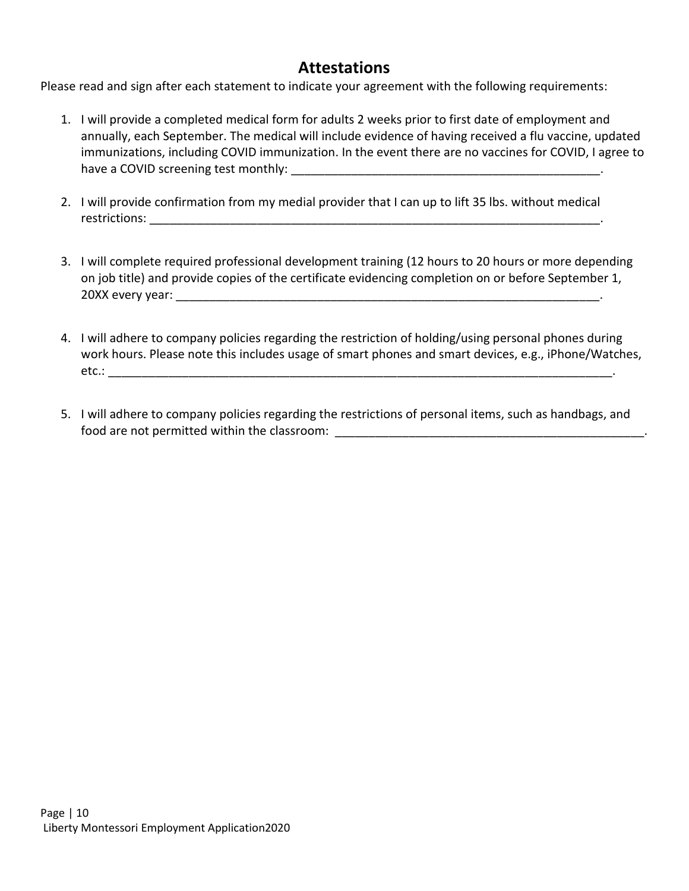### **Attestations**

Please read and sign after each statement to indicate your agreement with the following requirements:

- 1. I will provide a completed medical form for adults 2 weeks prior to first date of employment and annually, each September. The medical will include evidence of having received a flu vaccine, updated immunizations, including COVID immunization. In the event there are no vaccines for COVID, I agree to have a COVID screening test monthly:  $\blacksquare$
- 2. I will provide confirmation from my medial provider that I can up to lift 35 lbs. without medical restrictions: \_\_\_\_\_\_\_\_\_\_\_\_\_\_\_\_\_\_\_\_\_\_\_\_\_\_\_\_\_\_\_\_\_\_\_\_\_\_\_\_\_\_\_\_\_\_\_\_\_\_\_\_\_\_\_\_\_\_\_\_\_\_\_\_\_\_\_.
- 3. I will complete required professional development training (12 hours to 20 hours or more depending on job title) and provide copies of the certificate evidencing completion on or before September 1, 20XX every year: \_\_\_\_\_\_\_\_\_\_\_\_\_\_\_\_\_\_\_\_\_\_\_\_\_\_\_\_\_\_\_\_\_\_\_\_\_\_\_\_\_\_\_\_\_\_\_\_\_\_\_\_\_\_\_\_\_\_\_\_\_\_\_.
- 4. I will adhere to company policies regarding the restriction of holding/using personal phones during work hours. Please note this includes usage of smart phones and smart devices, e.g., iPhone/Watches, etc.: \_\_\_\_\_\_\_\_\_\_\_\_\_\_\_\_\_\_\_\_\_\_\_\_\_\_\_\_\_\_\_\_\_\_\_\_\_\_\_\_\_\_\_\_\_\_\_\_\_\_\_\_\_\_\_\_\_\_\_\_\_\_\_\_\_\_\_\_\_\_\_\_\_\_\_.
- 5. I will adhere to company policies regarding the restrictions of personal items, such as handbags, and food are not permitted within the classroom: \_\_\_\_\_\_\_\_\_\_\_\_\_\_\_\_\_\_\_\_\_\_\_\_\_\_\_\_\_\_\_\_\_\_\_\_\_\_\_\_\_\_\_\_\_\_.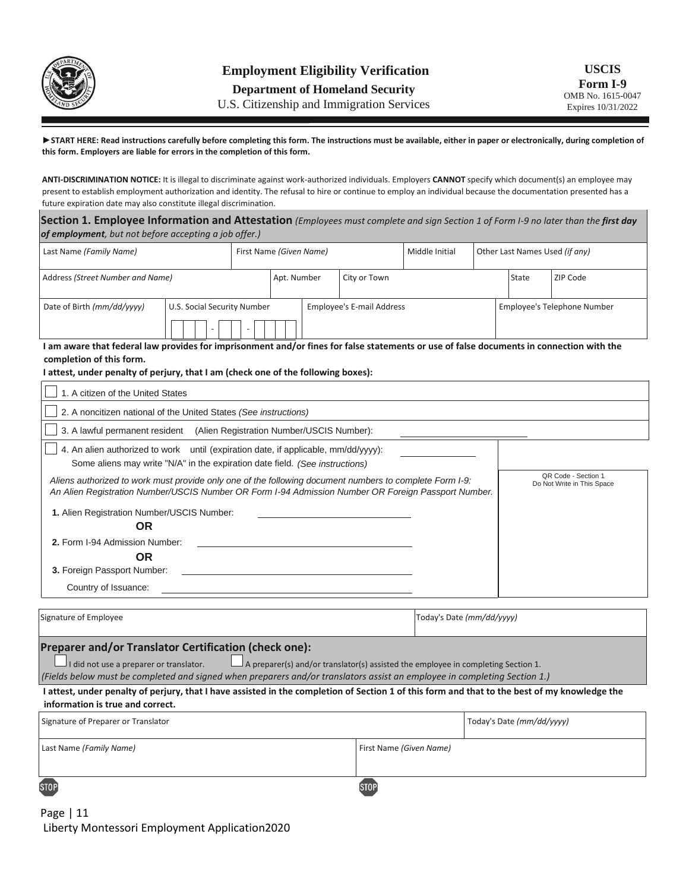

**Department of Homeland Security**  U.S. Citizenship and Immigration Services

▶ START HERE: Read instructions carefully before completing this form. The instructions must be available, either in paper or electronically, during completion of **this form. Employers are liable for errors in the completion of this form.** 

**ANTI-DISCRIMINATION NOTICE:** It is illegal to discriminate against work-authorized individuals. Employers **CANNOT** specify which document(s) an employee may present to establish employment authorization and identity. The refusal to hire or continue to employ an individual because the documentation presented has a future expiration date may also constitute illegal discrimination.

| Last Name (Family Name)                                                                                                                                                                                                                                   |                             |  | First Name (Given Name) |  |                                  | Middle Initial | Other Last Names Used (if any) |                             |
|-----------------------------------------------------------------------------------------------------------------------------------------------------------------------------------------------------------------------------------------------------------|-----------------------------|--|-------------------------|--|----------------------------------|----------------|--------------------------------|-----------------------------|
| Address (Street Number and Name)                                                                                                                                                                                                                          |                             |  | Apt. Number             |  | City or Town                     |                | State                          | ZIP Code                    |
| Date of Birth (mm/dd/yyyy)                                                                                                                                                                                                                                | U.S. Social Security Number |  |                         |  | <b>Employee's E-mail Address</b> |                |                                | Employee's Telephone Number |
| I am aware that federal law provides for imprisonment and/or fines for false statements or use of false documents in connection with the<br>completion of this form.<br>I attest, under penalty of perjury, that I am (check one of the following boxes): |                             |  |                         |  |                                  |                |                                |                             |
| . A citizen of the United States                                                                                                                                                                                                                          |                             |  |                         |  |                                  |                |                                |                             |
| 2. A noncitizen national of the United States (See instructions)                                                                                                                                                                                          |                             |  |                         |  |                                  |                |                                |                             |

| 3. A lawful permanent resident (Allen Registration Number/OSCIS Number).                                                                                                                                       |                                                   |
|----------------------------------------------------------------------------------------------------------------------------------------------------------------------------------------------------------------|---------------------------------------------------|
| 4. An alien authorized to work until (expiration date, if applicable, mm/dd/yyyy):<br>Some aliens may write "N/A" in the expiration date field. (See instructions)                                             |                                                   |
| Aliens authorized to work must provide only one of the following document numbers to complete Form I-9:<br>An Alien Registration Number/USCIS Number OR Form I-94 Admission Number OR Foreign Passport Number. | QR Code - Section 1<br>Do Not Write in This Space |
| 1. Alien Registration Number/USCIS Number:<br>OR                                                                                                                                                               |                                                   |
| 2. Form I-94 Admission Number:                                                                                                                                                                                 |                                                   |
| OR                                                                                                                                                                                                             |                                                   |
| 3. Foreign Passport Number:                                                                                                                                                                                    |                                                   |
| Country of Issuance:                                                                                                                                                                                           |                                                   |

| Signature of Employee                                                                                                                                                                                                                                                                                                     | Today's Date (mm/dd/yyyy) |  |  |  |  |
|---------------------------------------------------------------------------------------------------------------------------------------------------------------------------------------------------------------------------------------------------------------------------------------------------------------------------|---------------------------|--|--|--|--|
|                                                                                                                                                                                                                                                                                                                           |                           |  |  |  |  |
| Preparer and/or Translator Certification (check one):<br>$\Box$ A preparer(s) and/or translator(s) assisted the employee in completing Section 1.<br>I did not use a preparer or translator.<br>(Fields below must be completed and signed when preparers and/or translators assist an employee in completing Section 1.) |                           |  |  |  |  |
| I attest, under penalty of perjury, that I have assisted in the completion of Section 1 of this form and that to the best of my knowledge the<br>information is true and correct.                                                                                                                                         |                           |  |  |  |  |
| Signature of Preparer or Translator                                                                                                                                                                                                                                                                                       | Today's Date (mm/dd/yyyy) |  |  |  |  |

| Last Name (Family Name) | First Name (Given Name) |
|-------------------------|-------------------------|
|                         |                         |
| <b>STOP</b>             | <b>STOP</b>             |

Page | 11 Liberty Montessori Employment Application2020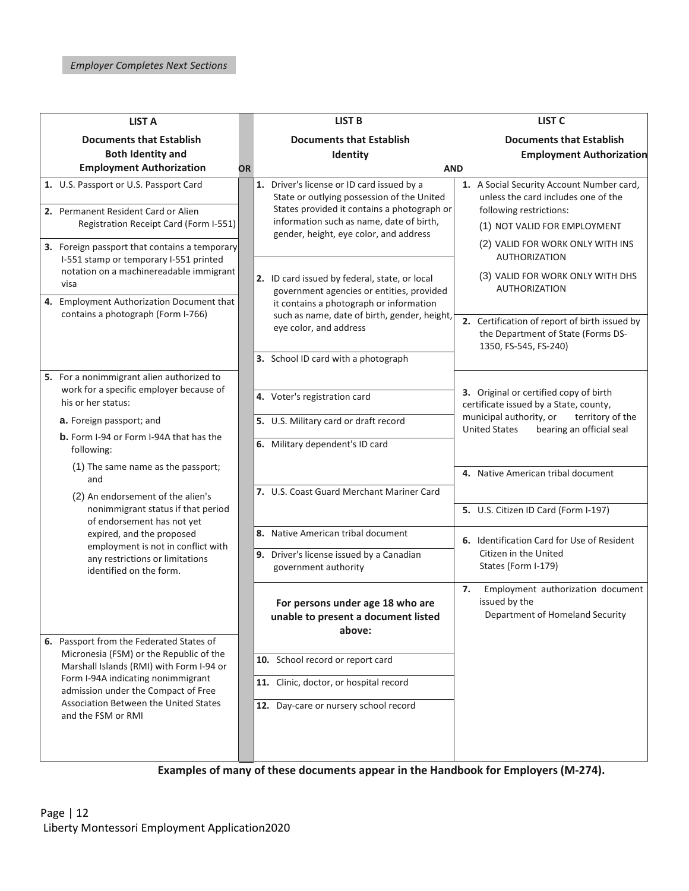| <b>LIST A</b>                                                                                                                                                                                                                                                               |                                                                                                                   | <b>LIST B</b>                                                                                                                                                                                                                 | <b>LIST C</b>                                                                                                                                                                   |  |
|-----------------------------------------------------------------------------------------------------------------------------------------------------------------------------------------------------------------------------------------------------------------------------|-------------------------------------------------------------------------------------------------------------------|-------------------------------------------------------------------------------------------------------------------------------------------------------------------------------------------------------------------------------|---------------------------------------------------------------------------------------------------------------------------------------------------------------------------------|--|
| <b>Documents that Establish</b><br><b>Both Identity and</b><br><b>Employment Authorization</b>                                                                                                                                                                              | <b>OR</b>                                                                                                         | <b>Documents that Establish</b><br><b>Documents that Establish</b><br>Identity<br><b>Employment Authorization</b><br><b>AND</b>                                                                                               |                                                                                                                                                                                 |  |
| 1. U.S. Passport or U.S. Passport Card<br>2. Permanent Resident Card or Alien<br>Registration Receipt Card (Form I-551)<br>3. Foreign passport that contains a temporary                                                                                                    |                                                                                                                   | 1. Driver's license or ID card issued by a<br>State or outlying possession of the United<br>States provided it contains a photograph or<br>information such as name, date of birth,<br>gender, height, eye color, and address | 1. A Social Security Account Number card,<br>unless the card includes one of the<br>following restrictions:<br>(1) NOT VALID FOR EMPLOYMENT<br>(2) VALID FOR WORK ONLY WITH INS |  |
| I-551 stamp or temporary I-551 printed<br>notation on a machinereadable immigrant<br>visa<br>4. Employment Authorization Document that                                                                                                                                      | 2. ID card issued by federal, state, or local<br>government agencies or entities, provided                        | <b>AUTHORIZATION</b><br>(3) VALID FOR WORK ONLY WITH DHS<br><b>AUTHORIZATION</b>                                                                                                                                              |                                                                                                                                                                                 |  |
| contains a photograph (Form I-766)                                                                                                                                                                                                                                          | it contains a photograph or information<br>such as name, date of birth, gender, height,<br>eye color, and address |                                                                                                                                                                                                                               | 2. Certification of report of birth issued by<br>the Department of State (Forms DS-<br>1350, FS-545, FS-240)                                                                    |  |
| 5. For a nonimmigrant alien authorized to<br>work for a specific employer because of<br>his or her status:                                                                                                                                                                  |                                                                                                                   | 3. School ID card with a photograph<br>4. Voter's registration card                                                                                                                                                           | 3. Original or certified copy of birth<br>certificate issued by a State, county,                                                                                                |  |
| a. Foreign passport; and<br><b>b.</b> Form I-94 or Form I-94A that has the<br>following:                                                                                                                                                                                    |                                                                                                                   | 5. U.S. Military card or draft record<br>6. Military dependent's ID card                                                                                                                                                      | municipal authority, or<br>territory of the<br><b>United States</b><br>bearing an official seal                                                                                 |  |
| (1) The same name as the passport;<br>and<br>(2) An endorsement of the alien's<br>nonimmigrant status if that period                                                                                                                                                        |                                                                                                                   | 7. U.S. Coast Guard Merchant Mariner Card                                                                                                                                                                                     | 4. Native American tribal document<br>5. U.S. Citizen ID Card (Form I-197)                                                                                                      |  |
| of endorsement has not yet<br>expired, and the proposed<br>employment is not in conflict with<br>any restrictions or limitations<br>identified on the form.                                                                                                                 |                                                                                                                   | Native American tribal document<br>8.<br>9. Driver's license issued by a Canadian<br>government authority                                                                                                                     | 6. Identification Card for Use of Resident<br>Citizen in the United<br>States (Form I-179)                                                                                      |  |
|                                                                                                                                                                                                                                                                             |                                                                                                                   | For persons under age 18 who are<br>unable to present a document listed<br>above:                                                                                                                                             | Employment authorization document<br>7.<br>issued by the<br>Department of Homeland Security                                                                                     |  |
| 6. Passport from the Federated States of<br>Micronesia (FSM) or the Republic of the<br>Marshall Islands (RMI) with Form I-94 or<br>Form I-94A indicating nonimmigrant<br>admission under the Compact of Free<br>Association Between the United States<br>and the FSM or RMI |                                                                                                                   | 10. School record or report card<br>11. Clinic, doctor, or hospital record<br>12. Day-care or nursery school record                                                                                                           |                                                                                                                                                                                 |  |

**Examples of many of these documents appear in the Handbook for Employers (M-274).**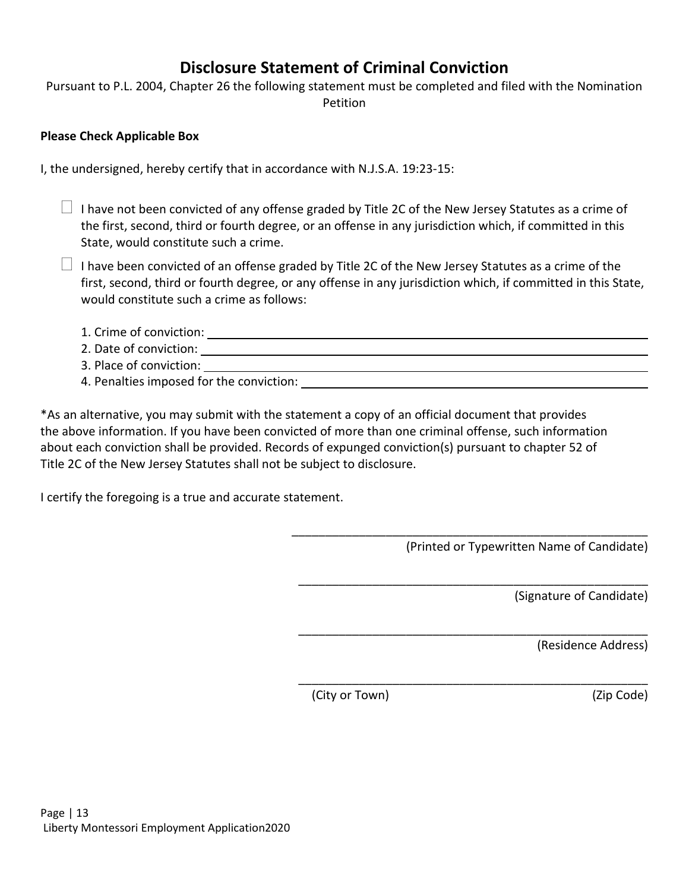### **Disclosure Statement of Criminal Conviction**

Pursuant to P.L. 2004, Chapter 26 the following statement must be completed and filed with the Nomination Petition

#### **Please Check Applicable Box**

I, the undersigned, hereby certify that in accordance with N.J.S.A. 19:23-15:

 $\Box$  I have not been convicted of any offense graded by Title 2C of the New Jersey Statutes as a crime of the first, second, third or fourth degree, or an offense in any jurisdiction which, if committed in this State, would constitute such a crime.

 $\Box$  I have been convicted of an offense graded by Title 2C of the New Jersey Statutes as a crime of the first, second, third or fourth degree, or any offense in any jurisdiction which, if committed in this State, would constitute such a crime as follows:

- 1. Crime of conviction:
- 2. Date of conviction:
- 3. Place of conviction:
- 4. Penalties imposed for the conviction:

\*As an alternative, you may submit with the statement a copy of an official document that provides the above information. If you have been convicted of more than one criminal offense, such information about each conviction shall be provided. Records of expunged conviction(s) pursuant to chapter 52 of Title 2C of the New Jersey Statutes shall not be subject to disclosure.

I certify the foregoing is a true and accurate statement.

(Printed or Typewritten Name of Candidate)

\_\_\_\_\_\_\_\_\_\_\_\_\_\_\_\_\_\_\_\_\_\_\_\_\_\_\_\_\_\_\_\_\_\_\_\_\_\_\_\_\_\_\_\_\_\_\_\_\_\_\_\_\_

\_\_\_\_\_\_\_\_\_\_\_\_\_\_\_\_\_\_\_\_\_\_\_\_\_\_\_\_\_\_\_\_\_\_\_\_\_\_\_\_\_\_\_\_\_\_\_\_\_\_\_\_

\_\_\_\_\_\_\_\_\_\_\_\_\_\_\_\_\_\_\_\_\_\_\_\_\_\_\_\_\_\_\_\_\_\_\_\_\_\_\_\_\_\_\_\_\_\_\_\_\_\_\_\_

\_\_\_\_\_\_\_\_\_\_\_\_\_\_\_\_\_\_\_\_\_\_\_\_\_\_\_\_\_\_\_\_\_\_\_\_\_\_\_\_\_\_\_\_\_\_\_\_\_\_\_\_

(Signature of Candidate)

(Residence Address)

(City or Town) (Zip Code)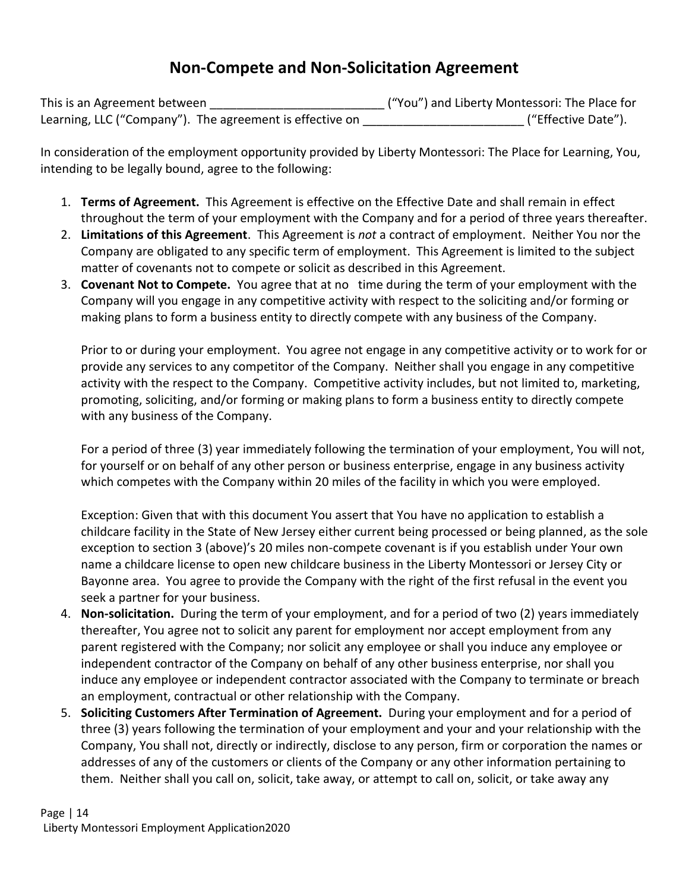### **Non-Compete and Non-Solicitation Agreement**

| This is an Agreement between                             | ("You") and Liberty Montessori: The Place for |
|----------------------------------------------------------|-----------------------------------------------|
| Learning, LLC ("Company"). The agreement is effective on | ("Effective Date").                           |

In consideration of the employment opportunity provided by Liberty Montessori: The Place for Learning, You, intending to be legally bound, agree to the following:

- 1. **Terms of Agreement.** This Agreement is effective on the Effective Date and shall remain in effect throughout the term of your employment with the Company and for a period of three years thereafter.
- 2. **Limitations of this Agreement**. This Agreement is *not* a contract of employment. Neither You nor the Company are obligated to any specific term of employment. This Agreement is limited to the subject matter of covenants not to compete or solicit as described in this Agreement.
- 3. **Covenant Not to Compete.** You agree that at no time during the term of your employment with the Company will you engage in any competitive activity with respect to the soliciting and/or forming or making plans to form a business entity to directly compete with any business of the Company.

Prior to or during your employment. You agree not engage in any competitive activity or to work for or provide any services to any competitor of the Company. Neither shall you engage in any competitive activity with the respect to the Company. Competitive activity includes, but not limited to, marketing, promoting, soliciting, and/or forming or making plans to form a business entity to directly compete with any business of the Company.

For a period of three (3) year immediately following the termination of your employment, You will not, for yourself or on behalf of any other person or business enterprise, engage in any business activity which competes with the Company within 20 miles of the facility in which you were employed.

Exception: Given that with this document You assert that You have no application to establish a childcare facility in the State of New Jersey either current being processed or being planned, as the sole exception to section 3 (above)'s 20 miles non-compete covenant is if you establish under Your own name a childcare license to open new childcare business in the Liberty Montessori or Jersey City or Bayonne area. You agree to provide the Company with the right of the first refusal in the event you seek a partner for your business.

- 4. **Non-solicitation.** During the term of your employment, and for a period of two (2) years immediately thereafter, You agree not to solicit any parent for employment nor accept employment from any parent registered with the Company; nor solicit any employee or shall you induce any employee or independent contractor of the Company on behalf of any other business enterprise, nor shall you induce any employee or independent contractor associated with the Company to terminate or breach an employment, contractual or other relationship with the Company.
- 5. **Soliciting Customers After Termination of Agreement.** During your employment and for a period of three (3) years following the termination of your employment and your and your relationship with the Company, You shall not, directly or indirectly, disclose to any person, firm or corporation the names or addresses of any of the customers or clients of the Company or any other information pertaining to them. Neither shall you call on, solicit, take away, or attempt to call on, solicit, or take away any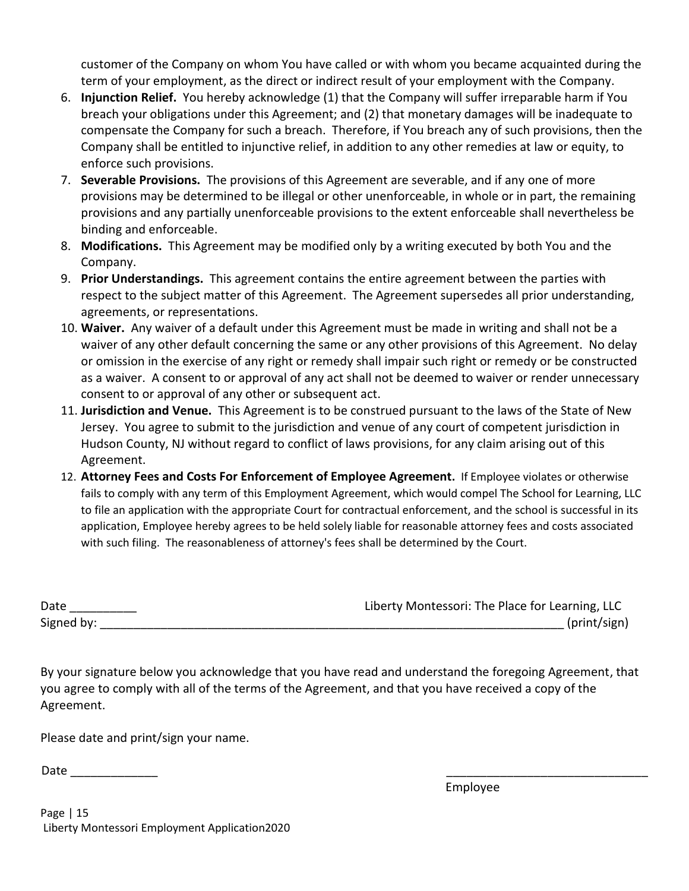customer of the Company on whom You have called or with whom you became acquainted during the term of your employment, as the direct or indirect result of your employment with the Company.

- 6. **Injunction Relief.** You hereby acknowledge (1) that the Company will suffer irreparable harm if You breach your obligations under this Agreement; and (2) that monetary damages will be inadequate to compensate the Company for such a breach. Therefore, if You breach any of such provisions, then the Company shall be entitled to injunctive relief, in addition to any other remedies at law or equity, to enforce such provisions.
- 7. **Severable Provisions.** The provisions of this Agreement are severable, and if any one of more provisions may be determined to be illegal or other unenforceable, in whole or in part, the remaining provisions and any partially unenforceable provisions to the extent enforceable shall nevertheless be binding and enforceable.
- 8. **Modifications.** This Agreement may be modified only by a writing executed by both You and the Company.
- 9. **Prior Understandings.** This agreement contains the entire agreement between the parties with respect to the subject matter of this Agreement. The Agreement supersedes all prior understanding, agreements, or representations.
- 10. **Waiver.** Any waiver of a default under this Agreement must be made in writing and shall not be a waiver of any other default concerning the same or any other provisions of this Agreement. No delay or omission in the exercise of any right or remedy shall impair such right or remedy or be constructed as a waiver. A consent to or approval of any act shall not be deemed to waiver or render unnecessary consent to or approval of any other or subsequent act.
- 11. **Jurisdiction and Venue.** This Agreement is to be construed pursuant to the laws of the State of New Jersey. You agree to submit to the jurisdiction and venue of any court of competent jurisdiction in Hudson County, NJ without regard to conflict of laws provisions, for any claim arising out of this Agreement.
- 12. **Attorney Fees and Costs For Enforcement of Employee Agreement.** If Employee violates or otherwise fails to comply with any term of this Employment Agreement, which would compel The School for Learning, LLC to file an application with the appropriate Court for contractual enforcement, and the school is successful in its application, Employee hereby agrees to be held solely liable for reasonable attorney fees and costs associated with such filing. The reasonableness of attorney's fees shall be determined by the Court.

| Date       | Liberty Montessori: The Place for Learning, LLC |
|------------|-------------------------------------------------|
| Signed by: | (print/sign)                                    |

By your signature below you acknowledge that you have read and understand the foregoing Agreement, that you agree to comply with all of the terms of the Agreement, and that you have received a copy of the Agreement.

Please date and print/sign your name.

Date \_\_\_\_\_\_\_\_\_\_\_\_\_\_\_\_\_

Employee

Page | 15 Liberty Montessori Employment Application2020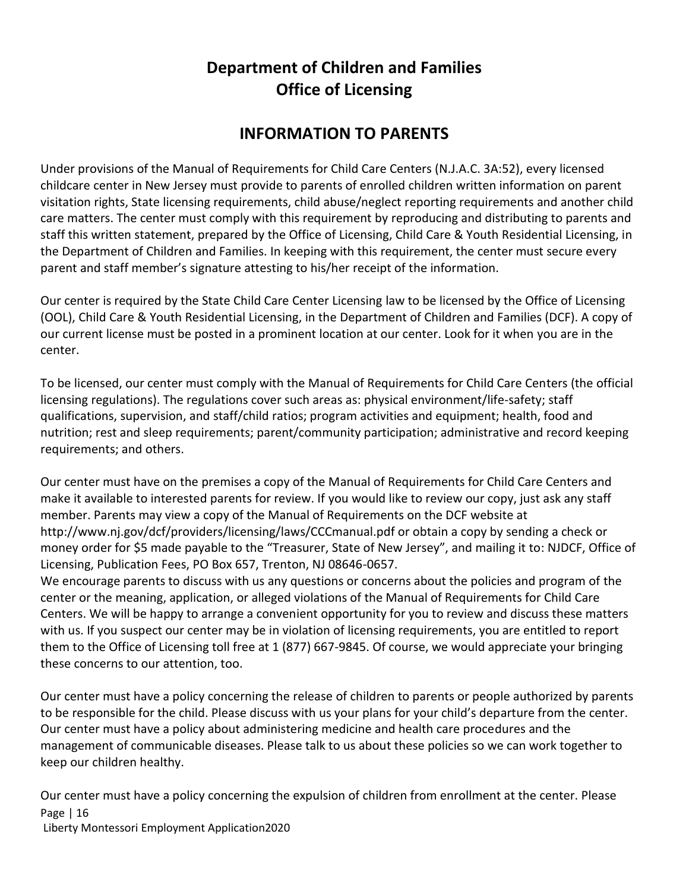### **Department of Children and Families Office of Licensing**

### **INFORMATION TO PARENTS**

Under provisions of the Manual of Requirements for Child Care Centers (N.J.A.C. 3A:52), every licensed childcare center in New Jersey must provide to parents of enrolled children written information on parent visitation rights, State licensing requirements, child abuse/neglect reporting requirements and another child care matters. The center must comply with this requirement by reproducing and distributing to parents and staff this written statement, prepared by the Office of Licensing, Child Care & Youth Residential Licensing, in the Department of Children and Families. In keeping with this requirement, the center must secure every parent and staff member's signature attesting to his/her receipt of the information.

Our center is required by the State Child Care Center Licensing law to be licensed by the Office of Licensing (OOL), Child Care & Youth Residential Licensing, in the Department of Children and Families (DCF). A copy of our current license must be posted in a prominent location at our center. Look for it when you are in the center.

To be licensed, our center must comply with the Manual of Requirements for Child Care Centers (the official licensing regulations). The regulations cover such areas as: physical environment/life-safety; staff qualifications, supervision, and staff/child ratios; program activities and equipment; health, food and nutrition; rest and sleep requirements; parent/community participation; administrative and record keeping requirements; and others.

Our center must have on the premises a copy of the Manual of Requirements for Child Care Centers and make it available to interested parents for review. If you would like to review our copy, just ask any staff member. Parents may view a copy of the Manual of Requirements on the DCF website at http://www.nj.gov/dcf/providers/licensing/laws/CCCmanual.pdf or obtain a copy by sending a check or money order for \$5 made payable to the "Treasurer, State of New Jersey", and mailing it to: NJDCF, Office of Licensing, Publication Fees, PO Box 657, Trenton, NJ 08646-0657.

We encourage parents to discuss with us any questions or concerns about the policies and program of the center or the meaning, application, or alleged violations of the Manual of Requirements for Child Care Centers. We will be happy to arrange a convenient opportunity for you to review and discuss these matters with us. If you suspect our center may be in violation of licensing requirements, you are entitled to report them to the Office of Licensing toll free at 1 (877) 667-9845. Of course, we would appreciate your bringing these concerns to our attention, too.

Our center must have a policy concerning the release of children to parents or people authorized by parents to be responsible for the child. Please discuss with us your plans for your child's departure from the center. Our center must have a policy about administering medicine and health care procedures and the management of communicable diseases. Please talk to us about these policies so we can work together to keep our children healthy.

Page | 16 Liberty Montessori Employment Application2020 Our center must have a policy concerning the expulsion of children from enrollment at the center. Please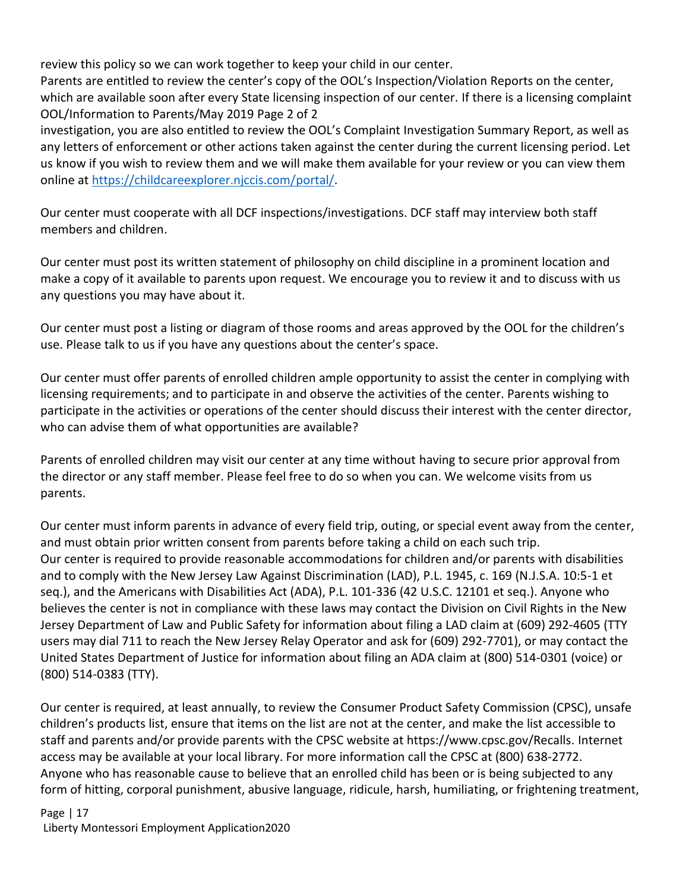review this policy so we can work together to keep your child in our center.

Parents are entitled to review the center's copy of the OOL's Inspection/Violation Reports on the center, which are available soon after every State licensing inspection of our center. If there is a licensing complaint OOL/Information to Parents/May 2019 Page 2 of 2

investigation, you are also entitled to review the OOL's Complaint Investigation Summary Report, as well as any letters of enforcement or other actions taken against the center during the current licensing period. Let us know if you wish to review them and we will make them available for your review or you can view them online at [https://childcareexplorer.njccis.com/portal/.](https://childcareexplorer.njccis.com/portal/)

Our center must cooperate with all DCF inspections/investigations. DCF staff may interview both staff members and children.

Our center must post its written statement of philosophy on child discipline in a prominent location and make a copy of it available to parents upon request. We encourage you to review it and to discuss with us any questions you may have about it.

Our center must post a listing or diagram of those rooms and areas approved by the OOL for the children's use. Please talk to us if you have any questions about the center's space.

Our center must offer parents of enrolled children ample opportunity to assist the center in complying with licensing requirements; and to participate in and observe the activities of the center. Parents wishing to participate in the activities or operations of the center should discuss their interest with the center director, who can advise them of what opportunities are available?

Parents of enrolled children may visit our center at any time without having to secure prior approval from the director or any staff member. Please feel free to do so when you can. We welcome visits from us parents.

Our center must inform parents in advance of every field trip, outing, or special event away from the center, and must obtain prior written consent from parents before taking a child on each such trip. Our center is required to provide reasonable accommodations for children and/or parents with disabilities and to comply with the New Jersey Law Against Discrimination (LAD), P.L. 1945, c. 169 (N.J.S.A. 10:5-1 et seq.), and the Americans with Disabilities Act (ADA), P.L. 101-336 (42 U.S.C. 12101 et seq.). Anyone who believes the center is not in compliance with these laws may contact the Division on Civil Rights in the New Jersey Department of Law and Public Safety for information about filing a LAD claim at (609) 292-4605 (TTY users may dial 711 to reach the New Jersey Relay Operator and ask for (609) 292-7701), or may contact the United States Department of Justice for information about filing an ADA claim at (800) 514-0301 (voice) or (800) 514-0383 (TTY).

Our center is required, at least annually, to review the Consumer Product Safety Commission (CPSC), unsafe children's products list, ensure that items on the list are not at the center, and make the list accessible to staff and parents and/or provide parents with the CPSC website at https://www.cpsc.gov/Recalls. Internet access may be available at your local library. For more information call the CPSC at (800) 638-2772. Anyone who has reasonable cause to believe that an enrolled child has been or is being subjected to any form of hitting, corporal punishment, abusive language, ridicule, harsh, humiliating, or frightening treatment,

#### Page | 17 Liberty Montessori Employment Application2020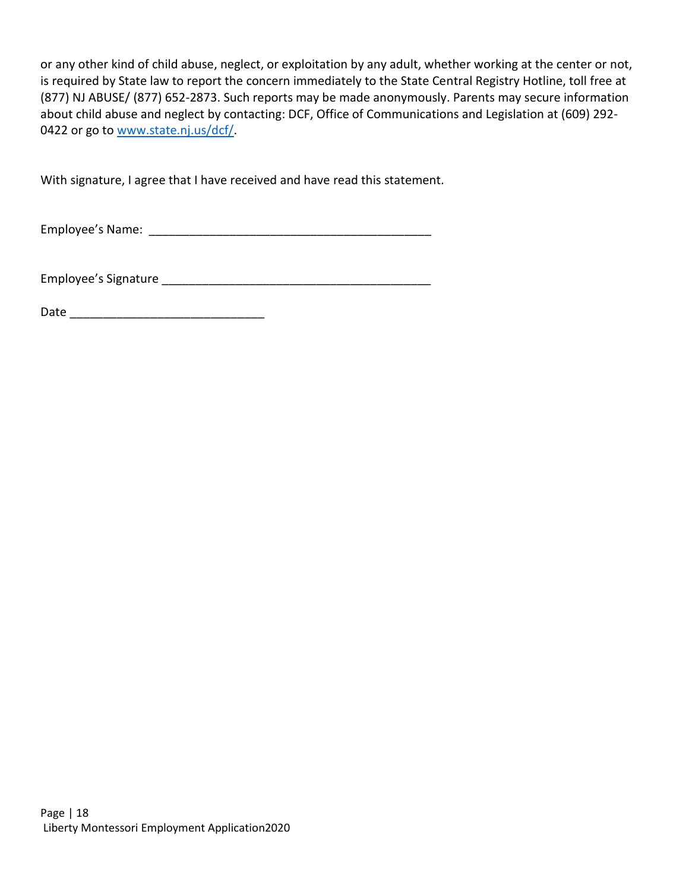or any other kind of child abuse, neglect, or exploitation by any adult, whether working at the center or not, is required by State law to report the concern immediately to the State Central Registry Hotline, toll free at (877) NJ ABUSE/ (877) 652-2873. Such reports may be made anonymously. Parents may secure information about child abuse and neglect by contacting: DCF, Office of Communications and Legislation at (609) 292- 0422 or go to [www.state.nj.us/dcf/.](http://www.state.nj.us/dcf/)

With signature, I agree that I have received and have read this statement.

Employee's Name: **Employee's** Name:

Employee's Signature \_\_\_\_\_\_\_\_\_\_\_\_\_\_\_\_\_\_\_\_\_\_\_\_\_\_\_\_\_\_\_\_\_\_\_\_\_\_\_\_

Date \_\_\_\_\_\_\_\_\_\_\_\_\_\_\_\_\_\_\_\_\_\_\_\_\_\_\_\_\_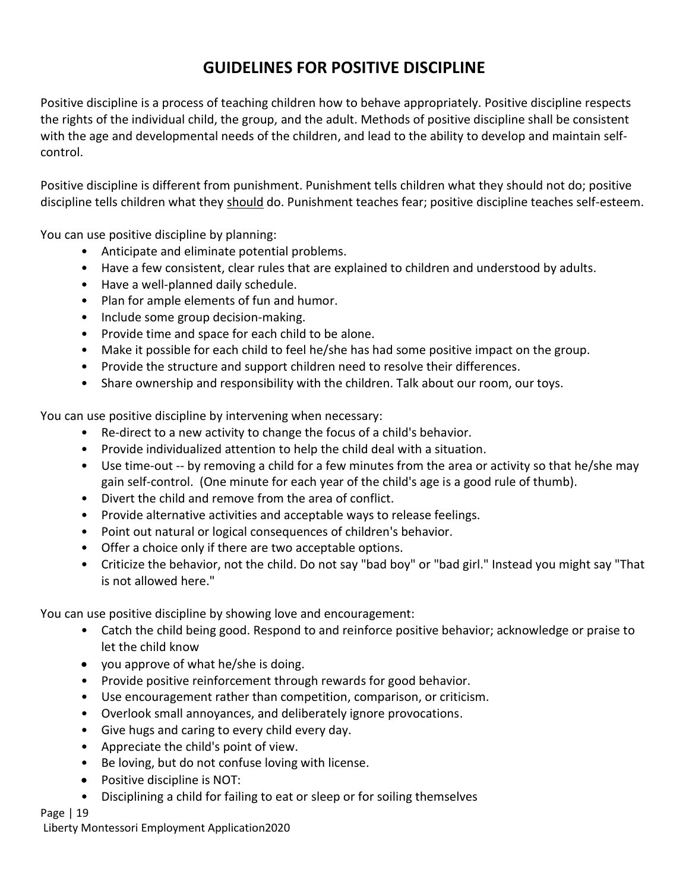### **GUIDELINES FOR POSITIVE DISCIPLINE**

Positive discipline is a process of teaching children how to behave appropriately. Positive discipline respects the rights of the individual child, the group, and the adult. Methods of positive discipline shall be consistent with the age and developmental needs of the children, and lead to the ability to develop and maintain selfcontrol.

Positive discipline is different from punishment. Punishment tells children what they should not do; positive discipline tells children what they should do. Punishment teaches fear; positive discipline teaches self-esteem.

You can use positive discipline by planning:

- Anticipate and eliminate potential problems.
- Have a few consistent, clear rules that are explained to children and understood by adults.
- Have a well-planned daily schedule.
- Plan for ample elements of fun and humor.
- Include some group decision-making.
- Provide time and space for each child to be alone.
- Make it possible for each child to feel he/she has had some positive impact on the group.
- Provide the structure and support children need to resolve their differences.
- Share ownership and responsibility with the children. Talk about our room, our toys.

You can use positive discipline by intervening when necessary:

- Re-direct to a new activity to change the focus of a child's behavior.
- Provide individualized attention to help the child deal with a situation.
- Use time-out -- by removing a child for a few minutes from the area or activity so that he/she may gain self-control. (One minute for each year of the child's age is a good rule of thumb).
- Divert the child and remove from the area of conflict.
- Provide alternative activities and acceptable ways to release feelings.
- Point out natural or logical consequences of children's behavior.
- Offer a choice only if there are two acceptable options.
- Criticize the behavior, not the child. Do not say "bad boy" or "bad girl." Instead you might say "That is not allowed here."

You can use positive discipline by showing love and encouragement:

- Catch the child being good. Respond to and reinforce positive behavior; acknowledge or praise to let the child know
- you approve of what he/she is doing.
- Provide positive reinforcement through rewards for good behavior.
- Use encouragement rather than competition, comparison, or criticism.
- Overlook small annoyances, and deliberately ignore provocations.
- Give hugs and caring to every child every day.
- Appreciate the child's point of view.
- Be loving, but do not confuse loving with license.
- Positive discipline is NOT:
- Disciplining a child for failing to eat or sleep or for soiling themselves

#### Page | 19

Liberty Montessori Employment Application2020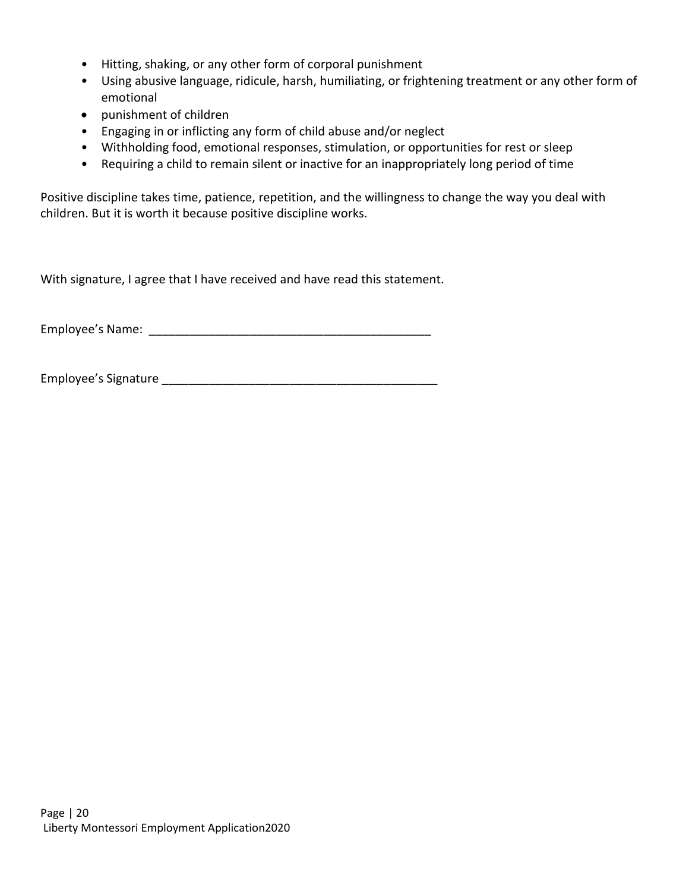- Hitting, shaking, or any other form of corporal punishment
- Using abusive language, ridicule, harsh, humiliating, or frightening treatment or any other form of emotional
- punishment of children
- Engaging in or inflicting any form of child abuse and/or neglect
- Withholding food, emotional responses, stimulation, or opportunities for rest or sleep
- Requiring a child to remain silent or inactive for an inappropriately long period of time

Positive discipline takes time, patience, repetition, and the willingness to change the way you deal with children. But it is worth it because positive discipline works.

With signature, I agree that I have received and have read this statement.

Employee's Name: <u>Discussion</u>

Employee's Signature \_\_\_\_\_\_\_\_\_\_\_\_\_\_\_\_\_\_\_\_\_\_\_\_\_\_\_\_\_\_\_\_\_\_\_\_\_\_\_\_\_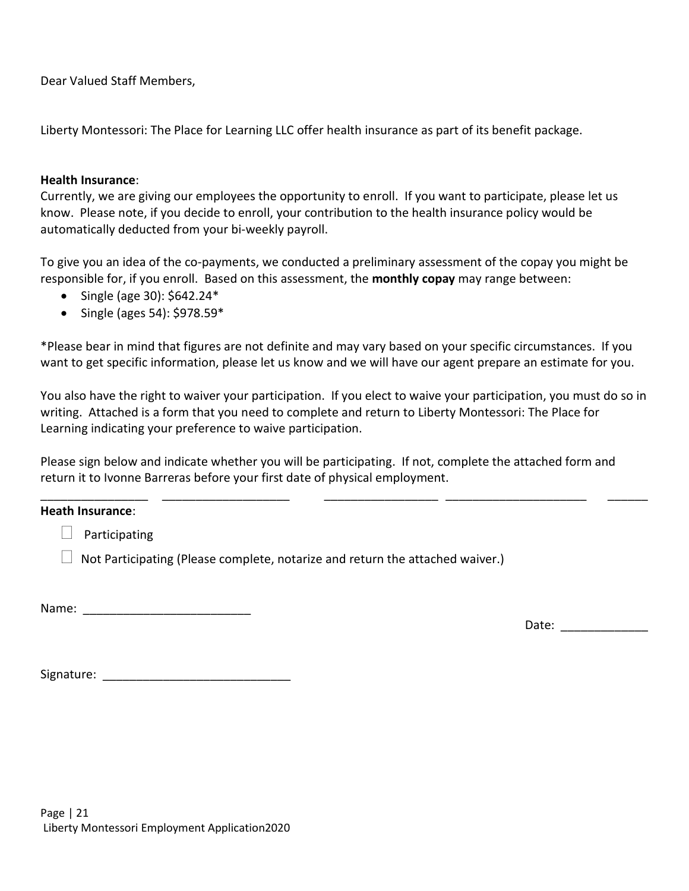Dear Valued Staff Members,

Liberty Montessori: The Place for Learning LLC offer health insurance as part of its benefit package.

#### **Health Insurance**:

Currently, we are giving our employees the opportunity to enroll. If you want to participate, please let us know. Please note, if you decide to enroll, your contribution to the health insurance policy would be automatically deducted from your bi-weekly payroll.

To give you an idea of the co-payments, we conducted a preliminary assessment of the copay you might be responsible for, if you enroll. Based on this assessment, the **monthly copay** may range between:

- Single (age 30): \$642.24\*
- Single (ages 54): \$978.59\*

\*Please bear in mind that figures are not definite and may vary based on your specific circumstances. If you want to get specific information, please let us know and we will have our agent prepare an estimate for you.

You also have the right to waiver your participation. If you elect to waive your participation, you must do so in writing. Attached is a form that you need to complete and return to Liberty Montessori: The Place for Learning indicating your preference to waive participation.

Please sign below and indicate whether you will be participating. If not, complete the attached form and return it to Ivonne Barreras before your first date of physical employment.

| <b>Heath Insurance:</b>                                                       |       |
|-------------------------------------------------------------------------------|-------|
| Participating                                                                 |       |
| Not Participating (Please complete, notarize and return the attached waiver.) |       |
| Name:                                                                         | Date: |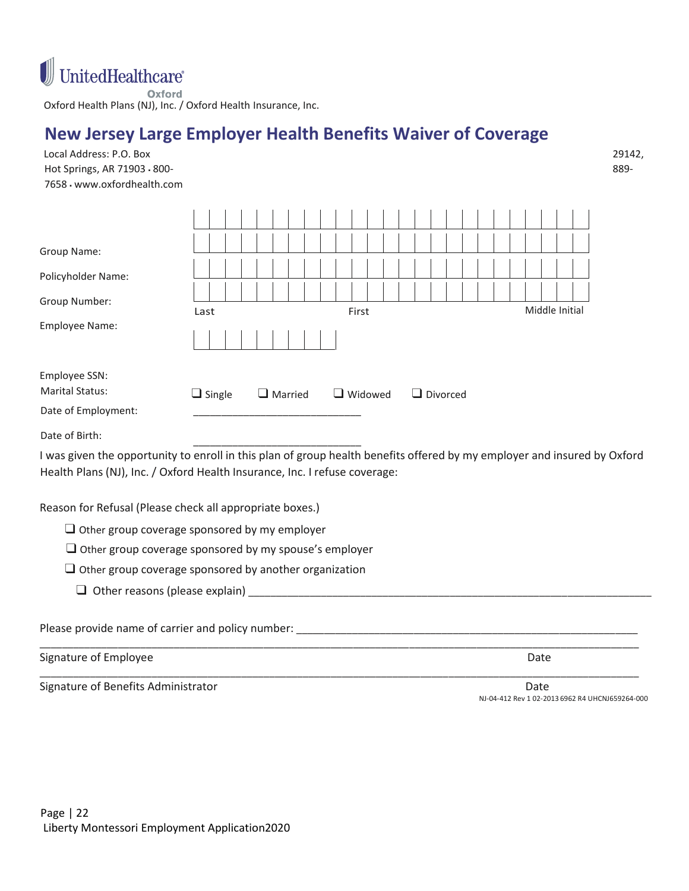## $\textcolor{red}{\textbf{1}}\hspace{-2.5pt}\text{UnitedHealthcare}^*$

Oxford Oxford Health Plans (NJ), Inc. / Oxford Health Insurance, Inc.

### **New Jersey Large Employer Health Benefits Waiver of Coverage**

| Local Address: P.O. Box<br>Hot Springs, AR 71903 - 800-                    |                                 |                |                                                                                                                          | 29142,<br>889- |  |
|----------------------------------------------------------------------------|---------------------------------|----------------|--------------------------------------------------------------------------------------------------------------------------|----------------|--|
| 7658 - www.oxfordhealth.com                                                |                                 |                |                                                                                                                          |                |  |
| Group Name:                                                                |                                 |                |                                                                                                                          |                |  |
| Policyholder Name:                                                         |                                 |                |                                                                                                                          |                |  |
| Group Number:                                                              | Last                            | First          | Middle Initial                                                                                                           |                |  |
| Employee Name:                                                             |                                 |                |                                                                                                                          |                |  |
| Employee SSN:<br><b>Marital Status:</b>                                    | $\Box$ Single<br>$\Box$ Married | $\Box$ Widowed | $\Box$ Divorced                                                                                                          |                |  |
| Date of Employment:                                                        |                                 |                |                                                                                                                          |                |  |
| Date of Birth:                                                             |                                 |                |                                                                                                                          |                |  |
| Health Plans (NJ), Inc. / Oxford Health Insurance, Inc. I refuse coverage: |                                 |                | I was given the opportunity to enroll in this plan of group health benefits offered by my employer and insured by Oxford |                |  |
| Reason for Refusal (Please check all appropriate boxes.)                   |                                 |                |                                                                                                                          |                |  |
| $\Box$ Other group coverage sponsored by my employer                       |                                 |                |                                                                                                                          |                |  |
| $\Box$ Other group coverage sponsored by my spouse's employer              |                                 |                |                                                                                                                          |                |  |
| $\Box$ Other group coverage sponsored by another organization              |                                 |                |                                                                                                                          |                |  |
|                                                                            |                                 |                |                                                                                                                          |                |  |
|                                                                            |                                 |                |                                                                                                                          |                |  |
| Signature of Employee                                                      |                                 |                | Date                                                                                                                     |                |  |

Signature of Benefits Administrator Date and School and Date Date Date

NJ-04-412 Rev 1 02-2013 6962 R4 UHCNJ659264-000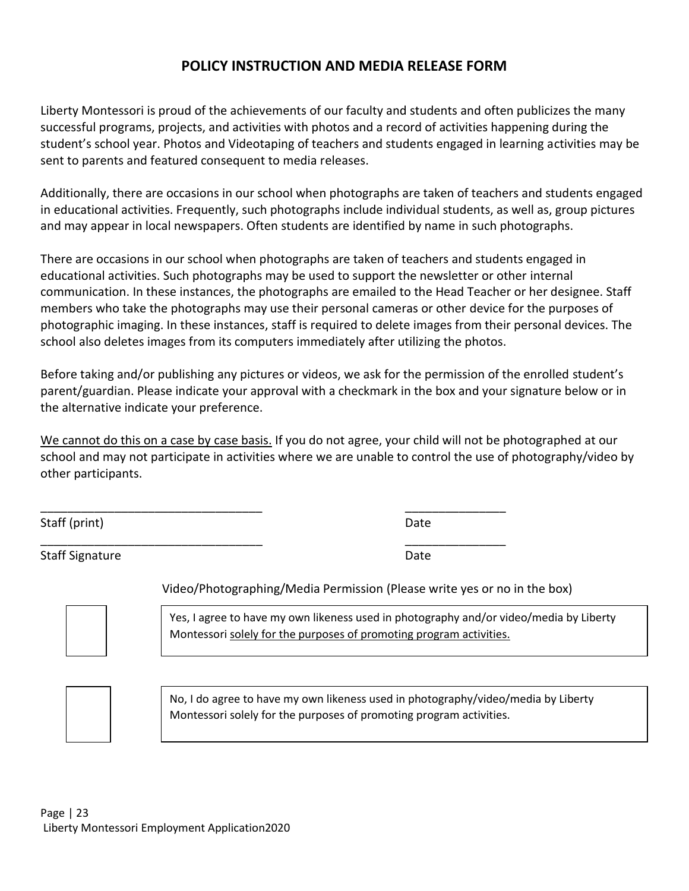#### **POLICY INSTRUCTION AND MEDIA RELEASE FORM**

Liberty Montessori is proud of the achievements of our faculty and students and often publicizes the many successful programs, projects, and activities with photos and a record of activities happening during the student's school year. Photos and Videotaping of teachers and students engaged in learning activities may be sent to parents and featured consequent to media releases.

Additionally, there are occasions in our school when photographs are taken of teachers and students engaged in educational activities. Frequently, such photographs include individual students, as well as, group pictures and may appear in local newspapers. Often students are identified by name in such photographs.

There are occasions in our school when photographs are taken of teachers and students engaged in educational activities. Such photographs may be used to support the newsletter or other internal communication. In these instances, the photographs are emailed to the Head Teacher or her designee. Staff members who take the photographs may use their personal cameras or other device for the purposes of photographic imaging. In these instances, staff is required to delete images from their personal devices. The school also deletes images from its computers immediately after utilizing the photos.

Before taking and/or publishing any pictures or videos, we ask for the permission of the enrolled student's parent/guardian. Please indicate your approval with a checkmark in the box and your signature below or in the alternative indicate your preference.

We cannot do this on a case by case basis. If you do not agree, your child will not be photographed at our school and may not participate in activities where we are unable to control the use of photography/video by other participants.

\_\_\_\_\_\_\_\_\_\_\_\_\_\_\_\_\_\_\_\_\_\_\_\_\_\_\_\_\_\_\_\_\_ \_\_\_\_\_\_\_\_\_\_\_\_\_\_\_

\_\_\_\_\_\_\_\_\_\_\_\_\_\_\_\_\_\_\_\_\_\_\_\_\_\_\_\_\_\_\_\_\_ \_\_\_\_\_\_\_\_\_\_\_\_\_\_\_

Staff (print) Date

Staff Signature Date Date Date

Video/Photographing/Media Permission (Please write yes or no in the box)



Yes, I agree to have my own likeness used in photography and/or video/media by Liberty Montessori solely for the purposes of promoting program activities.



No, I do agree to have my own likeness used in photography/video/media by Liberty Montessori solely for the purposes of promoting program activities.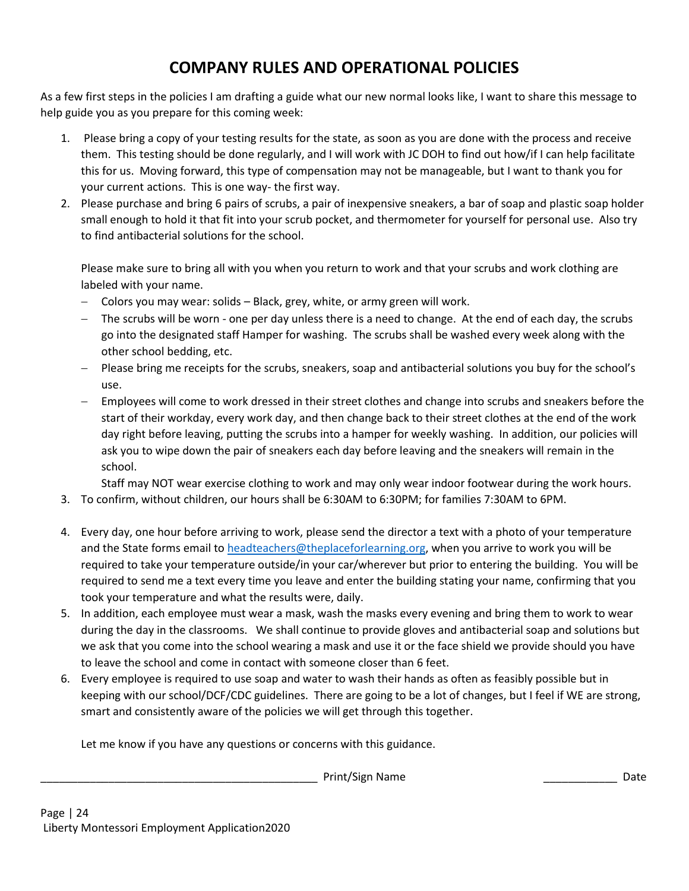### **COMPANY RULES AND OPERATIONAL POLICIES**

As a few first steps in the policies I am drafting a guide what our new normal looks like, I want to share this message to help guide you as you prepare for this coming week:

- 1. Please bring a copy of your testing results for the state, as soon as you are done with the process and receive them. This testing should be done regularly, and I will work with JC DOH to find out how/if I can help facilitate this for us. Moving forward, this type of compensation may not be manageable, but I want to thank you for your current actions. This is one way- the first way.
- 2. Please purchase and bring 6 pairs of scrubs, a pair of inexpensive sneakers, a bar of soap and plastic soap holder small enough to hold it that fit into your scrub pocket, and thermometer for yourself for personal use. Also try to find antibacterial solutions for the school.

Please make sure to bring all with you when you return to work and that your scrubs and work clothing are labeled with your name.

- − Colors you may wear: solids Black, grey, white, or army green will work.
- − The scrubs will be worn one per day unless there is a need to change. At the end of each day, the scrubs go into the designated staff Hamper for washing. The scrubs shall be washed every week along with the other school bedding, etc.
- − Please bring me receipts for the scrubs, sneakers, soap and antibacterial solutions you buy for the school's use.
- − Employees will come to work dressed in their street clothes and change into scrubs and sneakers before the start of their workday, every work day, and then change back to their street clothes at the end of the work day right before leaving, putting the scrubs into a hamper for weekly washing. In addition, our policies will ask you to wipe down the pair of sneakers each day before leaving and the sneakers will remain in the school.

Staff may NOT wear exercise clothing to work and may only wear indoor footwear during the work hours.

- 3. To confirm, without children, our hours shall be 6:30AM to 6:30PM; for families 7:30AM to 6PM.
- 4. Every day, one hour before arriving to work, please send the director a text with a photo of your temperature and the State forms email to [headteachers@theplaceforlearning.org,](mailto:headteachers@theplaceforlearning.org) when you arrive to work you will be required to take your temperature outside/in your car/wherever but prior to entering the building. You will be required to send me a text every time you leave and enter the building stating your name, confirming that you took your temperature and what the results were, daily.
- 5. In addition, each employee must wear a mask, wash the masks every evening and bring them to work to wear during the day in the classrooms. We shall continue to provide gloves and antibacterial soap and solutions but we ask that you come into the school wearing a mask and use it or the face shield we provide should you have to leave the school and come in contact with someone closer than 6 feet.
- 6. Every employee is required to use soap and water to wash their hands as often as feasibly possible but in keeping with our school/DCF/CDC guidelines. There are going to be a lot of changes, but I feel if WE are strong, smart and consistently aware of the policies we will get through this together.

Let me know if you have any questions or concerns with this guidance.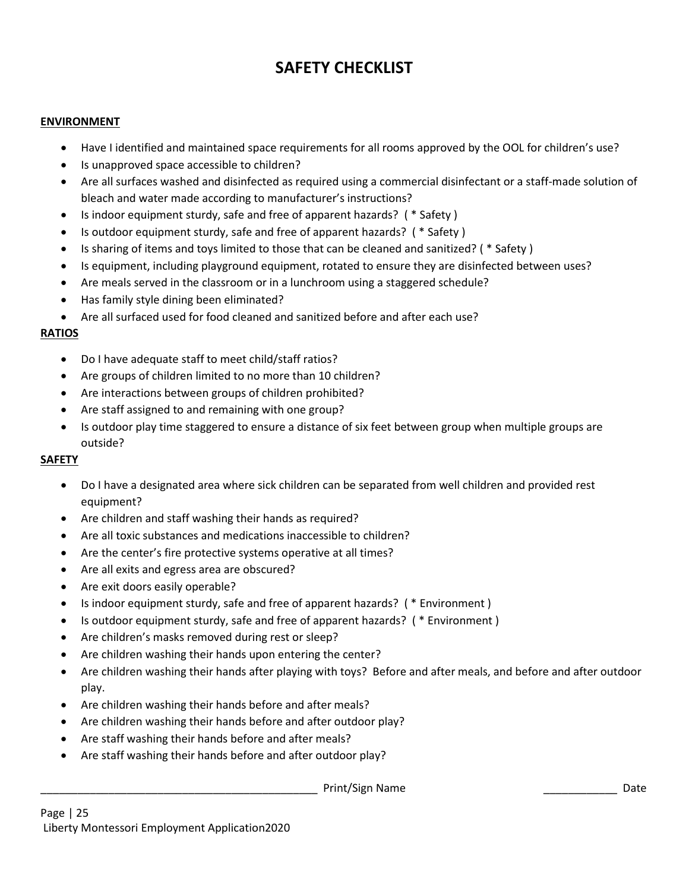### **SAFETY CHECKLIST**

#### **ENVIRONMENT**

- Have I identified and maintained space requirements for all rooms approved by the OOL for children's use?
- Is unapproved space accessible to children?
- Are all surfaces washed and disinfected as required using a commercial disinfectant or a staff-made solution of bleach and water made according to manufacturer's instructions?
- Is indoor equipment sturdy, safe and free of apparent hazards? ( \* Safety )
- Is outdoor equipment sturdy, safe and free of apparent hazards? ( \* Safety )
- Is sharing of items and toys limited to those that can be cleaned and sanitized? ( \* Safety )
- Is equipment, including playground equipment, rotated to ensure they are disinfected between uses?
- Are meals served in the classroom or in a lunchroom using a staggered schedule?
- Has family style dining been eliminated?
- Are all surfaced used for food cleaned and sanitized before and after each use?

#### **RATIOS**

- Do I have adequate staff to meet child/staff ratios?
- Are groups of children limited to no more than 10 children?
- Are interactions between groups of children prohibited?
- Are staff assigned to and remaining with one group?
- Is outdoor play time staggered to ensure a distance of six feet between group when multiple groups are outside?

#### **SAFETY**

- Do I have a designated area where sick children can be separated from well children and provided rest equipment?
- Are children and staff washing their hands as required?
- Are all toxic substances and medications inaccessible to children?
- Are the center's fire protective systems operative at all times?
- Are all exits and egress area are obscured?
- Are exit doors easily operable?
- Is indoor equipment sturdy, safe and free of apparent hazards? ( \* Environment )
- Is outdoor equipment sturdy, safe and free of apparent hazards? ( \* Environment )
- Are children's masks removed during rest or sleep?
- Are children washing their hands upon entering the center?
- Are children washing their hands after playing with toys? Before and after meals, and before and after outdoor play.
- Are children washing their hands before and after meals?
- Are children washing their hands before and after outdoor play?
- Are staff washing their hands before and after meals?
- Are staff washing their hands before and after outdoor play?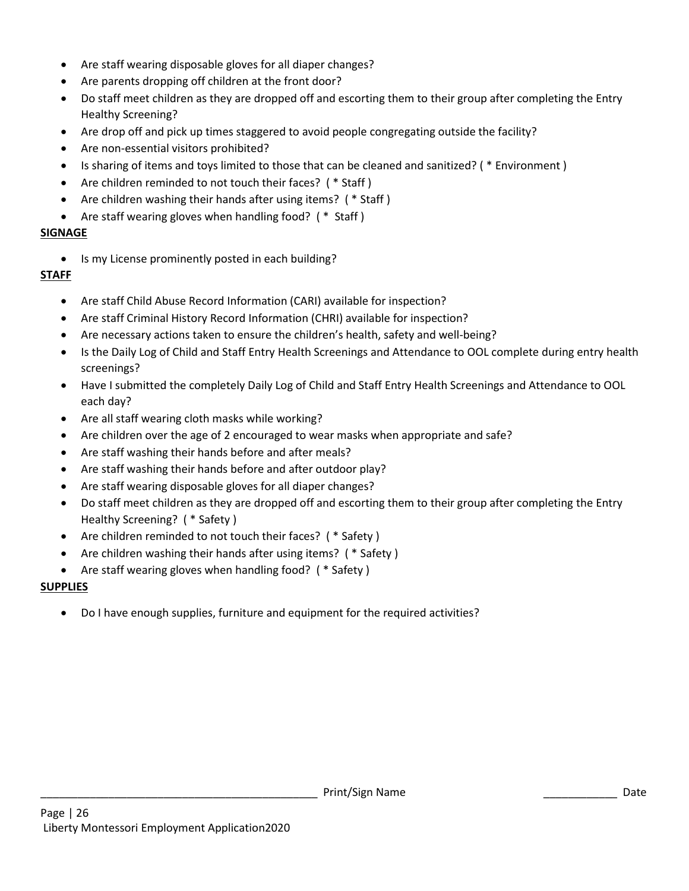- Are staff wearing disposable gloves for all diaper changes?
- Are parents dropping off children at the front door?
- Do staff meet children as they are dropped off and escorting them to their group after completing the Entry Healthy Screening?
- Are drop off and pick up times staggered to avoid people congregating outside the facility?
- Are non-essential visitors prohibited?
- Is sharing of items and toys limited to those that can be cleaned and sanitized? ( \* Environment )
- Are children reminded to not touch their faces? ( \* Staff )
- Are children washing their hands after using items? ( \* Staff )
- Are staff wearing gloves when handling food? ( \* Staff )

#### **SIGNAGE**

• Is my License prominently posted in each building?

#### **STAFF**

- Are staff Child Abuse Record Information (CARI) available for inspection?
- Are staff Criminal History Record Information (CHRI) available for inspection?
- Are necessary actions taken to ensure the children's health, safety and well-being?
- Is the Daily Log of Child and Staff Entry Health Screenings and Attendance to OOL complete during entry health screenings?
- Have I submitted the completely Daily Log of Child and Staff Entry Health Screenings and Attendance to OOL each day?
- Are all staff wearing cloth masks while working?
- Are children over the age of 2 encouraged to wear masks when appropriate and safe?
- Are staff washing their hands before and after meals?
- Are staff washing their hands before and after outdoor play?
- Are staff wearing disposable gloves for all diaper changes?
- Do staff meet children as they are dropped off and escorting them to their group after completing the Entry Healthy Screening? ( \* Safety )
- Are children reminded to not touch their faces? ( \* Safety )
- Are children washing their hands after using items? ( \* Safety )
- Are staff wearing gloves when handling food? ( \* Safety )

#### **SUPPLIES**

• Do I have enough supplies, furniture and equipment for the required activities?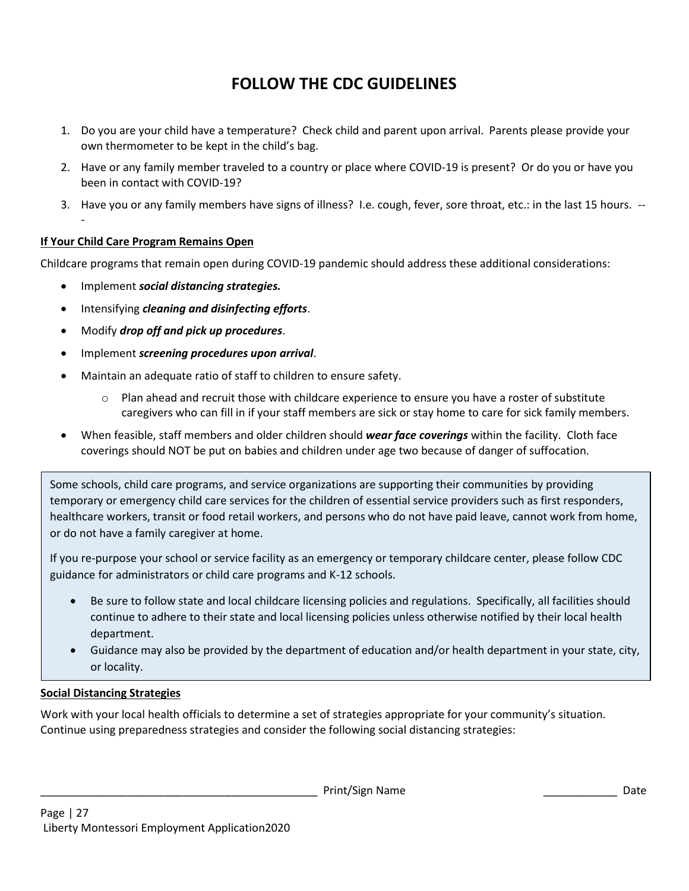### **FOLLOW THE CDC GUIDELINES**

- 1. Do you are your child have a temperature? Check child and parent upon arrival. Parents please provide your own thermometer to be kept in the child's bag.
- 2. Have or any family member traveled to a country or place where COVID-19 is present? Or do you or have you been in contact with COVID-19?
- 3. Have you or any family members have signs of illness? I.e. cough, fever, sore throat, etc.: in the last 15 hours. --

#### **If Your Child Care Program Remains Open**

-

Childcare programs that remain open during COVID-19 pandemic should address these additional considerations:

- Implement *social distancing strategies.*
- Intensifying *cleaning and disinfecting efforts*.
- Modify *drop off and pick up procedures*.
- Implement *screening procedures upon arrival*.
- Maintain an adequate ratio of staff to children to ensure safety.
	- $\circ$  Plan ahead and recruit those with childcare experience to ensure you have a roster of substitute caregivers who can fill in if your staff members are sick or stay home to care for sick family members.
- When feasible, staff members and older children should *wear face coverings* within the facility. Cloth face coverings should NOT be put on babies and children under age two because of danger of suffocation.

Some schools, child care programs, and service organizations are supporting their communities by providing temporary or emergency child care services for the children of essential service providers such as first responders, healthcare workers, transit or food retail workers, and persons who do not have paid leave, cannot work from home, or do not have a family caregiver at home.

If you re-purpose your school or service facility as an emergency or temporary childcare center, please follow CDC guidance for administrators or child care programs and K-12 schools.

- Be sure to follow state and local childcare licensing policies and regulations. Specifically, all facilities should continue to adhere to their state and local licensing policies unless otherwise notified by their local health department.
- Guidance may also be provided by the department of education and/or health department in your state, city, or locality.

#### **Social Distancing Strategies**

Work with your local health officials to determine a set of strategies appropriate for your community's situation. Continue using preparedness strategies and consider the following social distancing strategies: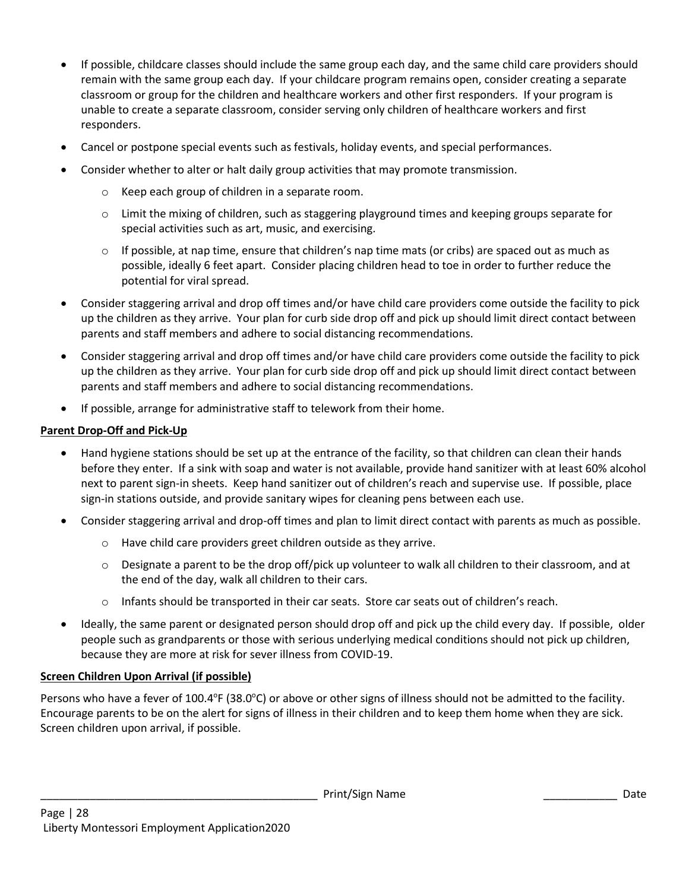- If possible, childcare classes should include the same group each day, and the same child care providers should remain with the same group each day. If your childcare program remains open, consider creating a separate classroom or group for the children and healthcare workers and other first responders. If your program is unable to create a separate classroom, consider serving only children of healthcare workers and first responders.
- Cancel or postpone special events such as festivals, holiday events, and special performances.
- Consider whether to alter or halt daily group activities that may promote transmission.
	- o Keep each group of children in a separate room.
	- o Limit the mixing of children, such as staggering playground times and keeping groups separate for special activities such as art, music, and exercising.
	- $\circ$  If possible, at nap time, ensure that children's nap time mats (or cribs) are spaced out as much as possible, ideally 6 feet apart. Consider placing children head to toe in order to further reduce the potential for viral spread.
- Consider staggering arrival and drop off times and/or have child care providers come outside the facility to pick up the children as they arrive. Your plan for curb side drop off and pick up should limit direct contact between parents and staff members and adhere to social distancing recommendations.
- Consider staggering arrival and drop off times and/or have child care providers come outside the facility to pick up the children as they arrive. Your plan for curb side drop off and pick up should limit direct contact between parents and staff members and adhere to social distancing recommendations.
- If possible, arrange for administrative staff to telework from their home.

#### **Parent Drop-Off and Pick-Up**

- Hand hygiene stations should be set up at the entrance of the facility, so that children can clean their hands before they enter. If a sink with soap and water is not available, provide hand sanitizer with at least 60% alcohol next to parent sign-in sheets. Keep hand sanitizer out of children's reach and supervise use. If possible, place sign-in stations outside, and provide sanitary wipes for cleaning pens between each use.
- Consider staggering arrival and drop-off times and plan to limit direct contact with parents as much as possible.
	- o Have child care providers greet children outside as they arrive.
	- $\circ$  Designate a parent to be the drop off/pick up volunteer to walk all children to their classroom, and at the end of the day, walk all children to their cars.
	- $\circ$  Infants should be transported in their car seats. Store car seats out of children's reach.
- Ideally, the same parent or designated person should drop off and pick up the child every day. If possible, older people such as grandparents or those with serious underlying medical conditions should not pick up children, because they are more at risk for sever illness from COVID-19.

#### **Screen Children Upon Arrival (if possible)**

Persons who have a fever of 100.4°F (38.0°C) or above or other signs of illness should not be admitted to the facility. Encourage parents to be on the alert for signs of illness in their children and to keep them home when they are sick. Screen children upon arrival, if possible.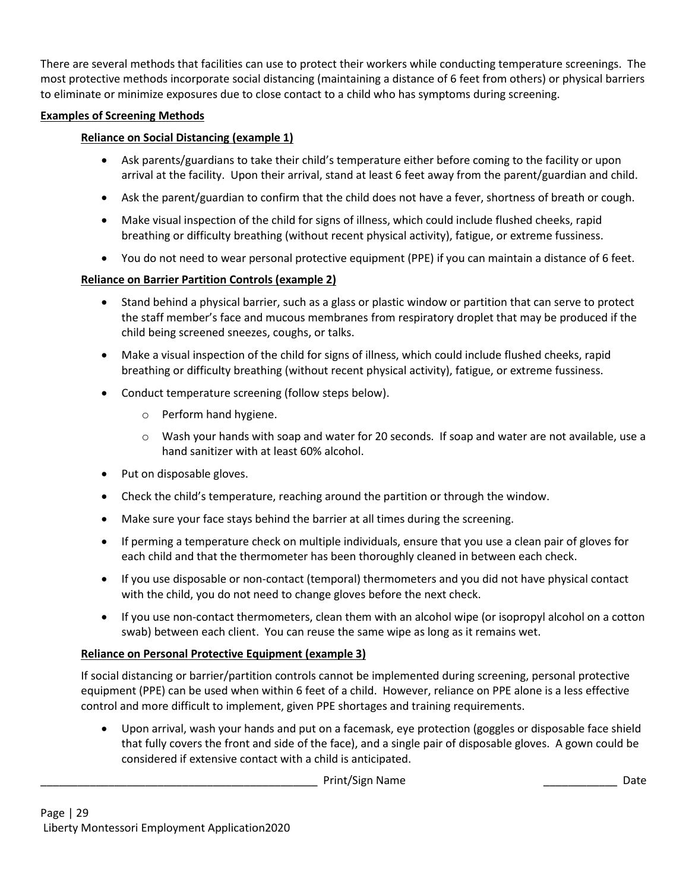There are several methods that facilities can use to protect their workers while conducting temperature screenings. The most protective methods incorporate social distancing (maintaining a distance of 6 feet from others) or physical barriers to eliminate or minimize exposures due to close contact to a child who has symptoms during screening.

#### **Examples of Screening Methods**

#### **Reliance on Social Distancing (example 1)**

- Ask parents/guardians to take their child's temperature either before coming to the facility or upon arrival at the facility. Upon their arrival, stand at least 6 feet away from the parent/guardian and child.
- Ask the parent/guardian to confirm that the child does not have a fever, shortness of breath or cough.
- Make visual inspection of the child for signs of illness, which could include flushed cheeks, rapid breathing or difficulty breathing (without recent physical activity), fatigue, or extreme fussiness.
- You do not need to wear personal protective equipment (PPE) if you can maintain a distance of 6 feet.

#### **Reliance on Barrier Partition Controls (example 2)**

- Stand behind a physical barrier, such as a glass or plastic window or partition that can serve to protect the staff member's face and mucous membranes from respiratory droplet that may be produced if the child being screened sneezes, coughs, or talks.
- Make a visual inspection of the child for signs of illness, which could include flushed cheeks, rapid breathing or difficulty breathing (without recent physical activity), fatigue, or extreme fussiness.
- Conduct temperature screening (follow steps below).
	- o Perform hand hygiene.
	- $\circ$  Wash your hands with soap and water for 20 seconds. If soap and water are not available, use a hand sanitizer with at least 60% alcohol.
- Put on disposable gloves.
- Check the child's temperature, reaching around the partition or through the window.
- Make sure your face stays behind the barrier at all times during the screening.
- If perming a temperature check on multiple individuals, ensure that you use a clean pair of gloves for each child and that the thermometer has been thoroughly cleaned in between each check.
- If you use disposable or non-contact (temporal) thermometers and you did not have physical contact with the child, you do not need to change gloves before the next check.
- If you use non-contact thermometers, clean them with an alcohol wipe (or isopropyl alcohol on a cotton swab) between each client. You can reuse the same wipe as long as it remains wet.

#### **Reliance on Personal Protective Equipment (example 3)**

If social distancing or barrier/partition controls cannot be implemented during screening, personal protective equipment (PPE) can be used when within 6 feet of a child. However, reliance on PPE alone is a less effective control and more difficult to implement, given PPE shortages and training requirements.

• Upon arrival, wash your hands and put on a facemask, eye protection (goggles or disposable face shield that fully covers the front and side of the face), and a single pair of disposable gloves. A gown could be considered if extensive contact with a child is anticipated.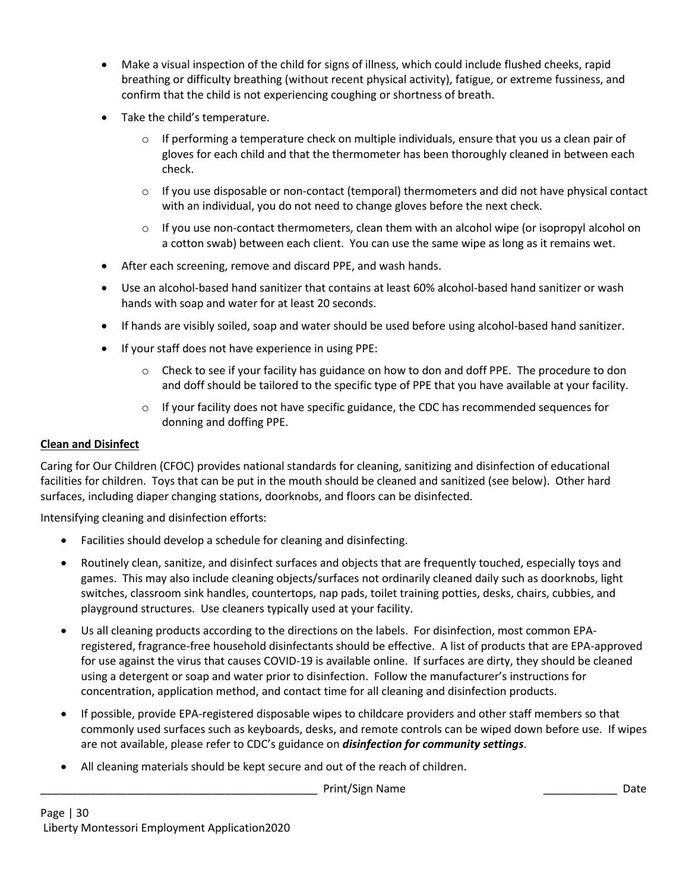- Make a visual inspection of the child for signs of illness, which could include flushed cheeks, rapid breathing or difficulty breathing (without recent physical activity), fatigue, or extreme fussiness, and confirm that the child is not experiencing coughing or shortness of breath.
- Take the child's temperature.
	- $\circ$  If performing a temperature check on multiple individuals, ensure that you us a clean pair of gloves for each child and that the thermometer has been thoroughly cleaned in between each check.
	- $\circ$  If you use disposable or non-contact (temporal) thermometers and did not have physical contact with an individual, you do not need to change gloves before the next check.
	- $\circ$  If you use non-contact thermometers, clean them with an alcohol wipe (or isopropyl alcohol on a cotton swab) between each client. You can use the same wipe as long as it remains wet.
- After each screening, remove and discard PPE, and wash hands.
- Use an alcohol-based hand sanitizer that contains at least 60% alcohol-based hand sanitizer or wash hands with soap and water for at least 20 seconds.
- If hands are visibly soiled, soap and water should be used before using alcohol-based hand sanitizer.
- If your staff does not have experience in using PPE:
	- $\circ$  Check to see if your facility has guidance on how to don and doff PPE. The procedure to don and doff should be tailored to the specific type of PPE that you have available at your facility.
	- $\circ$  If your facility does not have specific guidance, the CDC has recommended sequences for donning and doffing PPE.

#### **Clean and Disinfect**

Caring for Our Children (CFOC) provides national standards for cleaning, sanitizing and disinfection of educational facilities for children. Toys that can be put in the mouth should be cleaned and sanitized (see below). Other hard surfaces, including diaper changing stations, doorknobs, and floors can be disinfected.

Intensifying cleaning and disinfection efforts:

- Facilities should develop a schedule for cleaning and disinfecting.
- Routinely clean, sanitize, and disinfect surfaces and objects that are frequently touched, especially toys and games. This may also include cleaning objects/surfaces not ordinarily cleaned daily such as doorknobs, light switches, classroom sink handles, countertops, nap pads, toilet training potties, desks, chairs, cubbies, and playground structures. Use cleaners typically used at your facility.
- Us all cleaning products according to the directions on the labels. For disinfection, most common EPAregistered, fragrance-free household disinfectants should be effective. A list of products that are EPA-approved for use against the virus that causes COVID-19 is available online. If surfaces are dirty, they should be cleaned using a detergent or soap and water prior to disinfection. Follow the manufacturer's instructions for concentration, application method, and contact time for all cleaning and disinfection products.
- If possible, provide EPA-registered disposable wipes to childcare providers and other staff members so that commonly used surfaces such as keyboards, desks, and remote controls can be wiped down before use. If wipes are not available, please refer to CDC's guidance on *disinfection for community settings*.
- All cleaning materials should be kept secure and out of the reach of children.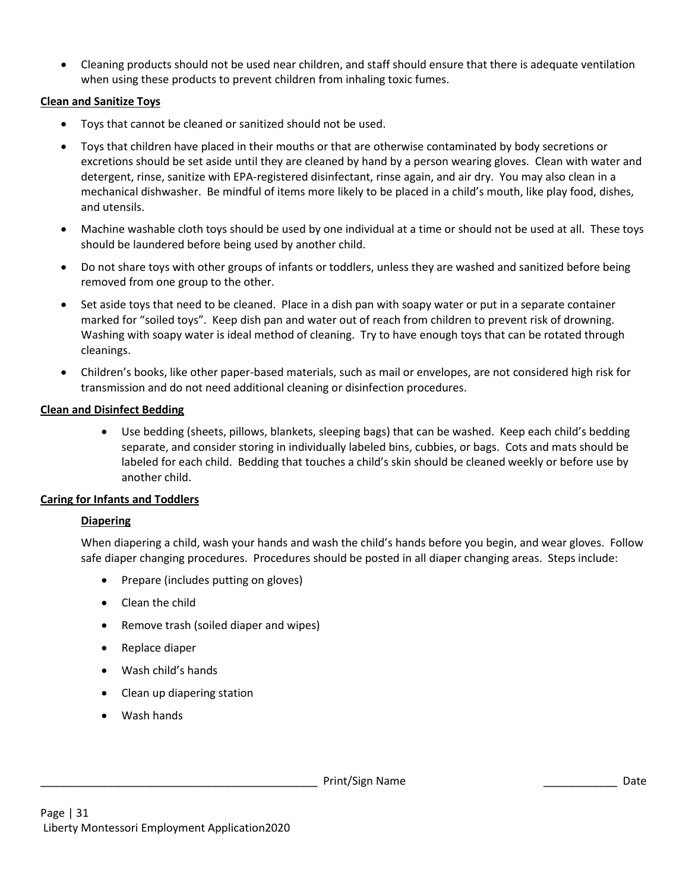• Cleaning products should not be used near children, and staff should ensure that there is adequate ventilation when using these products to prevent children from inhaling toxic fumes.

#### **Clean and Sanitize Toys**

- Toys that cannot be cleaned or sanitized should not be used.
- Toys that children have placed in their mouths or that are otherwise contaminated by body secretions or excretions should be set aside until they are cleaned by hand by a person wearing gloves. Clean with water and detergent, rinse, sanitize with EPA-registered disinfectant, rinse again, and air dry. You may also clean in a mechanical dishwasher. Be mindful of items more likely to be placed in a child's mouth, like play food, dishes, and utensils.
- Machine washable cloth toys should be used by one individual at a time or should not be used at all. These toys should be laundered before being used by another child.
- Do not share toys with other groups of infants or toddlers, unless they are washed and sanitized before being removed from one group to the other.
- Set aside toys that need to be cleaned. Place in a dish pan with soapy water or put in a separate container marked for "soiled toys". Keep dish pan and water out of reach from children to prevent risk of drowning. Washing with soapy water is ideal method of cleaning. Try to have enough toys that can be rotated through cleanings.
- Children's books, like other paper-based materials, such as mail or envelopes, are not considered high risk for transmission and do not need additional cleaning or disinfection procedures.

#### **Clean and Disinfect Bedding**

• Use bedding (sheets, pillows, blankets, sleeping bags) that can be washed. Keep each child's bedding separate, and consider storing in individually labeled bins, cubbies, or bags. Cots and mats should be labeled for each child. Bedding that touches a child's skin should be cleaned weekly or before use by another child.

#### **Caring for Infants and Toddlers**

#### **Diapering**

When diapering a child, wash your hands and wash the child's hands before you begin, and wear gloves. Follow safe diaper changing procedures. Procedures should be posted in all diaper changing areas. Steps include:

- Prepare (includes putting on gloves)
- Clean the child
- Remove trash (soiled diaper and wipes)
- Replace diaper
- Wash child's hands
- Clean up diapering station
- Wash hands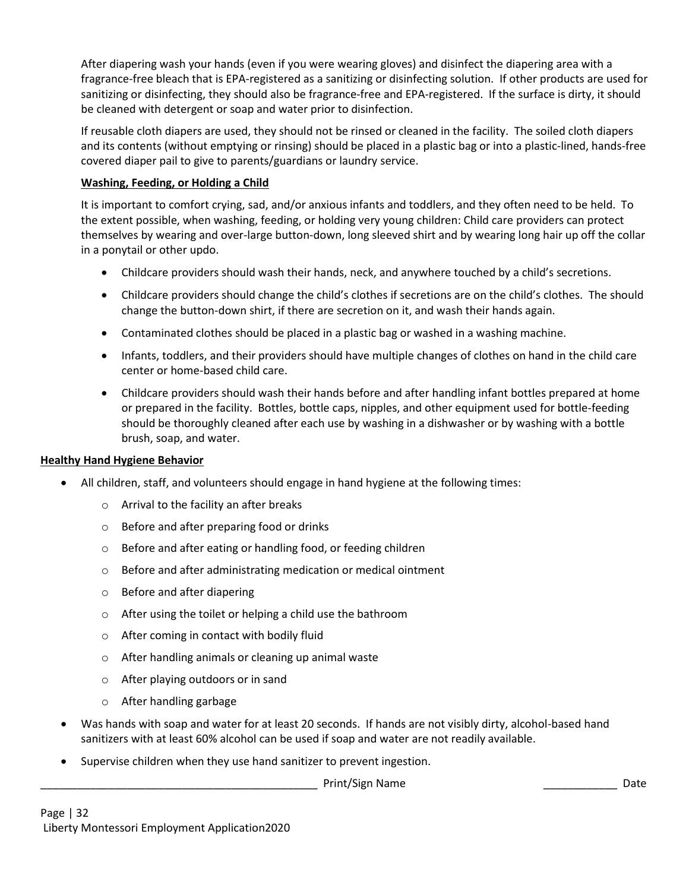After diapering wash your hands (even if you were wearing gloves) and disinfect the diapering area with a fragrance-free bleach that is EPA-registered as a sanitizing or disinfecting solution. If other products are used for sanitizing or disinfecting, they should also be fragrance-free and EPA-registered. If the surface is dirty, it should be cleaned with detergent or soap and water prior to disinfection.

If reusable cloth diapers are used, they should not be rinsed or cleaned in the facility. The soiled cloth diapers and its contents (without emptying or rinsing) should be placed in a plastic bag or into a plastic-lined, hands-free covered diaper pail to give to parents/guardians or laundry service.

#### **Washing, Feeding, or Holding a Child**

It is important to comfort crying, sad, and/or anxious infants and toddlers, and they often need to be held. To the extent possible, when washing, feeding, or holding very young children: Child care providers can protect themselves by wearing and over-large button-down, long sleeved shirt and by wearing long hair up off the collar in a ponytail or other updo.

- Childcare providers should wash their hands, neck, and anywhere touched by a child's secretions.
- Childcare providers should change the child's clothes if secretions are on the child's clothes. The should change the button-down shirt, if there are secretion on it, and wash their hands again.
- Contaminated clothes should be placed in a plastic bag or washed in a washing machine.
- Infants, toddlers, and their providers should have multiple changes of clothes on hand in the child care center or home-based child care.
- Childcare providers should wash their hands before and after handling infant bottles prepared at home or prepared in the facility. Bottles, bottle caps, nipples, and other equipment used for bottle-feeding should be thoroughly cleaned after each use by washing in a dishwasher or by washing with a bottle brush, soap, and water.

#### **Healthy Hand Hygiene Behavior**

- All children, staff, and volunteers should engage in hand hygiene at the following times:
	- o Arrival to the facility an after breaks
	- o Before and after preparing food or drinks
	- o Before and after eating or handling food, or feeding children
	- o Before and after administrating medication or medical ointment
	- o Before and after diapering
	- o After using the toilet or helping a child use the bathroom
	- o After coming in contact with bodily fluid
	- o After handling animals or cleaning up animal waste
	- o After playing outdoors or in sand
	- o After handling garbage
- Was hands with soap and water for at least 20 seconds. If hands are not visibly dirty, alcohol-based hand sanitizers with at least 60% alcohol can be used if soap and water are not readily available.
- Supervise children when they use hand sanitizer to prevent ingestion.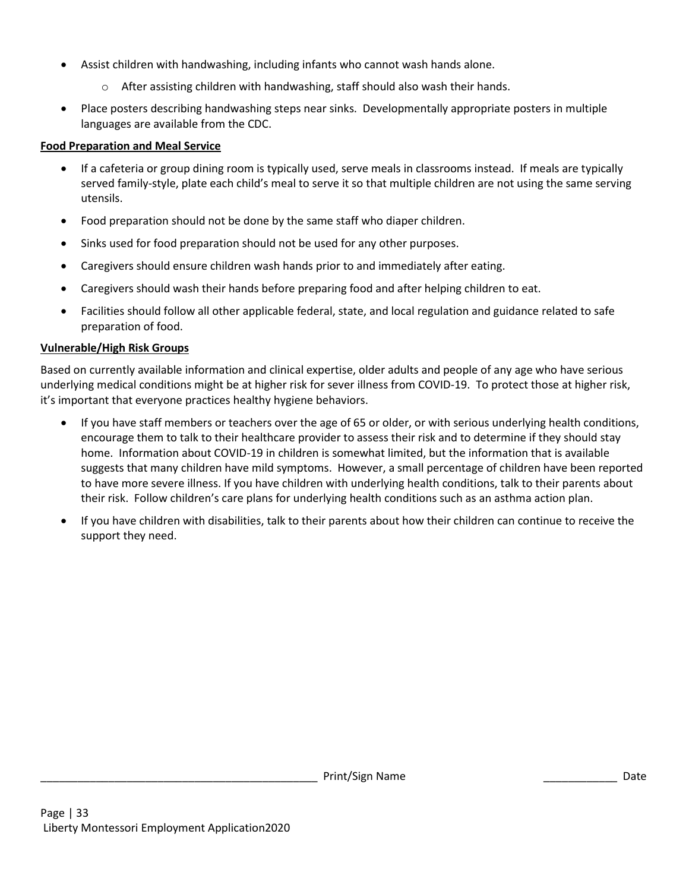- Assist children with handwashing, including infants who cannot wash hands alone.
	- o After assisting children with handwashing, staff should also wash their hands.
- Place posters describing handwashing steps near sinks. Developmentally appropriate posters in multiple languages are available from the CDC.

#### **Food Preparation and Meal Service**

- If a cafeteria or group dining room is typically used, serve meals in classrooms instead. If meals are typically served family-style, plate each child's meal to serve it so that multiple children are not using the same serving utensils.
- Food preparation should not be done by the same staff who diaper children.
- Sinks used for food preparation should not be used for any other purposes.
- Caregivers should ensure children wash hands prior to and immediately after eating.
- Caregivers should wash their hands before preparing food and after helping children to eat.
- Facilities should follow all other applicable federal, state, and local regulation and guidance related to safe preparation of food.

#### **Vulnerable/High Risk Groups**

Based on currently available information and clinical expertise, older adults and people of any age who have serious underlying medical conditions might be at higher risk for sever illness from COVID-19. To protect those at higher risk, it's important that everyone practices healthy hygiene behaviors.

- If you have staff members or teachers over the age of 65 or older, or with serious underlying health conditions, encourage them to talk to their healthcare provider to assess their risk and to determine if they should stay home. Information about COVID-19 in children is somewhat limited, but the information that is available suggests that many children have mild symptoms. However, a small percentage of children have been reported to have more severe illness. If you have children with underlying health conditions, talk to their parents about their risk. Follow children's care plans for underlying health conditions such as an asthma action plan.
- If you have children with disabilities, talk to their parents about how their children can continue to receive the support they need.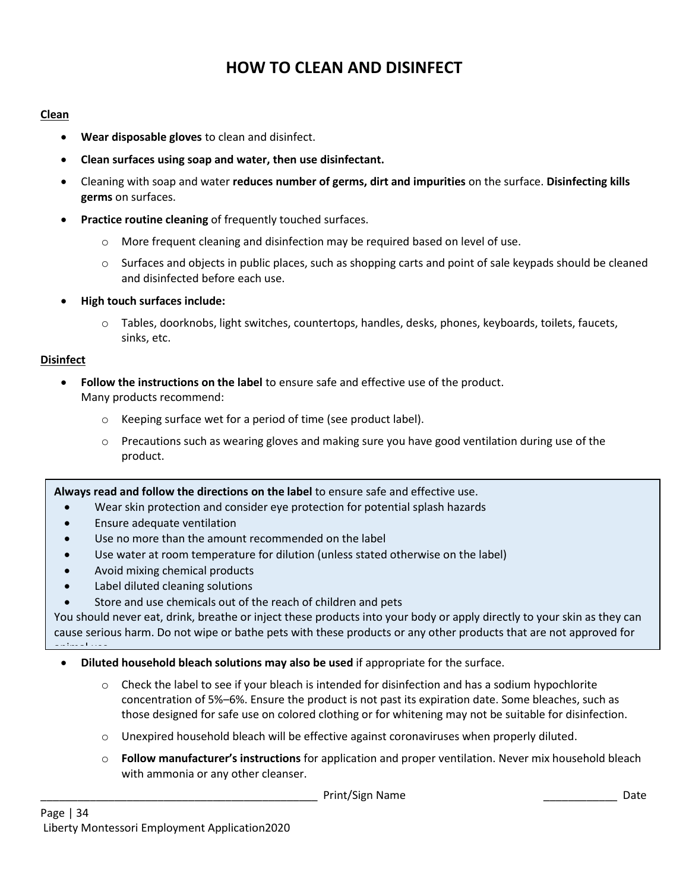### **HOW TO CLEAN AND DISINFECT**

#### **Clean**

- **Wear disposable gloves** to clean and disinfect.
- **Clean surfaces using soap and water, then use disinfectant.**
- Cleaning with soap and water **reduces number of germs, dirt and impurities** on the surface. **Disinfecting kills germs** on surfaces.
- **Practice routine cleaning** of frequently touched surfaces.
	- o More frequent cleaning and disinfection may be required based on level of use.
	- o Surfaces and objects in public places, such as shopping carts and point of sale keypads should be cleaned and disinfected before each use.
- **High touch surfaces include:**
	- $\circ$  Tables, doorknobs, light switches, countertops, handles, desks, phones, keyboards, toilets, faucets, sinks, etc.

#### **Disinfect**

- **Follow the instructions on the label** to ensure safe and effective use of the product. Many products recommend:
	- o Keeping surface wet for a period of time (see product label).
	- $\circ$  Precautions such as wearing gloves and making sure you have good ventilation during use of the product.

**Always read and follow the directions on the label** to ensure safe and effective use.

- Wear skin protection and consider eye protection for potential splash hazards
- Ensure adequate ventilation
- Use no more than the amount recommended on the label
- Use water at room temperature for dilution (unless stated otherwise on the label)
- Avoid mixing chemical products
- Label diluted cleaning solutions
- Store and use chemicals out of the reach of children and pets

You should never eat, drink, breathe or inject these products into your body or apply directly to your skin as they can cause serious harm. Do not wipe or bathe pets with these products or any other products that are not approved for animal use.

- **Diluted household bleach solutions may also be used** if appropriate for the surface.
	- $\circ$  Check the label to see if your bleach is intended for disinfection and has a sodium hypochlorite concentration of 5%–6%. Ensure the product is not past its expiration date. Some bleaches, such as those designed for safe use on colored clothing or for whitening may not be suitable for disinfection.
	- o Unexpired household bleach will be effective against coronaviruses when properly diluted.
	- o **Follow manufacturer's instructions** for application and proper ventilation. Never mix household bleach with ammonia or any other cleanser.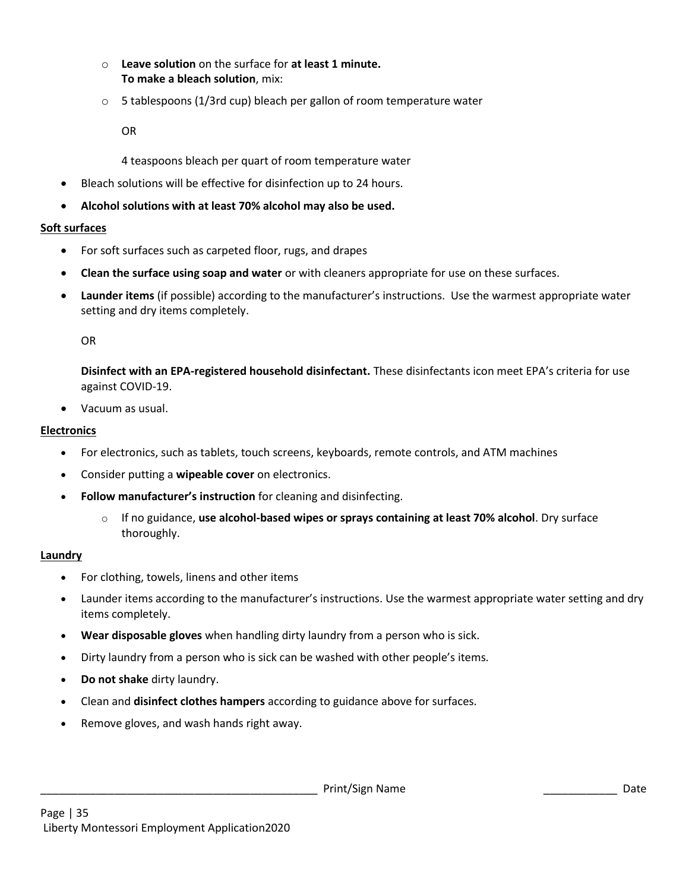- o **Leave solution** on the surface for **at least 1 minute. To make a bleach solution**, mix:
- o 5 tablespoons (1/3rd cup) bleach per gallon of room temperature water

OR

- 4 teaspoons bleach per quart of room temperature water
- Bleach solutions will be effective for disinfection up to 24 hours.
- **Alcohol solutions with at least 70% alcohol may also be used.**

#### **Soft surfaces**

- For soft surfaces such as carpeted floor, rugs, and drapes
- **Clean the surface using soap and water** or with cleaners appropriate for use on these surfaces.
- **Launder items** (if possible) according to the manufacturer's instructions. Use the warmest appropriate water setting and dry items completely.

OR

**Disinfect with an EPA-registered household disinfectant.** [These disinfectants](https://www.epa.gov/pesticide-registration/list-n-disinfectants-use-against-sars-cov-2) icon meet EPA's criteria for use against COVID-19.

• Vacuum as usual.

#### **Electronics**

- For electronics, such as tablets, touch screens, keyboards, remote controls, and ATM machines
- Consider putting a **wipeable cover** on electronics.
- **Follow manufacturer's instruction** for cleaning and disinfecting.
	- o If no guidance, **use alcohol-based wipes or sprays containing at least 70% alcohol**. Dry surface thoroughly.

#### **Laundry**

- For clothing, towels, linens and other items
- Launder items according to the manufacturer's instructions. Use the warmest appropriate water setting and dry items completely.
- **Wear disposable gloves** when handling dirty laundry from a person who is sick.
- Dirty laundry from a person who is sick can be washed with other people's items.
- **Do not shake** dirty laundry.
- Clean and **disinfect clothes hampers** according to guidance above for surfaces.
- Remove gloves, and wash hands right away.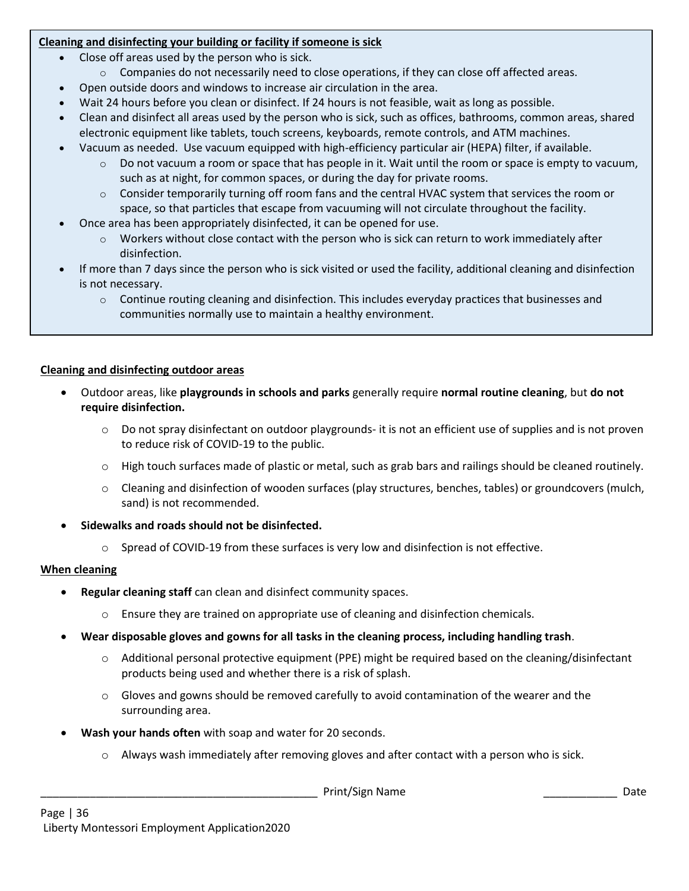#### **Cleaning and disinfecting your building or facility if someone is sick**

- Close off areas used by the person who is sick.
- o Companies do not necessarily need to close operations, if they can close off affected areas.
- Open outside doors and windows to increase air circulation in the area.
- Wait 24 hours before you clean or disinfect. If 24 hours is not feasible, wait as long as possible.
- Clean and disinfect all areas used by the person who is sick, such as offices, bathrooms, common areas, shared electronic equipment like tablets, touch screens, keyboards, remote controls, and ATM machines.
- Vacuum as needed. Use vacuum equipped with high-efficiency particular air (HEPA) filter, if available.
	- $\circ$  Do not vacuum a room or space that has people in it. Wait until the room or space is empty to vacuum, such as at night, for common spaces, or during the day for private rooms.
	- $\circ$  Consider temporarily turning off room fans and the central HVAC system that services the room or space, so that particles that escape from vacuuming will not circulate throughout the facility.
- Once area has been appropriately disinfected, it can be opened for use.
	- $\circ$  Workers without close contact with the person who is sick can return to work immediately after disinfection.
- If more than 7 days since the person who is sick visited or used the facility, additional cleaning and disinfection is not necessary.
	- $\circ$  Continue routing cleaning and disinfection. This includes everyday practices that businesses and communities normally use to maintain a healthy environment.

#### **Cleaning and disinfecting outdoor areas**

- Outdoor areas, like **playgrounds in schools and parks** generally require **normal routine cleaning**, but **do not require disinfection.**
	- $\circ$  Do not spray disinfectant on outdoor playgrounds- it is not an efficient use of supplies and is not proven to reduce risk of COVID-19 to the public.
	- $\circ$  High touch surfaces made of plastic or metal, such as grab bars and railings should be cleaned routinely.
	- o Cleaning and disinfection of wooden surfaces (play structures, benches, tables) or groundcovers (mulch, sand) is not recommended.
- **Sidewalks and roads should not be disinfected.**
	- $\circ$  Spread of COVID-19 from these surfaces is very low and disinfection is not effective.

#### **When cleaning**

- **Regular cleaning staff** can clean and disinfect community spaces.
	- $\circ$  Ensure they are trained on appropriate use of cleaning and disinfection chemicals.
- **Wear disposable gloves and gowns for all tasks in the cleaning process, including handling trash**.
	- $\circ$  Additional personal protective equipment (PPE) might be required based on the cleaning/disinfectant products being used and whether there is a risk of splash.
	- $\circ$  Gloves and gowns should be removed carefully to avoid contamination of the wearer and the surrounding area.
- **Wash your hands often** with soap and water for 20 seconds.
	- o Always wash immediately after removing gloves and after contact with a person who is sick.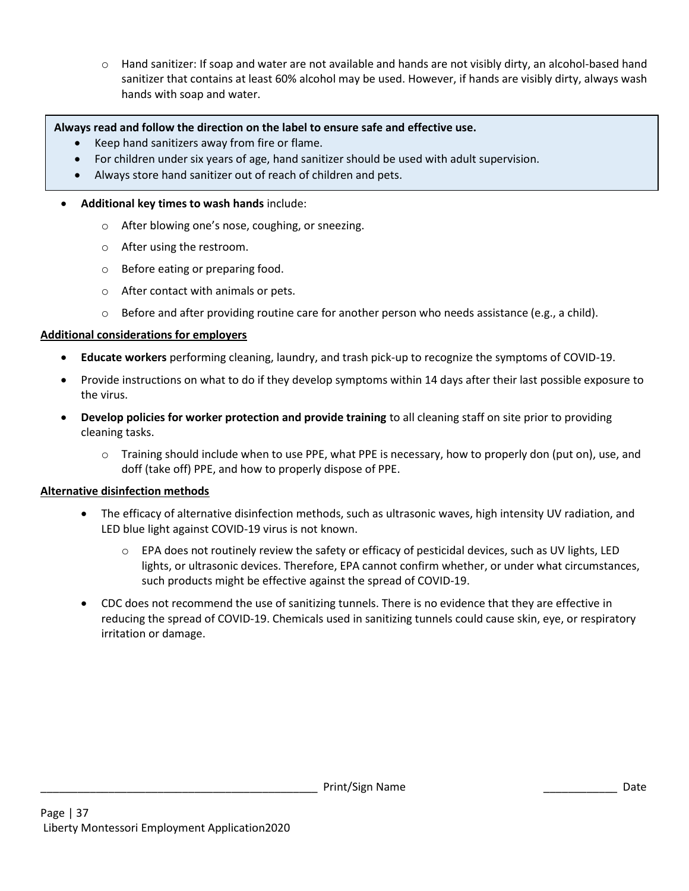o Hand sanitizer: If soap and water are not available and hands are not visibly dirty, an alcohol-based hand sanitizer that contains at least 60% alcohol may be used. However, if hands are visibly dirty, always wash hands with soap and water.

#### **Always read and follow the direction on the label to ensure safe and effective use.**

- Keep hand sanitizers away from fire or flame.
- For children under six years of age, hand sanitizer should be used with adult supervision.
- Always store hand sanitizer out of reach of children and pets.

#### • **Additional key times to wash hands** include:

- o After blowing one's nose, coughing, or sneezing.
- o After using the restroom.
- o Before eating or preparing food.
- o After contact with animals or pets.
- $\circ$  Before and after providing routine care for another person who needs assistance (e.g., a child).

#### **Additional considerations for employers**

- **Educate workers** performing cleaning, laundry, and trash pick-up to recognize the symptoms of COVID-19.
- Provide instructions on what to do if they develop [symptoms](https://www.cdc.gov/coronavirus/2019-ncov/about/symptoms.html) within 14 days after their last possible exposure to the virus.
- **Develop policies for worker protection and provide training** to all cleaning staff on site prior to providing cleaning tasks.
	- o Training should include when to use PPE, what PPE is necessary, how to properly don (put on), use, and doff (take off) PPE, and how to properly dispose of PPE.

#### **Alternative disinfection methods**

- The efficacy of alternative disinfection methods, such as ultrasonic waves, high intensity UV radiation, and LED blue light against COVID-19 virus is not known.
	- o EPA does not routinely review the safety or efficacy of pesticidal devices, such as UV lights, LED lights, or ultrasonic devices. Therefore, EPA cannot confirm whether, or under what circumstances, such products might be effective against the spread of COVID-19.
- CDC does not recommend the use of sanitizing tunnels. There is no evidence that they are effective in reducing the spread of COVID-19. Chemicals used in sanitizing tunnels could cause skin, eye, or respiratory irritation or damage.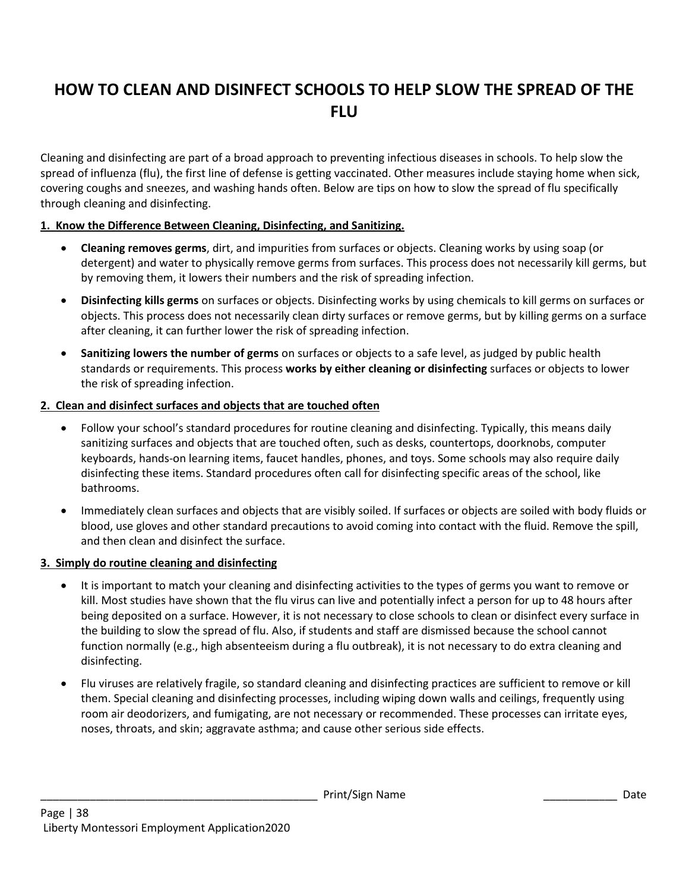### **HOW TO CLEAN AND DISINFECT SCHOOLS TO HELP SLOW THE SPREAD OF THE FLU**

Cleaning and disinfecting are part of a broad approach to preventing infectious diseases in schools. To help slow the spread of influenza (flu), the first line of defense is getting vaccinated. Other measures include staying home when sick, covering coughs and sneezes, and washing hands often. Below are tips on how to slow the spread of flu specifically through cleaning and disinfecting.

#### **1. Know the Difference Between Cleaning, Disinfecting, and Sanitizing.**

- **Cleaning removes germs**, dirt, and impurities from surfaces or objects. Cleaning works by using soap (or detergent) and water to physically remove germs from surfaces. This process does not necessarily kill germs, but by removing them, it lowers their numbers and the risk of spreading infection.
- **Disinfecting kills germs** on surfaces or objects. Disinfecting works by using chemicals to kill germs on surfaces or objects. This process does not necessarily clean dirty surfaces or remove germs, but by killing germs on a surface after cleaning, it can further lower the risk of spreading infection.
- **Sanitizing lowers the number of germs** on surfaces or objects to a safe level, as judged by public health standards or requirements. This process **works by either cleaning or disinfecting** surfaces or objects to lower the risk of spreading infection.

#### **2. Clean and disinfect surfaces and objects that are touched often**

- Follow your school's standard procedures for routine cleaning and disinfecting. Typically, this means daily sanitizing surfaces and objects that are touched often, such as desks, countertops, doorknobs, computer keyboards, hands-on learning items, faucet handles, phones, and toys. Some schools may also require daily disinfecting these items. Standard procedures often call for disinfecting specific areas of the school, like bathrooms.
- Immediately clean surfaces and objects that are visibly soiled. If surfaces or objects are soiled with body fluids or blood, use gloves and other standard precautions to avoid coming into contact with the fluid. Remove the spill, and then clean and disinfect the surface.

#### **3. Simply do routine cleaning and disinfecting**

- It is important to match your cleaning and disinfecting activities to the types of germs you want to remove or kill. Most studies have shown that the flu virus can live and potentially infect a person for up to 48 hours after being deposited on a surface. However, it is not necessary to close schools to clean or disinfect every surface in the building to slow the spread of flu. Also, if students and staff are dismissed because the school cannot function normally (e.g., high absenteeism during a flu outbreak), it is not necessary to do extra cleaning and disinfecting.
- Flu viruses are relatively fragile, so standard cleaning and disinfecting practices are sufficient to remove or kill them. Special cleaning and disinfecting processes, including wiping down walls and ceilings, frequently using room air deodorizers, and fumigating, are not necessary or recommended. These processes can irritate eyes, noses, throats, and skin; aggravate asthma; and cause other serious side effects.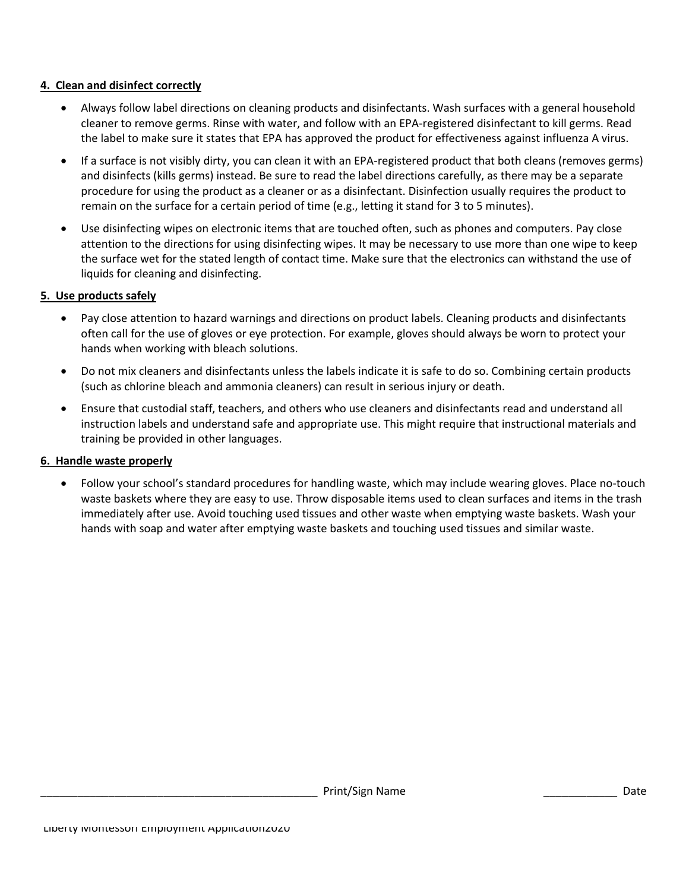#### **4. Clean and disinfect correctly**

- Always follow label directions on cleaning products and disinfectants. Wash surfaces with a general household cleaner to remove germs. Rinse with water, and follow with an EPA-registered disinfectant to kill germs. Read the label to make sure it states that EPA has approved the product for effectiveness against influenza A virus.
- If a surface is not visibly dirty, you can clean it with an EPA-registered product that both cleans (removes germs) and disinfects (kills germs) instead. Be sure to read the label directions carefully, as there may be a separate procedure for using the product as a cleaner or as a disinfectant. Disinfection usually requires the product to remain on the surface for a certain period of time (e.g., letting it stand for 3 to 5 minutes).
- Use disinfecting wipes on electronic items that are touched often, such as phones and computers. Pay close attention to the directions for using disinfecting wipes. It may be necessary to use more than one wipe to keep the surface wet for the stated length of contact time. Make sure that the electronics can withstand the use of liquids for cleaning and disinfecting.

#### **5. Use products safely**

- Pay close attention to hazard warnings and directions on product labels. Cleaning products and disinfectants often call for the use of gloves or eye protection. For example, gloves should always be worn to protect your hands when working with bleach solutions.
- Do not mix cleaners and disinfectants unless the labels indicate it is safe to do so. Combining certain products (such as chlorine bleach and ammonia cleaners) can result in serious injury or death.
- Ensure that custodial staff, teachers, and others who use cleaners and disinfectants read and understand all instruction labels and understand safe and appropriate use. This might require that instructional materials and training be provided in other languages.

#### **6. Handle waste properly**

• Follow your school's standard procedures for handling waste, which may include wearing gloves. Place no-touch waste baskets where they are easy to use. Throw disposable items used to clean surfaces and items in the trash immediately after use. Avoid touching used tissues and other waste when emptying waste baskets. Wash your hands with soap and water after emptying waste baskets and touching used tissues and similar waste.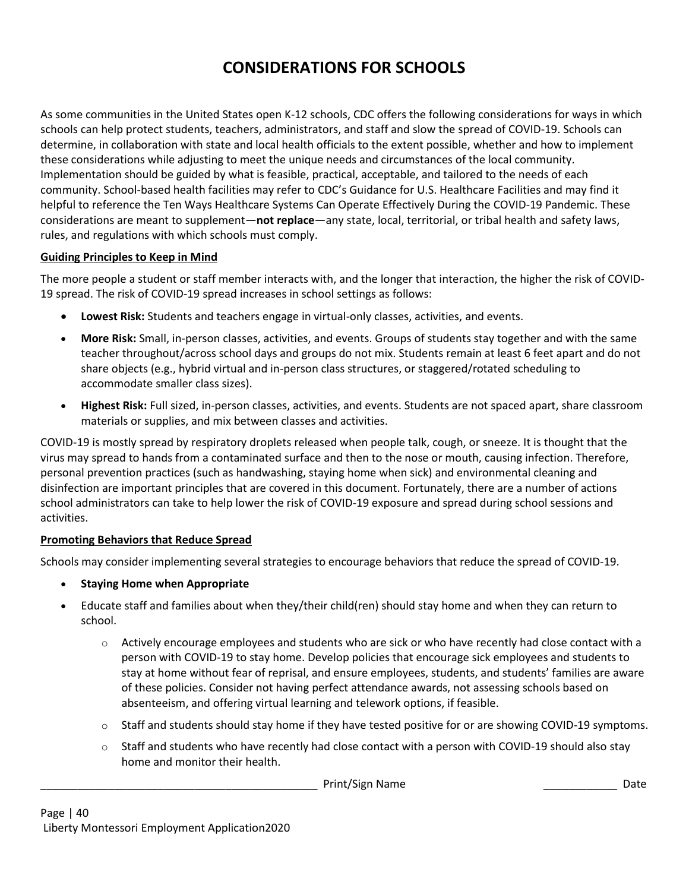### **CONSIDERATIONS FOR SCHOOLS**

As some communities in the United States open K-12 schools, CDC offers the following considerations for ways in which schools can help protect students, teachers, administrators, and staff and slow the spread of COVID-19. Schools can determine, in collaboration with [state and local health officials](https://www.cdc.gov/publichealthgateway/healthdirectories/index.html) to the extent possible, whether and how to implement these considerations while adjusting to meet the unique needs and circumstances of the local community. Implementation should be guided by what is feasible, practical, acceptable, and tailored to the needs of each community. School-based health facilities may refer to CDC's [Guidance for U.S. Healthcare Facilities](https://www.cdc.gov/coronavirus/2019-ncov/hcp/us-healthcare-facilities.html) and may find it helpful to reference the Ten [Ways Healthcare Systems Can Operate Effectively During the](https://www.cdc.gov/coronavirus/2019-ncov/hcp/ways-operate-effectively.html) COVID-19 Pandemic. These considerations are meant to supplement—**not replace**—any state, local, territorial, or tribal health and safety laws, rules, and regulations with which schools must comply.

#### **Guiding Principles to Keep in Mind**

The more people a student or staff member interacts with, and the longer that interaction, the higher the risk of COVID-19 spread. The risk of COVID-19 spread increases in school settings as follows:

- **Lowest Risk:** Students and teachers engage in virtual-only classes, activities, and events.
- **More Risk:** Small, in-person classes, activities, and events. Groups of students stay together and with the same teacher throughout/across school days and groups do not mix. Students remain at least 6 feet apart and do not share objects (e.g., hybrid virtual and in-person class structures, or staggered/rotated scheduling to accommodate smaller class sizes).
- **Highest Risk:** Full sized, in-person classes, activities, and events. Students are not spaced apart, share classroom materials or supplies, and mix between classes and activities.

COVID-19 is mostly spread by respiratory droplets released when people talk, cough, or sneeze. It is thought that the virus may spread to hands from a contaminated surface and then to the nose or mouth, causing infection. Therefore, personal prevention practices (such as [handwashing,](https://www.cdc.gov/handwashing/when-how-handwashing.html) [staying home when sick\)](https://www.cdc.gov/coronavirus/2019-ncov/if-you-are-sick/steps-when-sick.html) and environmental [cleaning and](https://www.cdc.gov/coronavirus/2019-ncov/community/disinfecting-building-facility.html)  [disinfection](https://www.cdc.gov/coronavirus/2019-ncov/community/disinfecting-building-facility.html) are important principles that are covered in this document. Fortunately, there are a number of actions school administrators can take to help lower the risk of COVID-19 exposure and spread during school sessions and activities.

#### **Promoting Behaviors that Reduce Spread**

Schools may consider implementing several strategies to encourage behaviors that reduce the spread of COVID-19.

- **Staying Home when Appropriate**
- Educate staff and families about when they/their child(ren) should [stay home](https://www.cdc.gov/coronavirus/2019-ncov/if-you-are-sick/quarantine-isolation.html) and when they can return to school.
	- $\circ$  Actively encourage employees and students who are sick or who have recently had [close contact](https://www.cdc.gov/coronavirus/2019-ncov/php/public-health-recommendations.html) with a person with COVID-19 to stay home. Develop policies that encourage sick employees and students to stay at home without fear of reprisal, and ensure employees, students, and students' families are aware of these policies. Consider not having perfect attendance awards, not assessing schools based on absenteeism, and offering virtual learning and telework options, if feasible.
	- o [Staff and students should](https://www.cdc.gov/coronavirus/2019-ncov/if-you-are-sick/steps-when-sick.html) stay home if they have tested positive for or are showing COVID-19 [symptoms.](https://www.cdc.gov/coronavirus/2019-ncov/symptoms-testing/symptoms.html)
	- $\circ$  Staff and students who have recently had [close contact](https://www.cdc.gov/coronavirus/2019-ncov/php/public-health-recommendations.html) with a person with COVID-19 should also stay [home and monitor their health.](https://www.cdc.gov/coronavirus/2019-ncov/if-you-are-sick/quarantine-isolation.html)

\_\_\_\_\_\_\_\_\_\_\_\_\_\_\_\_\_\_\_\_\_\_\_\_\_\_\_\_\_\_\_\_\_\_\_\_\_\_\_\_\_\_\_\_\_ Print/Sign Name \_\_\_\_\_\_\_\_\_\_\_\_ Date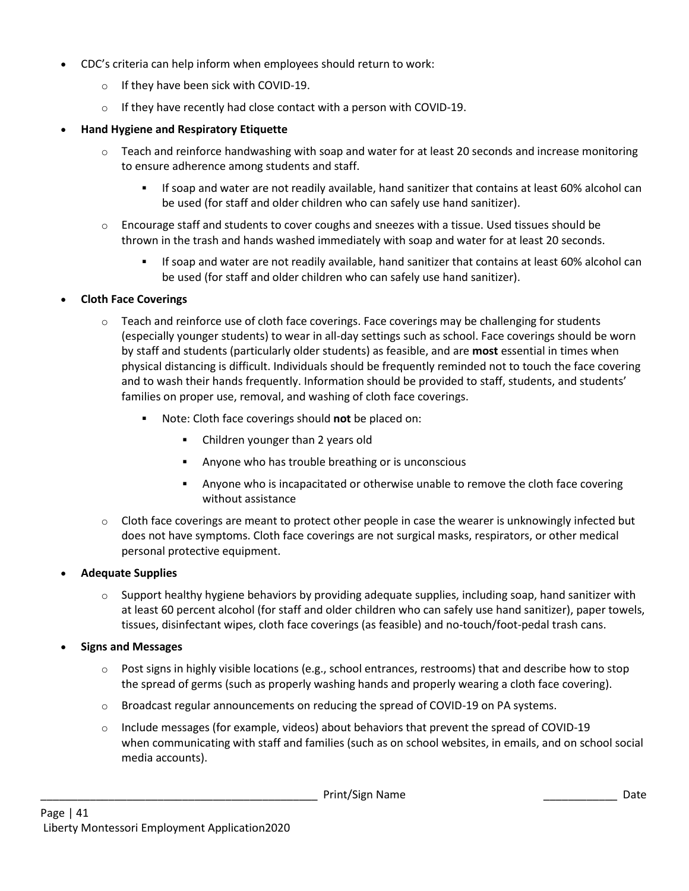- CDC's criteria can help inform when employees should return to work:
	- o [If they have been sick with COVID-19.](https://www.cdc.gov/coronavirus/2019-ncov/if-you-are-sick/steps-when-sick.html)
	- $\circ$  [If they have recently had close contact](https://www.cdc.gov/coronavirus/2019-ncov/if-you-are-sick/quarantine-isolation.html) with a person with COVID-19.

#### • **Hand Hygiene and Respiratory Etiquette**

- $\circ$  Teach and reinforce [handwashing](https://www.cdc.gov/handwashing/when-how-handwashing.html) with soap and water for at least 20 seconds and increase monitoring to ensure adherence among students and staff.
	- If soap and water are not readily available, hand sanitizer that contains at least 60% alcohol can be used (for staff and older children who can safely use hand sanitizer).
- $\circ$  Encourage staff and students to cover coughs and sneezes with a tissue. Used tissues should be thrown in the trash and hands washed immediately with soap and water for at least 20 seconds.
	- If soap and water are not readily available, hand sanitizer that contains at least 60% alcohol can be used (for staff and older children who can safely use hand sanitizer).

#### • **Cloth Face Coverings**

- $\circ$  Teach and reinforce use of [cloth face coverings.](https://www.cdc.gov/coronavirus/2019-ncov/prevent-getting-sick/diy-cloth-face-coverings.html) Face coverings may be challenging for students (especially younger students) to wear in all-day settings such as school. Face coverings should be worn by staff and students (particularly older students) as feasible, and are **most** essential in times when physical distancing is difficult. Individuals should be frequently reminded not to touch the face covering and to [wash their hands](https://www.cdc.gov/handwashing/when-how-handwashing.html) frequently. Information should be provided to staff, students, and students' families on [proper use, removal, and washing of cloth face coverings.](https://www.cdc.gov/coronavirus/2019-ncov/prevent-getting-sick/diy-cloth-face-coverings.html)
	- Note: [Cloth face coverings](https://www.cdc.gov/coronavirus/2019-ncov/prevent-getting-sick/diy-cloth-face-coverings.html) should not be placed on:
		- Children younger than 2 years old
		- Anyone who has trouble breathing or is unconscious
		- Anyone who is incapacitated or otherwise unable to remove the cloth face covering without assistance
- $\circ$  [Cloth face coverings](https://www.cdc.gov/coronavirus/2019-ncov/prevent-getting-sick/diy-cloth-face-coverings.html) are meant to protect other people in case the wearer is unknowingly infected but does not have symptoms. [Cloth face coverings](https://www.cdc.gov/coronavirus/2019-ncov/prevent-getting-sick/diy-cloth-face-coverings.html) are not surgical masks, respirators, or other medical personal protective equipment.

#### • **Adequate Supplies**

 $\circ$  Support [healthy hygiene](https://www.cdc.gov/handwashing/when-how-handwashing.html) behaviors by providing adequate supplies, including soap, hand sanitizer with at least 60 percent alcohol (for staff and older children who can safely use hand sanitizer), paper towels, tissues, disinfectant wipes, cloth face coverings (as feasible) and no-touch/foot-pedal trash cans.

#### • **Signs and Messages**

- $\circ$  Post [signs](https://www.cdc.gov/coronavirus/2019-ncov/communication/print-resources.html?Sort=Date%3A%3Adesc) in highly visible locations (e.g., school entrances, restrooms) that and describe how to stop the spread of germs (such as properly washing hands and properly wearing a cloth face covering).
- $\circ$  Broadcast regular [announcements](https://www.cdc.gov/coronavirus/2019-ncov/communication/public-service-announcements.html) on reducing the spread of COVID-19 on PA systems.
- $\circ$  Include messages (for example, [videos\)](https://www.cdc.gov/coronavirus/2019-ncov/communication/videos.html) about behaviors that prevent the spread of COVID-19 when communicating with staff and families (such as on school websites, in emails, and on school [social](https://www.cdc.gov/coronavirus/2019-ncov/communication/social-media-toolkit.html)  [media accounts\)](https://www.cdc.gov/coronavirus/2019-ncov/communication/social-media-toolkit.html).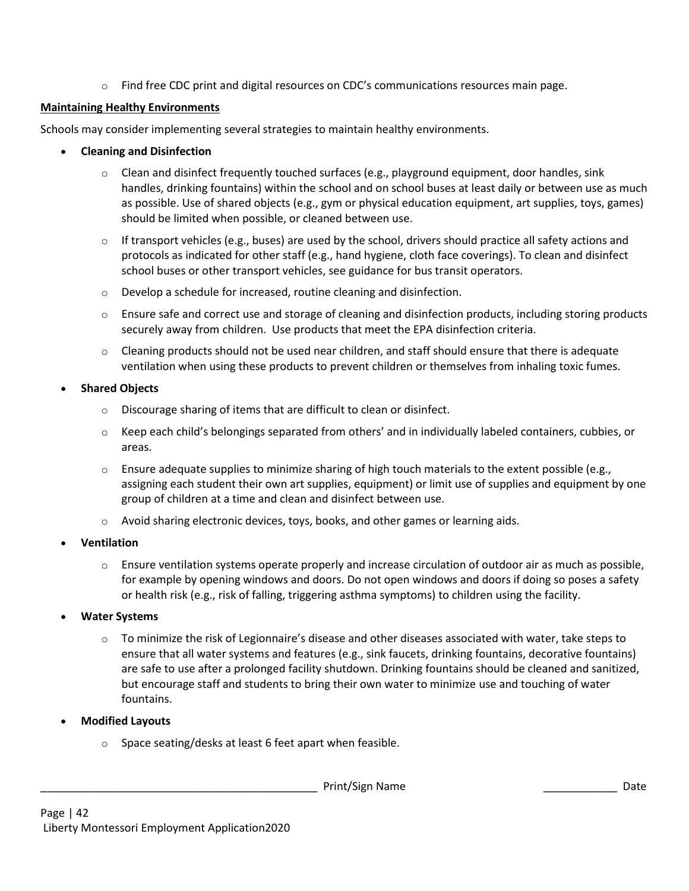$\circ$  Find free CDC print and digital resources on CDC's [communications resources](https://www.cdc.gov/coronavirus/2019-ncov/communication/index.html) main page.

#### **Maintaining Healthy Environments**

Schools may consider implementing several strategies to maintain healthy environments.

- **Cleaning and Disinfection**
	- $\circ$  [Clean and disinfect](https://www.cdc.gov/coronavirus/2019-ncov/community/clean-disinfect/index.html) frequently touched surfaces (e.g., playground equipment, door handles, sink handles, drinking fountains) within the school and on school buses at least daily or between use as much as possible. Use of shared objects (e.g., gym or physical education equipment, art supplies, toys, games) should be limited when possible, or cleaned between use.
	- $\circ$  If transport vehicles (e.g., buses) are used by the school, drivers should practice all safety actions and protocols as indicated for other staff (e.g., hand hygiene, cloth face coverings). To clean and disinfect school buses or other transport vehicles, see guidance for [bus transit operators.](https://www.cdc.gov/coronavirus/2019-ncov/community/organizations/bus-transit-operator.html)
	- o Develop a schedule for increased, routine cleaning and disinfection.
	- $\circ$  Ensure [safe and correct use](https://www.cdc.gov/coronavirus/2019-ncov/community/disinfecting-building-facility.html) and storage of cleaning and disinfection products, including storing products securely away from children. Use products that meet the EPA disinfection criteria.
	- $\circ$  Cleaning products should not be used near children, and staff should ensure that there is adequate ventilation when using these products to prevent children or themselves from inhaling toxic fumes.
- **Shared Objects**
	- o Discourage sharing of items that are difficult to clean or disinfect.
	- o Keep each child's belongings separated from others' and in individually labeled containers, cubbies, or areas.
	- $\circ$  Ensure adequate supplies to minimize sharing of high touch materials to the extent possible (e.g., assigning each student their own art supplies, equipment) or limit use of supplies and equipment by one group of children at a time and clean and disinfect between use.
	- o Avoid sharing electronic devices, toys, books, and other games or learning aids.
- **Ventilation**
	- $\circ$  Ensure ventilation systems operate properly and increase circulation of outdoor air as much as possible, for example by opening windows and doors. Do not open windows and doors if doing so poses a safety or health risk (e.g., risk of falling, triggering asthma symptoms) to children using the facility.
- **Water Systems**
	- $\circ$  To minimize the risk of [Legionnaire's disease](https://www.cdc.gov/legionella/about/index.html) and other diseases associated with water, [take steps](https://www.cdc.gov/coronavirus/2019-ncov/php/building-water-system.html) to ensure that all water systems and features (e.g., sink faucets, drinking fountains, decorative fountains) are safe to use after a prolonged facility shutdown. Drinking fountains should be cleaned and sanitized, but encourage staff and students to bring their own water to minimize use and touching of water fountains.
- **Modified Layouts**
	- o Space seating/desks at least 6 feet apart when feasible.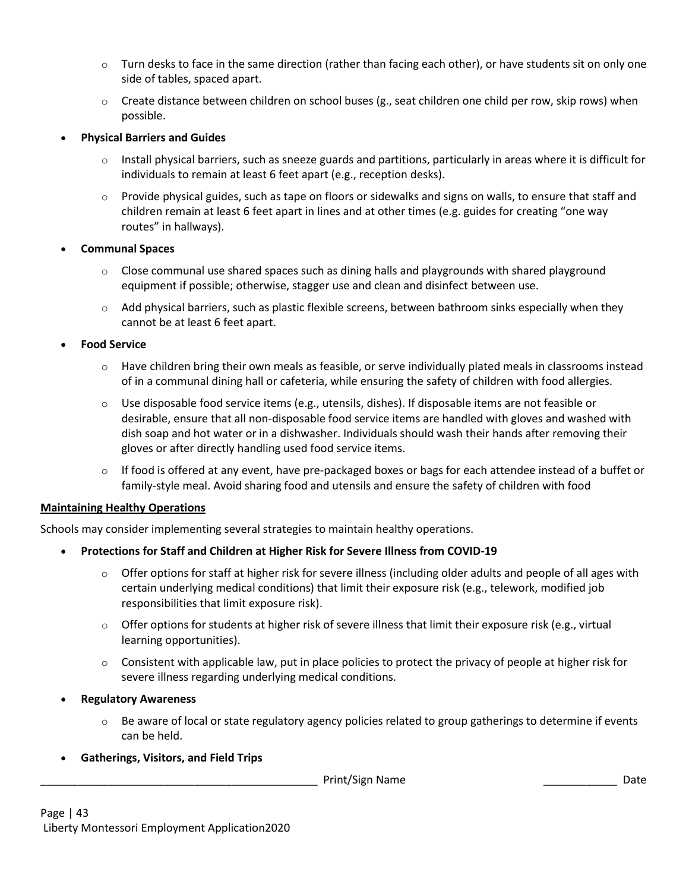- $\circ$  Turn desks to face in the same direction (rather than facing each other), or have students sit on only one side of tables, spaced apart.
- $\circ$  Create distance between children on school buses (g., seat children one child per row, skip rows) when possible.
- **Physical Barriers and Guides**
	- $\circ$  Install physical barriers, such as sneeze guards and partitions, particularly in areas where it is difficult for individuals to remain at least 6 feet apart (e.g., reception desks).
	- $\circ$  Provide physical guides, such as tape on floors or sidewalks and signs on walls, to ensure that staff and children remain at least 6 feet apart in lines and at other times (e.g. guides for creating "one way routes" in hallways).
- **Communal Spaces**
	- $\circ$  Close communal use shared spaces such as dining halls and playgrounds with shared playground equipment if possible; otherwise, stagger use and [clean and disinfect](https://www.cdc.gov/coronavirus/2019-ncov/community/reopen-guidance.html) between use.
	- $\circ$  Add physical barriers, such as plastic flexible screens, between bathroom sinks especially when they cannot be at least 6 feet apart.
- **Food Service**
	- $\circ$  Have children bring their own meals as feasible, or serve individually plated meals in classrooms instead of in a communal dining hall or cafeteria, while ensuring the safety of children with food allergies.
	- $\circ$  Use disposable food service items (e.g., utensils, dishes). If disposable items are not feasible or desirable, ensure that all non-disposable food service items are handled with gloves and washed with dish soap and hot water or in a dishwasher. Individuals should [wash their hands](https://www.cdc.gov/handwashing/when-how-handwashing.html) after removing their gloves or after directly handling used food service items.
	- $\circ$  If food is offered at any event, have pre-packaged boxes or bags for each attendee instead of a buffet or family-style meal. Avoid sharing food and utensils and ensure the [safety of children with food](https://www.cdc.gov/healthyschools/foodallergies/pdf/13_243135_A_Food_Allergy_Web_508.pdf)

#### **Maintaining Healthy Operations**

Schools may consider implementing several strategies to maintain healthy operations.

- **Protections for Staff and Children at Higher Risk for Severe Illness from COVID-19**
	- $\circ$  Offer options for staff at [higher risk for severe illness](https://www.cdc.gov/coronavirus/2019-ncov/need-extra-precautions/people-at-higher-risk.html) (including older adults and people of all ages with certain underlying medical conditions) that limit their exposure risk (e.g., telework, modified job responsibilities that limit exposure risk).
	- $\circ$  Offer options for students at [higher risk of severe illness](https://www.cdc.gov/coronavirus/2019-ncov/need-extra-precautions/people-at-higher-risk.html) that limit their exposure risk (e.g., virtual learning opportunities).
	- $\circ$  Consistent with applicable law, put in place policies to protect the privacy of people at higher risk for [severe illness](https://www.cdc.gov/coronavirus/2019-ncov/need-extra-precautions/people-at-higher-risk.html) regarding underlying medical conditions.
- **Regulatory Awareness**
	- Be aware of local or state regulatory agency policies related to group gatherings to determine if events can be held.
- **Gatherings, Visitors, and Field Trips**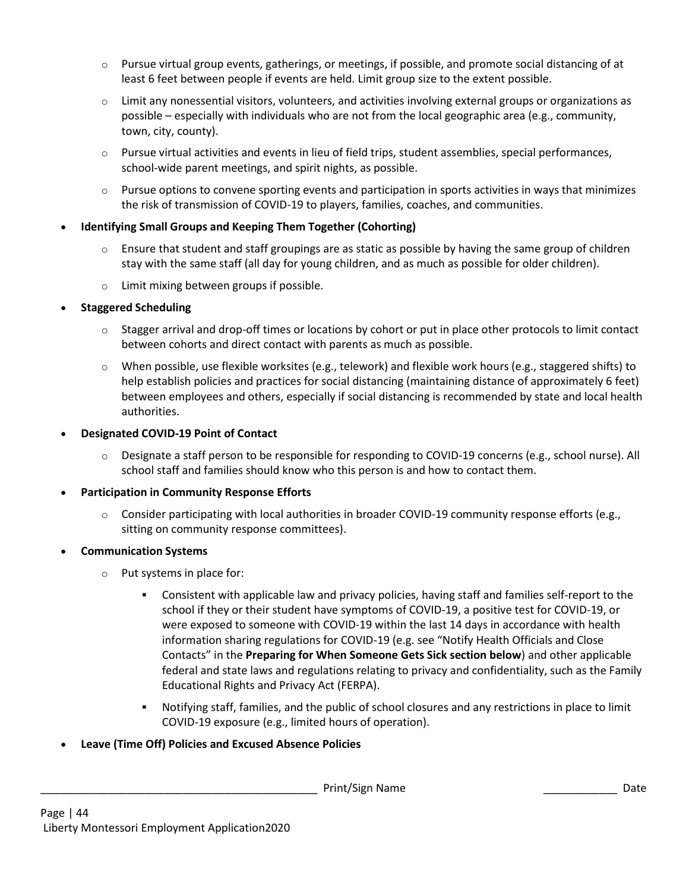- $\circ$  Pursue virtual group events, gatherings, or meetings, if possible, and promote social distancing of at least 6 feet between people if events are held. Limit group size to the extent possible.
- $\circ$  Limit any nonessential visitors, volunteers, and activities involving external groups or organizations as possible – especially with individuals who are not from the local geographic area (e.g., community, town, city, county).
- $\circ$  Pursue virtual activities and events in lieu of field trips, student assemblies, special performances, school-wide parent meetings, and spirit nights, as possible.
- $\circ$  Pursue options to convene sporting events and participation in sports activities in ways that minimizes the risk of transmission of COVID-19 to players, families, coaches, and communities.

#### • **Identifying Small Groups and Keeping Them Together (Cohorting)**

- $\circ$  Ensure that student and staff groupings are as static as possible by having the same group of children stay with the same staff (all day for young children, and as much as possible for older children).
- o Limit mixing between groups if possible.
- **Staggered Scheduling**
	- $\circ$  Stagger arrival and drop-off times or locations by cohort or put in place other protocols to limit contact between cohorts and direct contact with parents as much as possible.
	- $\circ$  When possible, use flexible worksites (e.g., telework) and flexible work hours (e.g., staggered shifts) to help establish policies and practices for social distancing (maintaining distance of approximately 6 feet) between employees and others, especially if social distancing is recommended by state and local health authorities.

#### • **Designated COVID-19 Point of Contact**

 $\circ$  Designate a staff person to be responsible for responding to COVID-19 concerns (e.g., school nurse). All school staff and families should know who this person is and how to contact them.

#### • **Participation in Community Response Efforts**

- $\circ$  Consider participating with local authorities in broader COVID-19 community response efforts (e.g., sitting on community response committees).
- **Communication Systems**
	- o Put systems in place for:
		- **•** Consistent with applicable law and privacy policies, having staff and families self-report to the school if they or their student have [symptoms](https://www.cdc.gov/coronavirus/2019-ncov/symptoms-testing/symptoms.html) of COVID-19, a positive test for COVID-19, or were exposed to someone with COVID-19 within the last 14 days in accordance with health information sharing regulations for COVID-19 (e.g. see "Notify Health Officials and Close Contacts" in the **Preparing for When Someone Gets Sick section below**) and other applicable federal and state laws and regulations relating to privacy and confidentiality, such as the Family Educational Rights and Privacy Act (FERPA).
		- Notifying staff, families, and the public of school closures and any restrictions in place to limit COVID-19 exposure (e.g., limited hours of operation).

#### • **Leave (Time Off) Policies and Excused Absence Policies**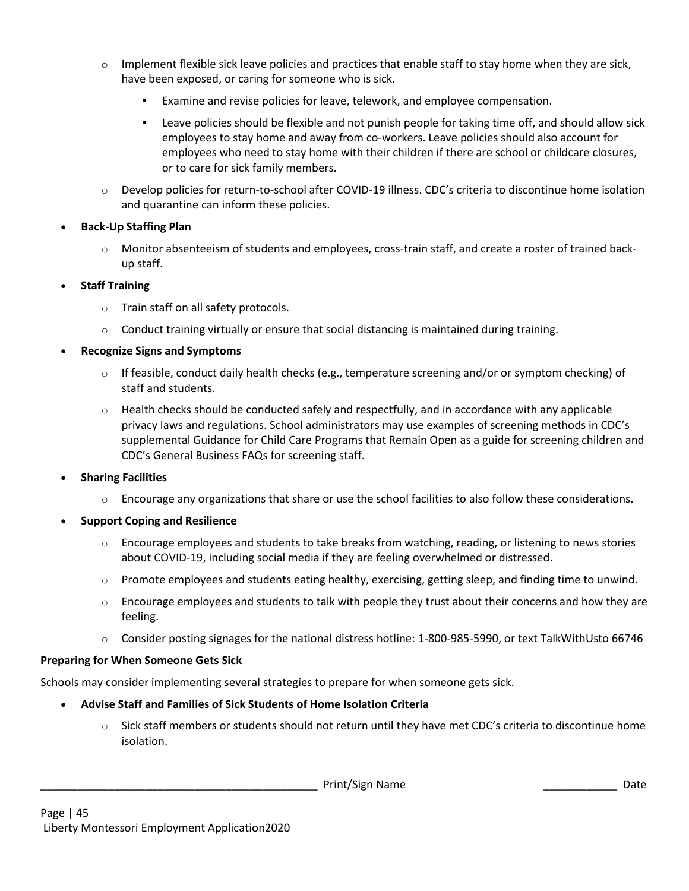- $\circ$  Implement flexible sick leave policies and practices that enable staff to stay home when they are sick, have been exposed, or caring for someone who is sick.
	- **Examine and revise policies for leave, telework, and employee compensation.**
	- **■** Leave policies should be flexible and not punish people for taking time off, and should allow sick employees to stay home and away from co-workers. Leave policies should also account for employees who need to stay home with their children if there are school or childcare closures, or to care for sick family members.
- o Develop policies for return-to-school after COVID-19 illness. CDC's criteria to [discontinue home isolation](https://www.cdc.gov/coronavirus/2019-ncov/if-you-are-sick/steps-when-sick.html#discontinue-isolation)  [and quarantine](https://www.cdc.gov/coronavirus/2019-ncov/if-you-are-sick/steps-when-sick.html#discontinue-isolation) can inform these policies.
- **Back-Up Staffing Plan**
	- $\circ$  Monitor absenteeism of students and employees, cross-train staff, and create a roster of trained backup staff.
- **Staff Training**
	- o Train staff on all safety protocols.
	- $\circ$  Conduct training virtually or ensure that [social distancing](https://www.cdc.gov/coronavirus/2019-ncov/prevent-getting-sick/social-distancing.html) is maintained during training.
- **Recognize Signs and Symptoms**
	- $\circ$  If feasible, conduct daily health checks (e.g., temperature screening and/or or [symptom checking\)](https://www.cdc.gov/coronavirus/2019-ncov/symptoms-testing/symptoms.html) of staff and students.
	- $\circ$  Health checks should be conducted safely and respectfully, and in accordance with any applicable privacy laws and regulations. School administrators may use examples of screening methods in CDC's supplemental [Guidance for Child Care Programs that Remain Open](https://www.cdc.gov/coronavirus/2019-ncov/community/schools-childcare/guidance-for-childcare.html#ScreenChildren) as a guide for screening children and CDC's [General Business FAQs](https://www.cdc.gov/coronavirus/2019-ncov/community/general-business-faq.html) for screening staff.
- **Sharing Facilities**
	- $\circ$  Encourage any organizations that share or use the school facilities to also follow these considerations.
- **Support Coping and Resilience**
	- $\circ$  Encourage employees and students to take breaks from watching, reading, or listening to news stories about COVID-19, including social media if they are feeling overwhelmed or distressed.
	- o Promote employees and students eating healthy, exercising, getting sleep, and finding time to unwind.
	- $\circ$  Encourage employees and students to talk with people they trust about their concerns and how they are feeling.
	- o Consider posting signages for the national distress hotline: 1-800-985-5990, or text TalkWithUsto 66746

#### **Preparing for When Someone Gets Sick**

Schools may consider implementing several strategies to prepare for when someone gets sick.

- **Advise Staff and Families of Sick Students of Home Isolation Criteria**
	- $\circ$  Sick staff members or students should not return until they have met CDC's criteria to discontinue home [isolation.](https://www.cdc.gov/coronavirus/2019-ncov/if-you-are-sick/steps-when-sick.html#discontinue-isolation)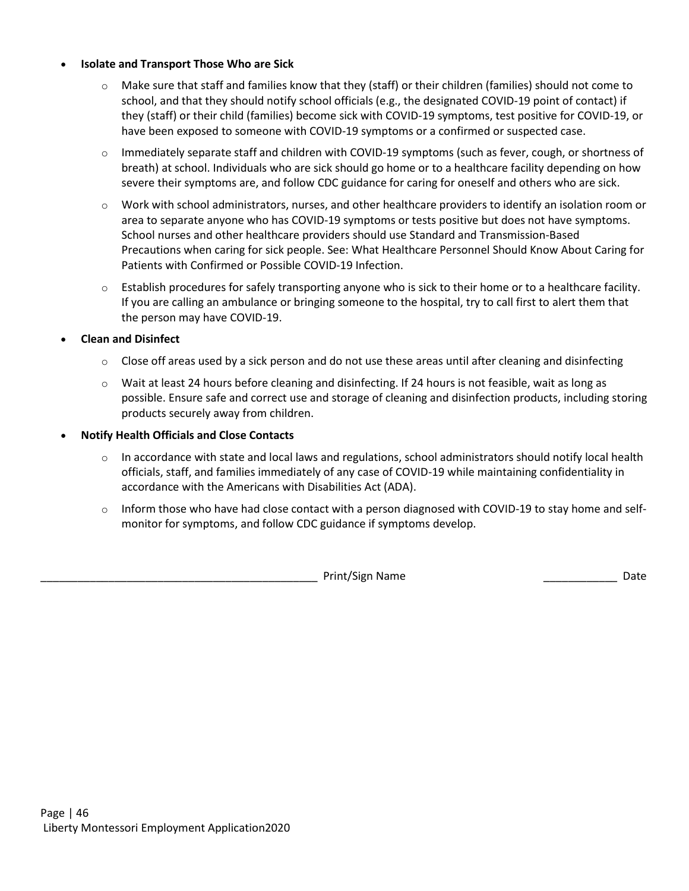#### • **Isolate and Transport Those Who are Sick**

- $\circ$  Make sure that staff and families know that they (staff) or their children (families) should not come to school, and that they should notify school officials (e.g., the designated COVID-19 point of contact) if they (staff) or their child (families) become sick with COVID-19 [symptoms,](https://www.cdc.gov/coronavirus/2019-ncov/symptoms-testing/symptoms.html) test positive for COVID-19, or have been [exposed](https://www.cdc.gov/coronavirus/2019-ncov/php/public-health-recommendations.html) to someone with COVID-19 symptoms or a confirmed or suspected case.
- o Immediately separate staff and [children](https://www.cdc.gov/coronavirus/2019-ncov/hcp/pediatric-hcp.html) with COVID-19 [symptoms](https://www.cdc.gov/coronavirus/2019-ncov/symptoms-testing/symptoms.html) (such as fever, cough, or shortness of breath) at school. Individuals who are sick should go home or to a healthcare facility depending on how severe their symptoms are, and follow [CDC guidance for caring for oneself and](https://www.cdc.gov/coronavirus/2019-ncov/if-you-are-sick/index.html) others who are sick.
- o Work with school administrators, nurses, and other healthcare providers to identify an isolation room or area to separate anyone who has COVID-19 symptoms or tests positive but does not have symptoms. School nurses and other healthcare providers should use [Standard and Transmission-Based](https://www.cdc.gov/coronavirus/2019-ncov/hcp/infection-control-recommendations.html?CDC_AA_refVal=https%3A%2F%2Fwww.cdc.gov%2Fcoronavirus%2F2019-ncov%2Finfection-control%2Fcontrol-recommendations.html)  [Precautions](https://www.cdc.gov/coronavirus/2019-ncov/hcp/infection-control-recommendations.html?CDC_AA_refVal=https%3A%2F%2Fwww.cdc.gov%2Fcoronavirus%2F2019-ncov%2Finfection-control%2Fcontrol-recommendations.html) when caring for sick people. See: [What Healthcare Personnel Should Know About Caring for](https://www.cdc.gov/coronavirus/2019-nCoV/hcp/index.html)  [Patients with Confirmed or Possible COVID-19 Infection.](https://www.cdc.gov/coronavirus/2019-nCoV/hcp/index.html)
- $\circ$  Establish procedures for safely transporting anyone who is sick to their home or to a healthcare facility. If you are calling an ambulance or bringing someone to the hospital, try to call first to alert them that the person may have COVID-19.

#### • **Clean and Disinfect**

- $\circ$  Close off areas used by a sick person and do not use these areas until after [cleaning and disinfecting](https://www.cdc.gov/coronavirus/2019-ncov/community/clean-disinfect/index.html)
- o Wait at least 24 hours before cleaning and disinfecting. If 24 hours is not feasible, wait as long as possible. Ensure [safe and correct use](https://www.cdc.gov/coronavirus/2019-ncov/community/disinfecting-building-facility.html) and storage of cleaning and disinfection products, including storing products securely away from children.

#### • **Notify Health Officials and Close Contacts**

- $\circ$  In accordance with state and local laws and regulations, school administrators should notify local health [officials,](https://www.cdc.gov/publichealthgateway/healthdirectories/index.html) staff, and families immediately of any case of COVID-19 while maintaining confidentiality in accordance with the Americans with Disabilities Act (ADA).
- $\circ$  Inform those who have had [close contact](https://www.cdc.gov/coronavirus/2019-ncov/php/public-health-recommendations.html) with a person diagnosed with COVID-19 to stay home and [self](https://www.cdc.gov/coronavirus/2019-ncov/if-you-are-sick/quarantine-isolation.html)[monitor for symptoms,](https://www.cdc.gov/coronavirus/2019-ncov/if-you-are-sick/quarantine-isolation.html) and follow [CDC guidance](https://www.cdc.gov/coronavirus/2019-ncov/if-you-are-sick/steps-when-sick.html) if symptoms develop.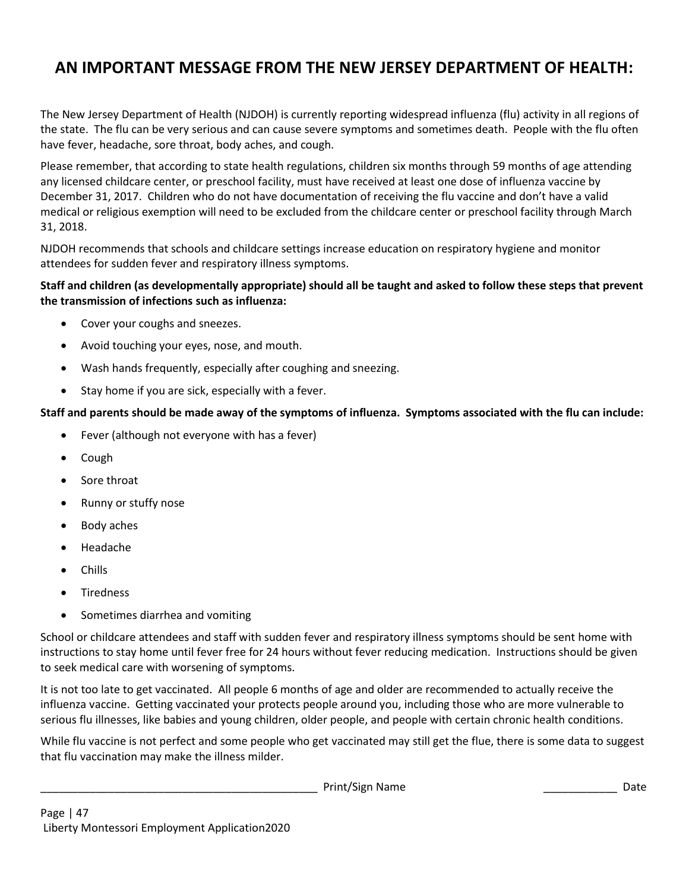### **AN IMPORTANT MESSAGE FROM THE NEW JERSEY DEPARTMENT OF HEALTH:**

The New Jersey Department of Health (NJDOH) is currently reporting widespread influenza (flu) activity in all regions of the state. The flu can be very serious and can cause severe symptoms and sometimes death. People with the flu often have fever, headache, sore throat, body aches, and cough.

Please remember, that according to state health regulations, children six months through 59 months of age attending any licensed childcare center, or preschool facility, must have received at least one dose of influenza vaccine by December 31, 2017. Children who do not have documentation of receiving the flu vaccine and don't have a valid medical or religious exemption will need to be excluded from the childcare center or preschool facility through March 31, 2018.

NJDOH recommends that schools and childcare settings increase education on respiratory hygiene and monitor attendees for sudden fever and respiratory illness symptoms.

#### **Staff and children (as developmentally appropriate) should all be taught and asked to follow these steps that prevent the transmission of infections such as influenza:**

- Cover your coughs and sneezes.
- Avoid touching your eyes, nose, and mouth.
- Wash hands frequently, especially after coughing and sneezing.
- Stay home if you are sick, especially with a fever.

#### **Staff and parents should be made away of the symptoms of influenza. Symptoms associated with the flu can include:**

- Fever (although not everyone with has a fever)
- Cough
- Sore throat
- Runny or stuffy nose
- Body aches
- Headache
- Chills
- Tiredness
- Sometimes diarrhea and vomiting

School or childcare attendees and staff with sudden fever and respiratory illness symptoms should be sent home with instructions to stay home until fever free for 24 hours without fever reducing medication. Instructions should be given to seek medical care with worsening of symptoms.

It is not too late to get vaccinated. All people 6 months of age and older are recommended to actually receive the influenza vaccine. Getting vaccinated your protects people around you, including those who are more vulnerable to serious flu illnesses, like babies and young children, older people, and people with certain chronic health conditions.

While flu vaccine is not perfect and some people who get vaccinated may still get the flue, there is some data to suggest that flu vaccination may make the illness milder.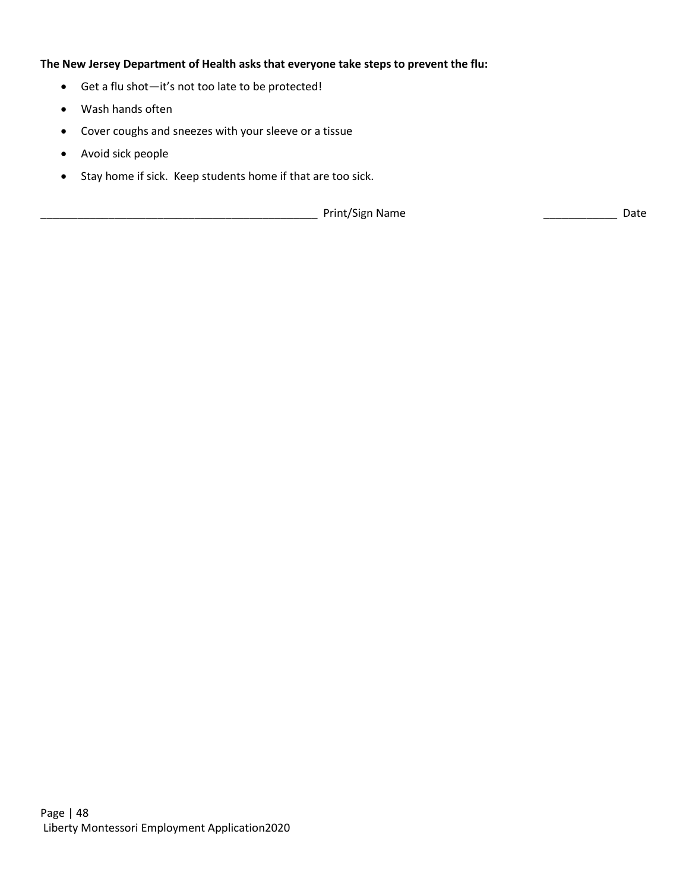#### **The New Jersey Department of Health asks that everyone take steps to prevent the flu:**

- Get a flu shot—it's not too late to be protected!
- Wash hands often
- Cover coughs and sneezes with your sleeve or a tissue
- Avoid sick people
- Stay home if sick. Keep students home if that are too sick.

\_\_\_\_\_\_\_\_\_\_\_\_\_\_\_\_\_\_\_\_\_\_\_\_\_\_\_\_\_\_\_\_\_\_\_\_\_\_\_\_\_\_\_\_\_ Print/Sign Name \_\_\_\_\_\_\_\_\_\_\_\_ Date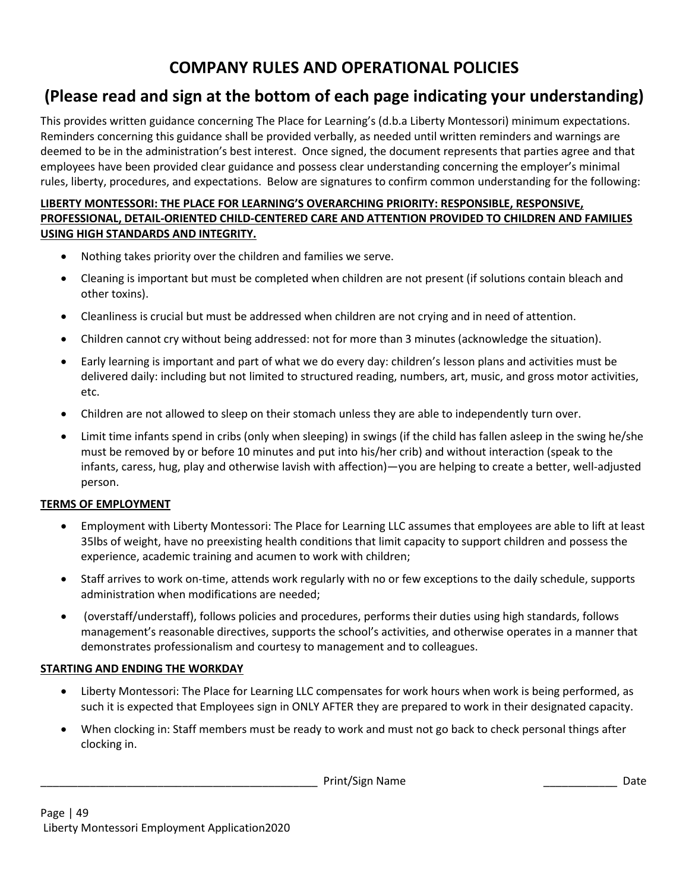### **COMPANY RULES AND OPERATIONAL POLICIES**

### **(Please read and sign at the bottom of each page indicating your understanding)**

This provides written guidance concerning The Place for Learning's (d.b.a Liberty Montessori) minimum expectations. Reminders concerning this guidance shall be provided verbally, as needed until written reminders and warnings are deemed to be in the administration's best interest. Once signed, the document represents that parties agree and that employees have been provided clear guidance and possess clear understanding concerning the employer's minimal rules, liberty, procedures, and expectations. Below are signatures to confirm common understanding for the following:

#### **LIBERTY MONTESSORI: THE PLACE FOR LEARNING'S OVERARCHING PRIORITY: RESPONSIBLE, RESPONSIVE, PROFESSIONAL, DETAIL-ORIENTED CHILD-CENTERED CARE AND ATTENTION PROVIDED TO CHILDREN AND FAMILIES USING HIGH STANDARDS AND INTEGRITY.**

- Nothing takes priority over the children and families we serve.
- Cleaning is important but must be completed when children are not present (if solutions contain bleach and other toxins).
- Cleanliness is crucial but must be addressed when children are not crying and in need of attention.
- Children cannot cry without being addressed: not for more than 3 minutes (acknowledge the situation).
- Early learning is important and part of what we do every day: children's lesson plans and activities must be delivered daily: including but not limited to structured reading, numbers, art, music, and gross motor activities, etc.
- Children are not allowed to sleep on their stomach unless they are able to independently turn over.
- Limit time infants spend in cribs (only when sleeping) in swings (if the child has fallen asleep in the swing he/she must be removed by or before 10 minutes and put into his/her crib) and without interaction (speak to the infants, caress, hug, play and otherwise lavish with affection)—you are helping to create a better, well-adjusted person.

#### **TERMS OF EMPLOYMENT**

- Employment with Liberty Montessori: The Place for Learning LLC assumes that employees are able to lift at least 35lbs of weight, have no preexisting health conditions that limit capacity to support children and possess the experience, academic training and acumen to work with children;
- Staff arrives to work on-time, attends work regularly with no or few exceptions to the daily schedule, supports administration when modifications are needed;
- (overstaff/understaff), follows policies and procedures, performs their duties using high standards, follows management's reasonable directives, supports the school's activities, and otherwise operates in a manner that demonstrates professionalism and courtesy to management and to colleagues.

#### **STARTING AND ENDING THE WORKDAY**

- Liberty Montessori: The Place for Learning LLC compensates for work hours when work is being performed, as such it is expected that Employees sign in ONLY AFTER they are prepared to work in their designated capacity.
- When clocking in: Staff members must be ready to work and must not go back to check personal things after clocking in.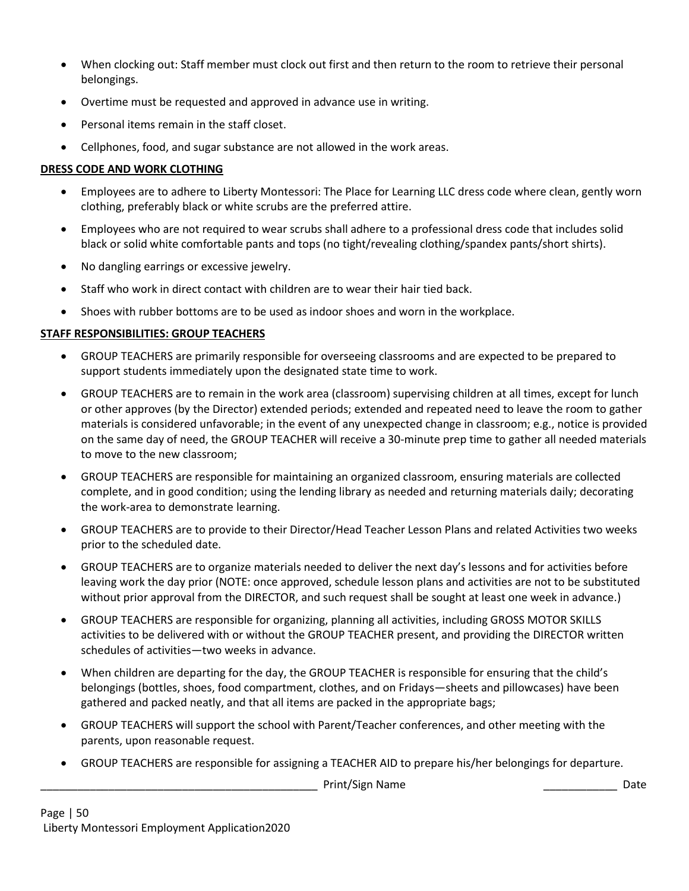- When clocking out: Staff member must clock out first and then return to the room to retrieve their personal belongings.
- Overtime must be requested and approved in advance use in writing.
- Personal items remain in the staff closet.
- Cellphones, food, and sugar substance are not allowed in the work areas.

#### **DRESS CODE AND WORK CLOTHING**

- Employees are to adhere to Liberty Montessori: The Place for Learning LLC dress code where clean, gently worn clothing, preferably black or white scrubs are the preferred attire.
- Employees who are not required to wear scrubs shall adhere to a professional dress code that includes solid black or solid white comfortable pants and tops (no tight/revealing clothing/spandex pants/short shirts).
- No dangling earrings or excessive jewelry.
- Staff who work in direct contact with children are to wear their hair tied back.
- Shoes with rubber bottoms are to be used as indoor shoes and worn in the workplace.

#### **STAFF RESPONSIBILITIES: GROUP TEACHERS**

- GROUP TEACHERS are primarily responsible for overseeing classrooms and are expected to be prepared to support students immediately upon the designated state time to work.
- GROUP TEACHERS are to remain in the work area (classroom) supervising children at all times, except for lunch or other approves (by the Director) extended periods; extended and repeated need to leave the room to gather materials is considered unfavorable; in the event of any unexpected change in classroom; e.g., notice is provided on the same day of need, the GROUP TEACHER will receive a 30-minute prep time to gather all needed materials to move to the new classroom;
- GROUP TEACHERS are responsible for maintaining an organized classroom, ensuring materials are collected complete, and in good condition; using the lending library as needed and returning materials daily; decorating the work-area to demonstrate learning.
- GROUP TEACHERS are to provide to their Director/Head Teacher Lesson Plans and related Activities two weeks prior to the scheduled date.
- GROUP TEACHERS are to organize materials needed to deliver the next day's lessons and for activities before leaving work the day prior (NOTE: once approved, schedule lesson plans and activities are not to be substituted without prior approval from the DIRECTOR, and such request shall be sought at least one week in advance.)
- GROUP TEACHERS are responsible for organizing, planning all activities, including GROSS MOTOR SKILLS activities to be delivered with or without the GROUP TEACHER present, and providing the DIRECTOR written schedules of activities—two weeks in advance.
- When children are departing for the day, the GROUP TEACHER is responsible for ensuring that the child's belongings (bottles, shoes, food compartment, clothes, and on Fridays—sheets and pillowcases) have been gathered and packed neatly, and that all items are packed in the appropriate bags;
- GROUP TEACHERS will support the school with Parent/Teacher conferences, and other meeting with the parents, upon reasonable request.
- GROUP TEACHERS are responsible for assigning a TEACHER AID to prepare his/her belongings for departure.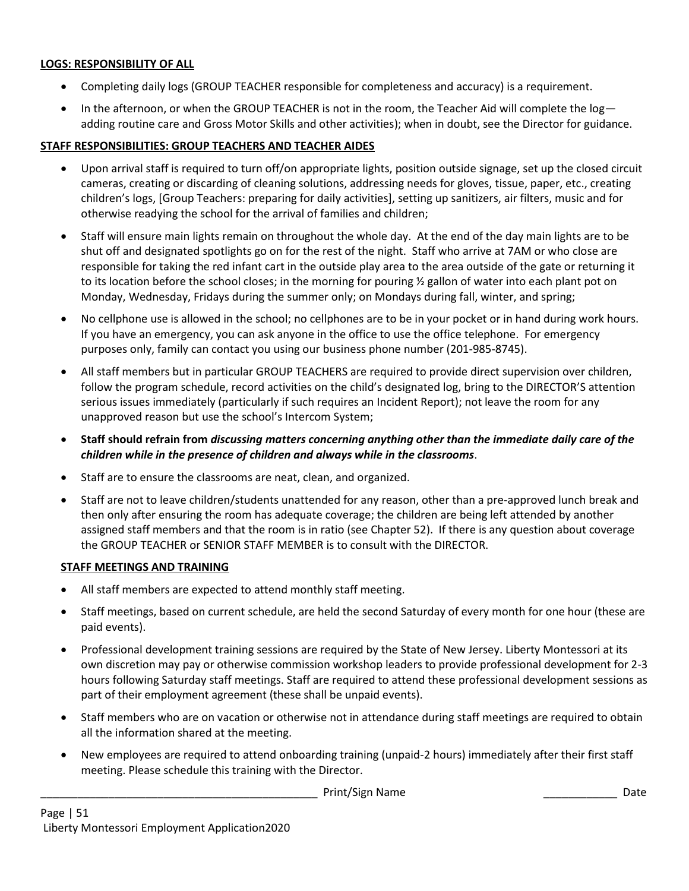#### **LOGS: RESPONSIBILITY OF ALL**

- Completing daily logs (GROUP TEACHER responsible for completeness and accuracy) is a requirement.
- In the afternoon, or when the GROUP TEACHER is not in the room, the Teacher Aid will complete the  $log$ adding routine care and Gross Motor Skills and other activities); when in doubt, see the Director for guidance.

#### **STAFF RESPONSIBILITIES: GROUP TEACHERS AND TEACHER AIDES**

- Upon arrival staff is required to turn off/on appropriate lights, position outside signage, set up the closed circuit cameras, creating or discarding of cleaning solutions, addressing needs for gloves, tissue, paper, etc., creating children's logs, [Group Teachers: preparing for daily activities], setting up sanitizers, air filters, music and for otherwise readying the school for the arrival of families and children;
- Staff will ensure main lights remain on throughout the whole day. At the end of the day main lights are to be shut off and designated spotlights go on for the rest of the night. Staff who arrive at 7AM or who close are responsible for taking the red infant cart in the outside play area to the area outside of the gate or returning it to its location before the school closes; in the morning for pouring ½ gallon of water into each plant pot on Monday, Wednesday, Fridays during the summer only; on Mondays during fall, winter, and spring;
- No cellphone use is allowed in the school; no cellphones are to be in your pocket or in hand during work hours. If you have an emergency, you can ask anyone in the office to use the office telephone. For emergency purposes only, family can contact you using our business phone number (201-985-8745).
- All staff members but in particular GROUP TEACHERS are required to provide direct supervision over children, follow the program schedule, record activities on the child's designated log, bring to the DIRECTOR'S attention serious issues immediately (particularly if such requires an Incident Report); not leave the room for any unapproved reason but use the school's Intercom System;
- **Staff should refrain from** *discussing matters concerning anything other than the immediate daily care of the children while in the presence of children and always while in the classrooms*.
- Staff are to ensure the classrooms are neat, clean, and organized.
- Staff are not to leave children/students unattended for any reason, other than a pre-approved lunch break and then only after ensuring the room has adequate coverage; the children are being left attended by another assigned staff members and that the room is in ratio (see Chapter 52). If there is any question about coverage the GROUP TEACHER or SENIOR STAFF MEMBER is to consult with the DIRECTOR.

#### **STAFF MEETINGS AND TRAINING**

- All staff members are expected to attend monthly staff meeting.
- Staff meetings, based on current schedule, are held the second Saturday of every month for one hour (these are paid events).
- Professional development training sessions are required by the State of New Jersey. Liberty Montessori at its own discretion may pay or otherwise commission workshop leaders to provide professional development for 2-3 hours following Saturday staff meetings. Staff are required to attend these professional development sessions as part of their employment agreement (these shall be unpaid events).
- Staff members who are on vacation or otherwise not in attendance during staff meetings are required to obtain all the information shared at the meeting.
- New employees are required to attend onboarding training (unpaid-2 hours) immediately after their first staff meeting. Please schedule this training with the Director.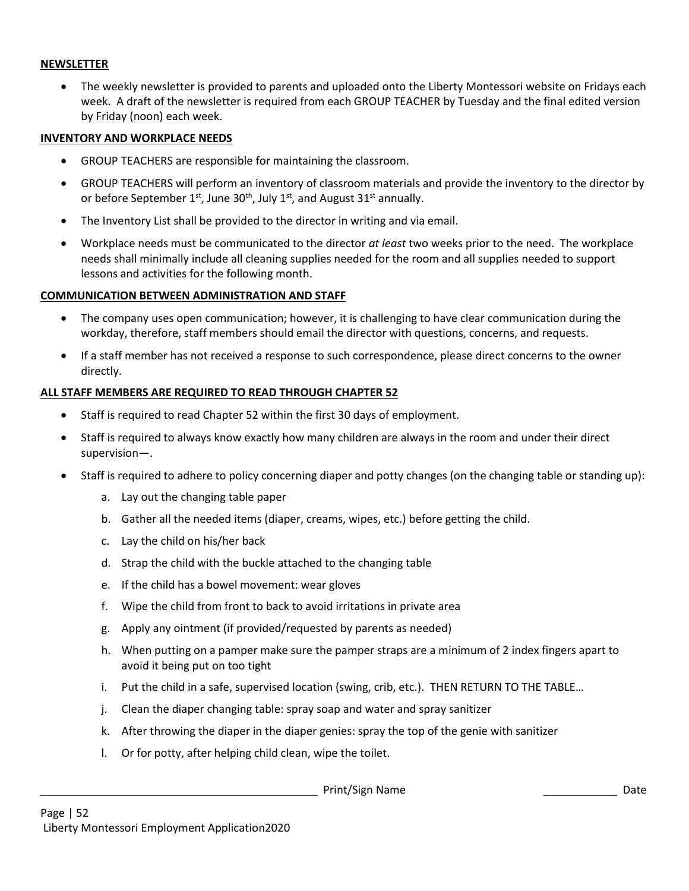#### **NEWSLETTER**

• The weekly newsletter is provided to parents and uploaded onto the Liberty Montessori website on Fridays each week. A draft of the newsletter is required from each GROUP TEACHER by Tuesday and the final edited version by Friday (noon) each week.

#### **INVENTORY AND WORKPLACE NEEDS**

- GROUP TEACHERS are responsible for maintaining the classroom.
- GROUP TEACHERS will perform an inventory of classroom materials and provide the inventory to the director by or before September  $1^{st}$ , June 30<sup>th</sup>, July  $1^{st}$ , and August 31<sup>st</sup> annually.
- The Inventory List shall be provided to the director in writing and via email.
- Workplace needs must be communicated to the director *at least* two weeks prior to the need. The workplace needs shall minimally include all cleaning supplies needed for the room and all supplies needed to support lessons and activities for the following month.

#### **COMMUNICATION BETWEEN ADMINISTRATION AND STAFF**

- The company uses open communication; however, it is challenging to have clear communication during the workday, therefore, staff members should email the director with questions, concerns, and requests.
- If a staff member has not received a response to such correspondence, please direct concerns to the owner directly.

#### **ALL STAFF MEMBERS ARE REQUIRED TO READ THROUGH CHAPTER 52**

- Staff is required to read Chapter 52 within the first 30 days of employment.
- Staff is required to always know exactly how many children are always in the room and under their direct supervision—.
- Staff is required to adhere to policy concerning diaper and potty changes (on the changing table or standing up):
	- a. Lay out the changing table paper
	- b. Gather all the needed items (diaper, creams, wipes, etc.) before getting the child.
	- c. Lay the child on his/her back
	- d. Strap the child with the buckle attached to the changing table
	- e. If the child has a bowel movement: wear gloves
	- f. Wipe the child from front to back to avoid irritations in private area
	- g. Apply any ointment (if provided/requested by parents as needed)
	- h. When putting on a pamper make sure the pamper straps are a minimum of 2 index fingers apart to avoid it being put on too tight
	- i. Put the child in a safe, supervised location (swing, crib, etc.). THEN RETURN TO THE TABLE…
	- j. Clean the diaper changing table: spray soap and water and spray sanitizer
	- k. After throwing the diaper in the diaper genies: spray the top of the genie with sanitizer
	- l. Or for potty, after helping child clean, wipe the toilet.